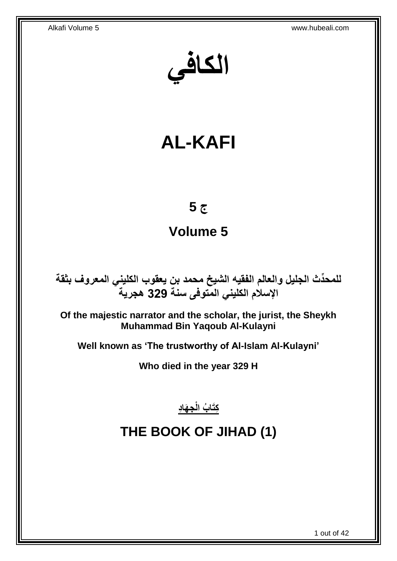**الكافي**

# **AL-KAFI**

## **ج 5**

## **Volume 5**

**دث الجليل والعالم الفقيه الشيخ محمد بن يعقوب الكليني المعروف بثقة للمح ِّ اإلسالم الكليني المتوفى سنة 329 هجرية**

**Of the majestic narrator and the scholar, the jurist, the Sheykh Muhammad Bin Yaqoub Al-Kulayni**

**Well known as 'The trustworthy of Al-Islam Al-Kulayni'**

**Who died in the year 329 H**

<u>ِكِتَابُ الْجِهَادِ</u>

# <span id="page-0-0"></span>**THE BOOK OF JIHAD (1)**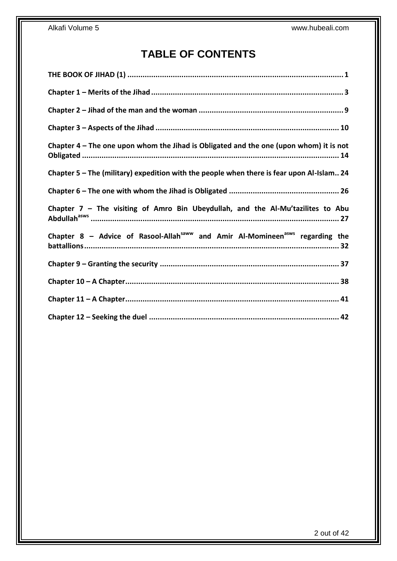## **TABLE OF CONTENTS**

| Chapter $4$ – The one upon whom the Jihad is Obligated and the one (upon whom) it is not              |
|-------------------------------------------------------------------------------------------------------|
| Chapter 5 - The (military) expedition with the people when there is fear upon Al-Islam 24             |
|                                                                                                       |
| Chapter 7 - The visiting of Amro Bin Ubeydullah, and the Al-Mu'tazilites to Abu                       |
| Chapter 8 - Advice of Rasool-Allah <sup>saww</sup> and Amir Al-Momineen <sup>asws</sup> regarding the |
|                                                                                                       |
|                                                                                                       |
|                                                                                                       |
|                                                                                                       |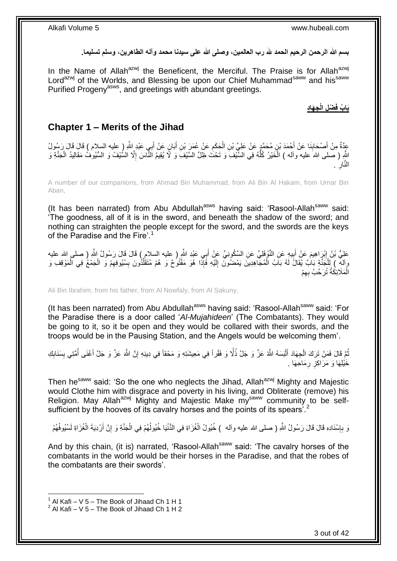بسم الله الرحمن الرحيم الحمد لله رب العالمين، وصلى الله على سيدنا محمد وآله الطاهرين، وسلم تسليما.

In the Name of Allah<sup>azwj</sup> the Beneficent, the Merciful. The Praise is for Allah<sup>azwj</sup> Lord<sup>azwj</sup> of the Worlds, and Blessing be upon our Chief Muhammad<sup>saww</sup> and his<sup>saww</sup> Purified Progeny<sup>asws</sup>, and greetings with abundant greetings.

**ِج َهاِد ْض ِل الْ َبا ُب فَ**

### <span id="page-2-0"></span>**Chapter 1 – Merits of the Jihad**

ِ ) عل ِم ْن ِي َعْبِد ََّّللا ِعَّدةٌ ب ٍن َع ْن أ َبا ِن أ َع ْن ُع َم َر ْب َح َكم ِن ال ِن ُم َح َّمٍد َع ْن َعلِ ِّي ْب ْح َمَد ْب َنا َع ْن أ ْص َحاب أ يه السالم ( َقا َل َقا َل َر ُسو ُل َ َ َ ِ ْ **∣** اللَّهِ ( صلى الله عليه وآله ) الْخَيْرُ كُلُّهُ فِي السَّيْفِ وَ تَحْتَ ظِلِّ السَّيْفِ وَ لَا يُقِيمُ النَّاسَ إِلَّا السَّيْفُ وَ السُّيُوفُ مَقَالِيدُ الْجَنَّةِ وَ ُّ ْ ْ ِ النَّار . **∶** 

A number of our companions, from Ahmad Bin Muhammad, from Ali Bin Al Hakam, from Umar Bin Aban,

(It has been narrated) from Abu Abdullah<sup>asws</sup> having said: 'Rasool-Allah<sup>saww</sup> said: 'The goodness, all of it is in the sword, and beneath the shadow of the sword; and nothing can straighten the people except for the sword, and the swords are the keys of the Paradise and the Fire'.<sup>1</sup>

عَلِيُّ بْنُ إِبْرَاهِيمَ عَنْ أَبِيهِ عَنِ النَّوْفِلِيِّ عَنِ السَّكُونِيِّ عَنْ أَبِي عَبْدِ النَّهِ ( عليه السلامِ ) قَالَ قَالَ رَسُولُ النَّهِ ( صلى الله عليه َ  $\frac{1}{2}$ ِ وآلةِ ﴾ إِلْمَخَذَّةِ بَابٌ يُقَالَ لَهُ بَابُ الْمُجَاهِدِينَ يَمْضُونَ إِلَيْهِ فَإِذَا هُوَ مَفْتُوحٌ وَ هُمْ مُتَقَلِّذُونَ بِسُيُوفِهِمْ وَ الْجَمْعُ فِي الْمَوْقِفِ وَ لَ ِ ْ ْ ْ ِ ِّ الْمَلَائِكَةُ تُرَحِّبُ بِهِمْ ِ ْ

Ali Bin Ibrahim, from his father, from Al Nowfaly, from Al Sakuny,

(It has been narrated) from Abu Abdullah<sup>asws</sup> having said: 'Rasool-Allah<sup>saww</sup> said: 'For the Paradise there is a door called '*Al-Mujahideen*' (The Combatants). They would be going to it, so it be open and they would be collared with their swords, and the troops would be in the Pausing Station, and the Angels would be welcoming them'.

ُمَّ قَالَ فَمَنْ تَرَكَ الْجِهَادَ أَلْبَسَهُ اللَّهُ عَزَّ وَ جَلَّ ذُلًّا وَ فَقْراً فِي مَعِيشَتِهِ وَ مَحْقاً فِي دِينِهِ إِنَّ اللَّهَ عَزَّ وَ جَلَّ أَغْنَى أُمَّتِي بِسَذَابِكِ ْ َ ْ **∶** ِ ا<br>أ َ ِ خَيْلِهَا وَ مَرَاكِزِ رِمَاحِهَا . ِ

Then he<sup>saww</sup> said: 'So the one who neglects the Jihad, Allah<sup>azwj</sup> Mighty and Majestic would Clothe him with disgrace and poverty in his living, and Obliterate (remove) his Religion. May Allah<sup>azwj</sup> Mighty and Majestic Make my<sup>saww</sup> community to be selfsufficient by the hooves of its cavalry horses and the points of its spears<sup>'. 2</sup>

وَ بِإِسْنَادِهِ قَالَ قَالَ رَسُولُ اللَّهِ ( صلى الله عليه وآله ) خُيُولُ الْغُزَاةِ فِي الدُّنْيَا خُيُولُهُمْ فِي الْجَنَّةِ وَ إِنَّ أَرْدِيَةَ الْغُزَاةِ لَسُيُوفُهُمْ ْ  $\overline{a}$ ْ ِ ِ ْ َ ِ

And by this chain, (it is) narrated, 'Rasool-Allah<sup>saww</sup> said: 'The cavalry horses of the combatants in the world would be their horses in the Paradise, and that the robes of the combatants are their swords'.

 1 Al Kafi – V 5 – The Book of Jihaad Ch 1 H 1 2 Al Kafi – V 5 – The Book of Jihaad Ch 1 H 2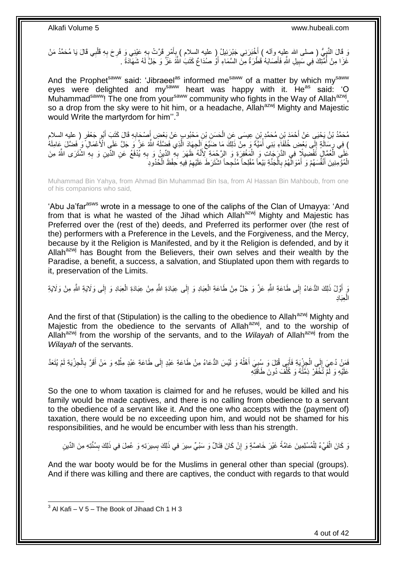يَـ قَالَ النَّبِيُّ ( صلى الله عِليهِ وآله ) أُخْبَرَنِي جَبْرِئِيلُ ( عليه السلام ) بِأَمْرٍ قَرَّتْ بِهِ عَيْنِي وَ فَرِحَ بِهِ قَلْبِي قَالَ يَا مُحَمَّدُ مَنْ **∶** ْ ِ **ٍ** ِ َ ِ َ غَزَا مِنْ أُمَّتِكُ فِي سَبِيلِ اللَّهِ فَأَصَابَهُ فَطْرَةٌ مِنَّ السَّمَاءِ أَوُ صُدَاعٌ كَتَبَٰ اللَّهُ عَزَّ وَ جَلَّ لَهُ شَهَادَةً . اُ َ ِ ا<br>ا

And the Prophet<sup>saww</sup> said: 'Jibraeel<sup>as</sup> informed me<sup>saww</sup> of a matter by which my<sup>saww</sup> eyes were delighted and my<sup>saww</sup> heart was happy with it. He<sup>as</sup> said: 'O Muhammad<sup>saww</sup>! The one from your<sup>saww</sup> community who fights in the Way of Allah<sup>azwj</sup>, so a drop from the sky were to hit him, or a headache, Allah<sup>azwj</sup> Mighty and Majestic would Write the martyrdom for him".<sup>3</sup>

مُحَمَّدُ بْنُ يَجْيَي عَنْ أَحْمَدَ بِنِ مُحَمَّدِ بْنِ عِيسَى عَنِ الْحَسَنِ بْنِ مَحْبُوبٍ عَنْ بَعْضٍ أَصْحَابِهِ قَالَ كَتَبَ أَبُو جَعْفَرٍ ( عليه السلام **∶** َ ْ َ َّ ) فِي رِسَالَةٍ إِلَى بَعْضِ خُلَفَاءِ بَنِي أُمَيَّةً وَ مِنْ ذَلِكَ مَا ضَيَّعَ الْجِهَادَ الَّذِي فَضَّلَهُ اللَّهُ عَزَّ وَ جَلَّ عَلَي الْأَعْمَالِ ۖ وَ فَضَّلَ عَامِلَهُ ْ ان<br>ا  $\frac{1}{2}$ ِ<br>ا َعْلَى الْعُمَّالِ تُفْضِيلًا فِي الدَّرَجَاتِ وَ الْمَغْفِرَةِ وَ الرَّحْمَةِ لِأَنَّهُ ظَهَرَ بِهِ الدِّينُ وَ بِهِ يُذْفَعُ عَنِ الذَّينِ وَ بِهِ اشْتَرَى اللَّهُ مِنَ<br>عَلَى الْعُمَّالِ تُفْضِيلًا فِي الذَّرَجَاتِ وَ ال ِ ِ ْ ْ ِ الْمُؤْمِنِينَ أَنْفُسَهُمْ وَ أَمْوَالَّهُمْ بِالْجَنَّةِ بَيْعاً مُفْلِحاً مُنْجِحاً اشْتَرَطَ عَلَيْهِمْ فِيهِ حَفْظَ الْحُدُودِ ْ ِ ْ **∶** َ َ

Muhammad Bin Yahya, from Ahmad Bin Muhammad Bin Isa, from Al Hassan Bin Mahboub, from one of his companions who said,

'Abu Ja'far<sup>asws</sup> wrote in a message to one of the caliphs of the Clan of Umayya: 'And from that is what he wasted of the Jihad which Allah<sup>azwj</sup> Mighty and Majestic has Preferred over the (rest of the) deeds, and Preferred its performer over (the rest of the) performers with a Preference in the Levels, and the Forgiveness, and the Mercy, because by it the Religion is Manifested, and by it the Religion is defended, and by it Allah<sup>azwj</sup> has Bought from the Believers, their own selves and their wealth by the Paradise, a benefit, a success, a salvation, and Stiuplated upon them with regards to it, preservation of the Limits.

وَ أَوَّلُ ذَلِكَ الدُّعَاءُ إِلَى طَاعَةِ اللَّهِ عَزَّ وَ جَلَّ مِنْ طَاعَةِ الْعِبَادِ وَ إِلَى عِبَادَةِ اللَّهِ مِنْ عِبَادَةِ الْعِبَادِ وَ إِلَى وَلَايَةِ اللَّهِ مِنْ وَلَايَةِ ِ ْ ∣∣<br>∶ َ لَ ِ ِعَباِد ْ ال

And the first of that (Stipulation) is the calling to the obedience to Allah<sup>azwj</sup> Mighty and Majestic from the obedience to the servants of Allah<sup>azwj</sup>, and to the worship of Allah<sup>azwj</sup> from the worship of the servants, and to the *Wilayah* of Allah<sup>azwj</sup> from the *Wilayah* of the servants.

فَضِ دُعِيَ إِلَى الْجِزْيَةِ فَأَبَى قُتِلَ وَ سُبِيَ أَهْلُهُ وَ لَيْسَ الدُّعَاءُ مِنْ طَاعَةِ عَبْدٍ إِلَى طَاعَةِ عَبْدٍ مِثْلِهِ وَ مَنْ أَقَرَّ بِالْجِزْيَةِ لَمْ يُتَعَدَّ ِ ُ َ ِ َ ْ ِ ْ ِ َ ْ عَلَيْهِ وَ لَمْ تُُخْفَرْ ذِمَّتُهُ وَ كُلِّفَ دُونَ طَاقَتِهِ ِّ لَ

So the one to whom taxation is claimed for and he refuses, would be killed and his family would be made captives, and there is no calling from obedience to a servant to the obedience of a servant like it. And the one who accepts with the (payment of) taxation, there would be no exceeding upon him, and would not be shamed for his responsibilities, and he would be encumber with less than his strength.

وَ كَانَ الْفَيْءُ لِلْمُسْلِمِينَ عَامَّةً غَيْرَ خَاصَّةٍ وَ إِنْ كَانَ قِتَالٌ وَ سَبْيٌ سِبِرَ فِي ذَلِكَ بِسِبِرَتِهِ وَ عُمِلَ فِي ذَلِكَ بِسُنَّتِهِ مِنَ الدِّينِ ْ ْ ِ ِ ِ

And the war booty would be for the Muslims in general other than special (groups). And if there was killing and there are captives, the conduct with regards to that would

 3 Al Kafi – V 5 – The Book of Jihaad Ch 1 H 3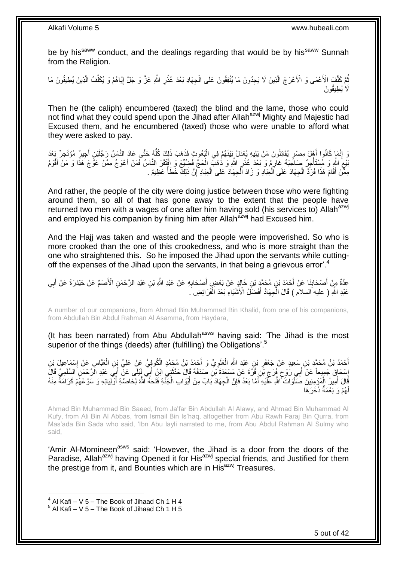be by his<sup>saww</sup> conduct, and the dealings regarding that would be by his<sup>saww</sup> Sunnah from the Religion.

ُّئْمَ كَلَّفَ الْأَعْمَى وَ الْأَعْرَجَ الَّذِينَ لَا يَجِدُونَ مَا يُنْفِقُونَ عَلَى الْجِهَادِ بَعْدَ عُذْرِ اللَّهِ عَزَّ وَ جَلَّ إِيَّاهُمْ وَ يُكَلِّفُ الَّذِينَ يُطِيقُونَ مَا **∶ ٔ** ْ َّ َّ ُ َّ ِّ ِ ََل ُي ِطيقُو َن

Then he (the caliph) encumbered (taxed) the blind and the lame, those who could not find what they could spend upon the Jihad after Allah<sup>azwj</sup> Mighty and Majestic had Excused them, and he encumbered (taxed) those who were unable to afford what they were asked to pay.

وَ إِنَّمَا كَانُوا أَهْلَ مِصْرٍ يُقَاتِلُونَ مَنْ يَلِيهِ يُعْدَلُ بِبَيْنَهُمْ فِي الْبُعُوثِ فَذَهَبَ ذَلِكَ كُلُّهُ حَتَّى عَادَ النَّاسُ رَجُلَيْنِ أَجِيرٌ مُؤْتَجِرٌ بَعْدَ ُّ ْ َ َ ُنْفِعَ النَّهِ وَ مُسْتَأْجِرٌ صَاحَبَهُ غَارِمٌ وَ بَعْدَ عُذْرٍ اللَّهِ وَ ذَهَبَ الْحَجُّ فَضِيِّعَ وَ افْتَقَرَ النَّاسُ فَمَنْ أَعْوَجُ مِمَّنْ عَوَّجَ هَذَا وَ مَنْ أَقْوَمُ ْ ِ **ٔ:** ِ **ٔ** ِ َ َ َمَّنْ أَقَامَ هَذَا فَرَدَّ الْجِهَادَ عَلَى الْعِبَادِ وَ زَادَ الّْجِهَادَ عَلَى الْعِبَادِ إِنَّ ذَلِكَ خَطَأُ عَظِيمٌ . ْ ْ ِ ْ ْ

And rather, the people of the city were doing justice between those who were fighting around them, so all of that has gone away to the extent that the people have returned two men with a wages of one after him having sold (his services to) Allah<sup>azwj</sup> and employed his companion by fining him after Allah $\frac{a^2}{b^2}$  had Excused him.

And the Hajj was taken and wasted and the people were impoverished. So who is more crooked than the one of this crookedness, and who is more straight than the one who straightened this. So he imposed the Jihad upon the servants while cuttingoff the expenses of the Jihad upon the servants, in that being a grievous error'.<sup>4</sup>

عِدَّةٌ مِنْ أَصْحَابِنَا عَنْ أَحْمَدَ بْنِ مُحَمَّدٍ بْنِ خَالِدٍ عَنْ بَعْضٍ أَصْحَابِهِ عَنْ عَبْدِ اللَّهِ بْنِ عَبْدِ الرَّحْمَنِ الْأَصَمِّ عَنْ حَيْدَرَةَ عَنْ أَبِي َ **∣** َ َ **∶** َ ِ عَبْدِ اللَّهِ ( عليه السلام ) قَالَ الْجِهَادُ أَفْضَلَّ الْأَشْيَاءِ بَعْدَ الْفَرَائِضِ َ. ْ َ ْ

A number of our companions, from Ahmad Bin Muhammad Bin Khalid, from one of his companions, from Abdullah Bin Abdul Rahman Al Asamma, from Haydara,

(It has been narrated) from Abu Abdullah<sup>asws</sup> having said: 'The Jihad is the most superior of the things (deeds) after (fulfilling) the Obligations'.<sup>5</sup>

أَحْمَدُ بْنُ مُحَمَّدِ بْنِ سَعِيدٍ عَنْ جَعْفَرِ بْنِ عَبْدِ اللَّهِ الْعَلَوِيِّ وَ أَحْمَدُ بْنُ مُحَمَّدٍ الْكُوفِيُّ عَنْ عَلِيِّ بْنِ الْعَبَّاسِ عَنْ إِسْمَاعِيلَ بْنِ َ **∶** ْ **∶** َ ِ ْ إِسْحَاقَ جَمِيعاً عَنْ أَبِي رَوْحٍ فَرَجٍ بْنِ قُرَّةَ عَنْ مَسْعَدَةَ بْنِ صَدَقَةَ قَالَ حَدَّثَتِي ابْنُ أَبِي بِلَيْلَي عَنْ أَبِي عَبْدِ الْرَّحْمَنِ السُّلَمِيِّ قَالَ َ َ َ َ ِ ٍ لَ قَالَ أَمِيرُ الْمُؤْمِنِينَ صَلَّوَاتٌ أَللَّهِ عَلَيْهِ أَمَّا بَعْدُ فَإِنَّ الْجِهَادَ بَابٌ مِنْ أَبْوَابِ الْجَنَّةِ فَتَّحَهُ اللَّهُ لِخَاصَاةٍ وَلِيَائِهِ وَ سَوَّغَهُمْ كَرَامَةً مِنْهُ ْ َ ْ ِ َ ْ ْ َ هُمْ وَ نِعْمَةٌ ذَخَرَهَا لَ

Ahmad Bin Muhammad Bin Saeed, from Ja'far Bin Abdullah Al Alawy, and Ahmad Bin Muhammad Al Kufy, from Ali Bin Al Abbas, from Ismail Bin Is'haq, altogether from Abu Rawh Faraj Bin Qurra, from Mas'ada Bin Sada who said, 'Ibn Abu layli narrated to me, from Abu Abdul Rahman Al Sulmy who said,

'Amir Al-Momineen<sup>asws</sup> said: 'However, the Jihad is a door from the doors of the Paradise, Allah<sup>azwj</sup> having Opened it for His<sup>azwj</sup> special friends, and Justified for them the prestige from it, and Bounties which are in His<sup>azwj</sup> Treasures.

 $4$  Al Kafi – V 5 – The Book of Jihaad Ch 1 H 4

 $^5$  Al Kafi – V 5 – The Book of Jihaad Ch 1 H 5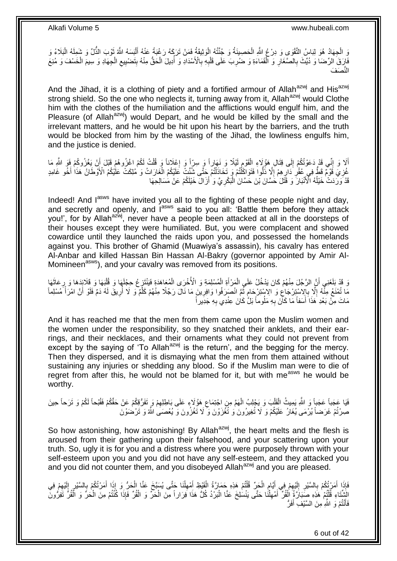وَ الْجِهَادُ هُوَ لِبَاسُ التَّقْوَىِ وَ دِرْعُ اللَّهِ الْحَصِينَةُ وَ جُنَّتُهُ الْوَثِيقَةُ فَمَنْ تَرَكَهُ رَغْبَةً عَنْهُ أَلْبَسَهُ اللَّهُ ثَوْبَ الذُّلِّ وَ شَمِلَهُ الْبَلَاءُ وَ ْ ْ ْ َ ْ َ ِ فَارَقَ الرِّضَا وَ دُيِّثَ بِالصَّغَارِ وَ الْقَمَاءَةِ وَ ضُرِبَ عَلَى قَلْبِهِ بِالْأَسْدَادِ وَ أُدِيلَ الْحَقُّ مِنْهُ بِتَضْيِيعِ الْجِهَادِ وَ سِيمَ الْخَسْفَ وَ مُنِعَ ْ ِ ِ ْ ِ ْ ِ ِ ْ ْ ِ ِ صَفَ النَّ

And the Jihad, it is a clothing of piety and a fortified armour of Allah<sup>azwj</sup> and His<sup>azwj</sup> strong shield. So the one who neglects it, turning away from it, Allah<sup>azwj</sup> would Clothe him with the clothes of the humiliation and the afflictions would engulf him, and the Pleasure (of Allah<sup>azwj</sup>) would Depart, and he would be killed by the small and the irrelevant matters, and he would be hit upon his heart by the barriers, and the truth would be blocked from him by the wasting of the Jihad, the lowliness engulfs him, and the justice is denied.

أَلَا وَ إِنِّي قَدْ دَعَوْتُكُمْ إِلَى قِتَالٍ هَؤُلَاءِ الْقَوْمِ لَيْلًا وَ نَهَاراً وَ سِرّاً وَ إعْلَاناً وَ قُلْتُ لَكُمْ اغْزُوهُمْ قَبْلَ إِنْ يَغْزُوكُمْ فَوَ اللَّهِ مَا ْ ِ لَ ِ ْ ِ ِ اُ عُزِيَ قُومٌ قَطٌ فِي عُقْرِ دَارِ هِمْ إَلَا ذَلُّوا فَتَوَاكَلُنُمْ وَ تَخَاذَلْنُمْ حَتَّى شُنَّتٍ عَلَيْكُمُ الْغَارَاتُ وَ مُلِكَثٌ عَلَيْكُمُ الْأَوْطَانُ هَذَا أَخُو غَامِدٍ ْ ْ ْ ِ **∶** ِ ِ َ قَدْ وَرَدَتْ خَيْلُهُ الْأَنْبَارَ ۖ وَ قَتَلَ حَشَّانَ بْنَ حَسَّانَ الْبَكْرِ يَّ وَ أَزَالَ خَيْلَكُمْ عَنْ مَسَالِحِهَا ُ اُ ِ :<br>ا

Indeed! And lasws have invited you all to the fighting of these people night and day, and secretly and openly, and lasws said to you all. 'Battle them before they attack you!', for by Allah<sup>azwj</sup>, never have a people been attacked at all in the doorsteps of their houses except they were humiliated. But, you were complacent and showed cowardice until they launched the raids upon you, and possessed the homelands against you. This brother of Ghamid (Muawiya's assassin), his cavalry has entered Al-Anbar and killed Hassan Bin Hassan Al-Bakry (governor appointed by Amir Al-Momineen<sup>asws</sup>), and your cavalry was removed from its positions.

وَ قَدْ بَلَغَنِي أَنَّ الرَّجُلَ مِنْهُمْ كَانَ يَدْخُلُ عَلَى الْمَرْأَةِ الْمُسْلِمَةِ وَ الْأُخْرَى الْمُعَاهَدَةِ فَيَنْتَزِعُ حِجْلَهَا وَ قُلَائِدَهَا وَ رِعَاتَهَا ْ ِ ْ ْ َ ْ َ ِ مَا تُمْنَعُ مِنّْهُ إِلَّا بِالِاسْتِرْجَاعِ وَ الِاسْتِرْحَام ثُمَّ انْصَرَفُوا وَافِرِينَ مَا نَالَ رَجُلًا مِنْهُمْ كَلْمٌ وَ لَا أُرِيقَ لَهُ دَمٌ فَلَوْ أَنَّ امْرَأَ مُسْلِماً ِ ُ ֖֦֚֚֚֝֝֝֝֝֝֝֝֝֝֝֝֝֝֝֝֝ ِ **∶** ِ ِ اُ ْ ا َ مَاتَ مِنْ بَعْدِ هَذَا أَسَفاً مَا كَأَنَ بِهِ مَلُوماً بَلُّ كَانَ عِنْدِي بِهِ جَدِيراً ِ **∶** 

And it has reached me that the men from them came upon the Muslim women and the women under the responsibility, so they snatched their anklets, and their earrings, and their necklaces, and their ornaments what they could not prevent from except by the saying of 'To Allah<sup>azwj</sup> is the return', and the begging for the mercy. Then they dispersed, and it is dismaying what the men from them attained without sustaining any injuries or shedding any blood. So if the Muslim man were to die of regret from after this, he would not be blamed for it, but with me<sup>asws</sup> he would be worthy.

فَيَا عَجَباً عَجَباً وَ اللَّهِ بَمِيثُ الْقَلْبَ وَ يَجْلِبُ الْهَمَّ مِنِ اجْتِمَاعِ هَؤُلَاءٍ عَلَى بَاطِلِهِمْ وَ تَفَرُّقِكُمْ عَنْ حَقِّكُمْ فَقُبْحاً لَكُمْ وَ تَرَحاً حِينَ ِ ِ ْ ْ ْ صِرْتُمْ غَرَضاً يُرْمَى يُغَارُ عَلَيْكُمْ وَ لَا تُغِيرُونَ وَ تُغَزَوْنَ وَ ۖ لَا تَغْزُونَ وَ يُعْصَمَىٰ اللَّهُ وَ تَرْضَوْنَ

So how astonishing, how astonishing! By Allah<sup>azwj</sup>, the heart melts and the flesh is aroused from their gathering upon their falsehood, and your scattering upon your truth. So, ugly it is for you and a distress where you were purposely thrown with your self-esteem upon you and you did not have any self-esteem, and they attacked you and you did not counter them, and you disobeyed Allah<sup>azwj</sup> and you are pleased.

َإِذَا أَمَرْتُكُمْ بِالسَّيْرِ إِلَيْهِمْ فِي أَيَامِ الْحَرِّ قُلْتُمْ هَذِهِ حَمَارَةُ الْقَيْظِ أَمْهِلْنَا حَتَّى يُسَتَخَ عَنَّا الْحَرُّ وَ إِذَا أَمَرْتُكُمْ بِالسَّيْرِ إِلَيْهِمْ فِي ْ ِ َ ِ لَ  $\frac{1}{2}$ ِ **∶** َ ِ لَ ِ ِ ِ َ ْ ْ ِ َ ْ ْ الَشَّتَاءِ قُلْتُهُ هَذِهِ صَبَبَارَةُ الْقُرِّ أَمْهِلْنَا حَتَّى يَنْسَلِخَ عَنَّا الْبَرْدُ كُلُّ هَذَا فِرَاراً مِنَ الْحَرِّ وَ الْقُرِّ فَإِذَا كُنَتُمْ مِنَ الْحَرِّ وَ الْقُرَّ تَفِرُّونَ<br>وَاللَّهُ الْمَسَّلَاءِ ْ :<br>ا ْ ِ َ ْ ْ ْ ْ ْ فَأَنْتُمْ وَ الثَّهِ ٰمِنَ السَّيْفِ أَفَرُّ َ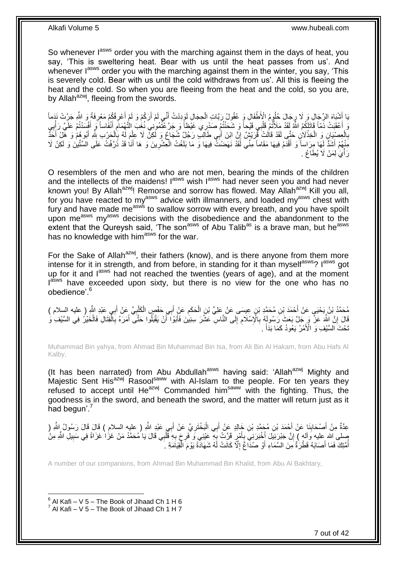So whenever l<sup>asws</sup> order you with the marching against them in the days of heat, you say, 'This is sweltering heat. Bear with us until the heat passes from us'. And whenever lasws order you with the marching against them in the winter, you say, 'This is severely cold. Bear with us until the cold withdraws from us'. All this is fleeing the heat and the cold. So when you are fleeing from the heat and the cold, so you are, by Allah $^{azwj}$ , fleeing from the swords.

ْبَا أَشْبَاهَ الرِّجَالِ وَ لَا رِجَالَ خُلُومُ الْأَطْفَالِ وَ عُقُولُ رَبَّاتِ الْحِجَالِ لَوَدِدْتُ أَنِّي لَمْ أَرَكُمْ وَ لَمْ أَعْرِفْكُمْ مَعْرِفَةً وَ اللَّهِ جَرَّتْ نَدَماً َ َ ْ ِ َ ِ ِ َ لَ وَ أَعْقَبَتْ ذَمَّأَ قَاتَلَكُمُ اللَّهُ لَقَدْ مَلأَنُّكُمْ قَلْبِي قَيْحاً وَ شَخَنْتُمْ صَدْرِي غَيَّطَأً وَ جَرَّعْتُمُونِي نُغُبَّ التَّهْمَامِ أَنْفُاسا فَرِ أَفْسَدْتُمْ عَلَيَّ رَأْبِي َ ْ ِ **ٔ** َ َ ِ ِ بِالْعِصْبِيَانِ وَ الْخِذْلَانِ حَتَّى لَقَدْ قَالَتْ قَمَرَيْشٌ إِنَّ ابْنَ أَبِي طَاَلِبٍ رَجُلٌ شُجَاعٌ وَ لَكِنَّ لَا عِلْمَ لَهُ بِالْحَرْبِ بِلَّهِ أَبُوهُمْ وَ هَلْ أَحَدٌّ َ ِ ْ ْ ْ ِ َ َ ْ ِ ْ مَنْهُمْ أَشَدُّ لَهَا مِرَاساً وَ أَقْدَمُ فِيهَا مَقَاماً مِنِّي لَقَدْ نَهَضْنُتُ فِيهَا وَ مَا بَلَغْتُ الْعِشْرِينَ وَ هَا أَنَا قَدْ ذَرَّفْتُ عَلَى السَّنِّينَ وَ لَكِنْ لَا ِ ْ َ َ َ رَأْيَ لِمَنْ لَا يُطَاعُ . :<br>أ

O resemblers of the men and who are not men, bearing the minds of the children and the intellects of the maidens! I<sup>asws</sup> wish I<sup>asws</sup> had never seen you and had never known you! By Allah<sup>azwj</sup>! Remorse and sorrow has flowed. May Allah<sup>azwj</sup> Kill you all, for you have reacted to my<sup>asws</sup> advice with illmanners, and loaded my<sup>asws</sup> chest with fury and have made me<sup>asws</sup> to swallow sorrow with every breath, and you have spoilt upon me<sup>asws</sup> my<sup>asws</sup> decisions with the disobedience and the abandonment to the extent that the Qureysh said, 'The son<sup>asws</sup> of Abu Talib<sup>as</sup> is a brave man, but he<sup>asws</sup> has no knowledge with him<sup>asws</sup> for the war.

For the Sake of Allah<sup>azwj</sup>, their fathers (know), and is there anyone from them more intense for it in strength, and from before, in standing for it than myself<sup>asws</sup>?  $I^{asws}$  got up for it and l<sup>asws</sup> had not reached the twenties (years of age), and at the moment lasws have exceeded upon sixty, but there is no view for the one who has no obedience'.<sup>6</sup>

مُحَمَّدُ بْنُ يَحْيَيِ عَنْ أَحْمَدَ بْنِ مُحَمَّدِ بْنِ عِيِسَى عَنْ عَلِيِّ بْنِ الْحَكَمِ عَنْ أَبِي حَفْصٍ الْكَلْبِيِّ عَنْ أَبِي عَبْدِ الثَّهِ ( عليه السلام )<br>ـ ِ َ ِ ْ ْ َ ِ ْ َ قَالَ إِنَّ اللَّهَ عَنَّ وَ جَلَّ بَعَثَ رَسُولَهُ بِالْإِسْلَامِ إِلَى النَّاسِ عَشَّرَ سِنِيَنَ فَأَبَوْا آلْ يَقْبَلُوا حَتَّىَ أَمَرَهُ بِالْمُقِتَالِ فَالْخَيْرُ فِي السَّيْفِ وَ<br>نَهُمَ تَرَبَّتُونَ مَعَ أَمِّهُ مَن ِ ِ **∶** <u>֖֚֚֚֚֚֚֚֓</u> ْ ْ ِ َ اُ َ نَّحْتَ السَّيْفِ وَ الْأَمْرُ يَعُودُ كَمَا بَدَأَ . َ

Muhammad Bin yahya, from Ahmad Bin Muhammad Bin Isa, from Ali Bin Al Hakam, from Abu Hafs Al Kalby,

(It has been narrated) from Abu Abdullah<sup>asws</sup> having said: 'Allah<sup>azwj</sup> Mighty and Majestic Sent His<sup>azwj</sup> Rasool<sup>saww</sup> with Al-Islam to the people. For ten years they refused to accept until  $He^{azwj}$  Commanded him<sup>saww</sup> with the fighting. Thus, the goodness is in the sword, and beneath the sword, and the matter will return just as it had begun<sup>'.7</sup>

عِدَّةٌ مِنْ أَصْحَابِنَا عَنْ أَحْمَدَ بْنِ مُجَمَّدِ بْنِ خَالِدٍ عِنْ أَبِي الْبَخْتَرِيِّ عَنْ أَبِي عَبْدِ اللَّهِ ( عليه السلام ) قَالَ قَالَ رَسُولُ اللَّهِ ( َ ِ ْ َ َ **∣** صلى الله عليه وآله ) إِنَّ جَبْرَئِيلَ أَخْبَرَنِيَ بِأَمْرٍ قَرَّتْ بَدٍّ عَيْنِي وَ فَرِحَ بِهِ قَلْبِي قَالَ يَا مُحَمَّدُ مَنْ غَزَا غَرَاةً فِي سَبِيلِ اللَّهِ مِنْ<br>أَوَّدتَ مَثَباتِ الْمَرْضَ وَ عَالَمَ الْمُرْضَى ا ِ ْ َ ِ **֓**֧֢֢֢֦֓ أُمَّتِكَ فَمَا أَصَابَهُ قَطْرَةٌ مِنَ السَّمَاءِ أَوْ صُدَّاعٌ إِلَّا كَانَتْ لَهُ شَهَادَّةً يَوْمَ الْفِيَامَةِ . ْ ِ َ ُ

A number of our companions, from Ahmad Bin Muhammad Bin Khalid, from Abu Al Bakhtary,

 $^6$  Al Kafi – V 5 – The Book of Jihaad Ch 1 H 6  $^7$  Al Kafi – V 5 – The Book of Jihaad Ch 1 H 7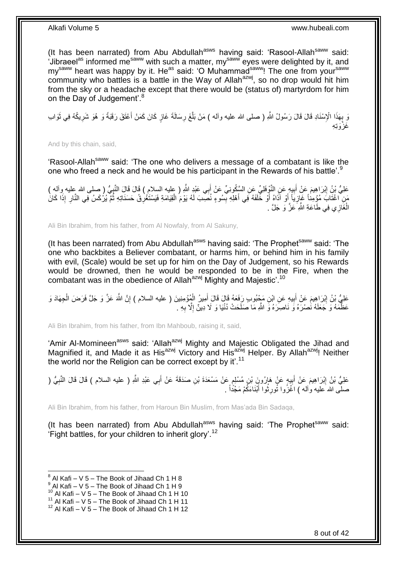(It has been narrated) from Abu Abdullah<sup>asws</sup> having said: 'Rasool-Allah<sup>saww</sup> said: 'Jibraeel<sup>as</sup> informed me<sup>saww</sup> with such a matter, my<sup>saww</sup> eyes were delighted by it, and my<sup>saww</sup> heart was happy by it. He<sup>as</sup> said: 'O Muhammad<sup>saww</sup>! The one from your<sup>saww</sup> community who battles is a battle in the Way of Allah<sup>azwj</sup>, so no drop would hit him from the sky or a headache except that there would be (status of) martyrdom for him on the Day of Judgement'.<sup>8</sup>

وَ بِهَذَا الْإِسْنَادِ قَالَ قَالَ رَسُولُ اللَّهِ ( صلى الله عليه وأله ) مَنْ بَلَّغَ رِسَالَةَ غَازٍ كَانَ كَمَنْ أَعْنَقَ رَقَبَةً وَ هُوَ شَرِيكُهُ فِي ثَوَاب َ ِ َّ ِ َ ِ غَزُوَتِهِ

And by this chain, said,

'Rasool-Allah<sup>saww</sup> said: 'The one who delivers a message of a combatant is like the one who freed a neck and he would be his participant in the Rewards of his battle'.<sup>9</sup>

عَلِيُّ بْنُِ اِبْرَاهِيمَ عَنْ أَبِيهِ عَنِ النَّذِفلِيِّ عَنِ السَّكُونِيِّ عَنْ أَبِي عَبْدٍ اللَّهِ ( عليه السلام ) قَالَ قالِ النَّبِيُّ ( صلى الله عليه وآله ) َ **!** َ ِ ِ مَنِ اغْتَابَ مُؤِمِناً غَإِزِياً أَوْ آذَاهُ أَوْ خَلَفَهُ فِي أَهْلِهِ بِسُوءٍ نُصِبَ لَهُ يَوْمَ الْقِيَامَةِ فَيَسْتَغْرِقُ حَسَنَاتِهِ ثُمَّ يُزْكَسُ فِي النَّارِ إِذَا كَانَ **ٍ** ْ **∣** َ َ َ ِ ِ المناسبة المستقبل الْغَازِي فِي طَاعَةِ اللَّهِ عَزَّ وَ جَلَّ . ْ

Ali Bin Ibrahim, from his father, from Al Nowfaly, from Al Sakuny,

(It has been narrated) from Abu Abdullah<sup>asws</sup> having said: 'The Prophet<sup>saww</sup> said: 'The one who backbites a Believer combatant, or harms him, or behind him in his family with evil, (Scale) would be set up for him on the Day of Judgement, so his Rewards would be drowned, then he would be responded to be in the Fire, when the combatant was in the obedience of Allah $a$ <sup>zwj</sup> Mighty and Majestic'.<sup>10</sup>

عَلِيُّ بْنُ إِبْرَاهِيمَ عَنْ أَبِيهِ عَنِ ابْنِ مَجْبُوبٍ رَفَعَهُ قَالَ قَالَ أَمِيرُ الْمُؤْمِنِينَ ( عليه السلام ) إِنَّ اللَّهَ عَزَّ وَ جَلَّ فَرَضَ الْجِهَادَ وَ ِ ْ َ **!** َ ِ ْ عَظَّمَهُ وَ جَعَلَهُ نُصْرَهُ وَ نَاصِرَهُ وَ اللَّهِ مَا صَلَحَتْ دُنْيَا وَ لَا دِينٌ إِلَّا بِهِ . ِ ِ

Ali Bin Ibrahim, from his father, from Ibn Mahboub, raising it, said,

'Amir Al-Momineen<sup>asws</sup> said: 'Allah<sup>azwj</sup> Mighty and Majestic Obligated the Jihad and Magnified it, and Made it as His<sup>azwj</sup> Victory and His<sup>azwj</sup> Helper. By Allah<sup>azwj</sup>! Neither the world nor the Religion can be correct except by it'.<sup>11</sup>

عَلِيُّ بْنُ إِبْرَاهِيمَ عَنْ أَبِيهٍ عَنْ مَارُونَِ بْنِ مُسْلِمٍ عَنْ مَسْعَدَةَ بْنِ صَدَقَةَ عَنْ أَبِي عَبْدِ اللَّهِ ( عليه السلام ) قَالَ قَالَ النَّبِيُّ ( َ ٍ ِ َ <u>֖֚֚֚֓</u> **∶** صلَّى الله َعلَيه وآله ) اغْزُوا ثُورِثُوا أَبْنَاءَكُمْ مَجْدًا َ َ

Ali Bin Ibrahim, from his father, from Haroun Bin Muslim, from Mas'ada Bin Sadaqa,

(It has been narrated) from Abu Abdullah<sup>asws</sup> having said: 'The Prophet<sup>saww</sup> said: 'Fight battles, for your children to inherit glory'.<sup>12</sup>

<sup>8</sup> Al Kafi – V 5 – The Book of Jihaad Ch 1 H 8

 $^9$  Al Kafi – V 5 – The Book of Jihaad Ch 1 H 9

 $10$  Al Kafi – V 5 – The Book of Jihaad Ch 1 H 10

<sup>&</sup>lt;sup>11</sup> Al Kafi –  $\sqrt{5}$  – The Book of Jihaad Ch 1 H 11

 $12$  Al Kafi – V 5 – The Book of Jihaad Ch 1 H 12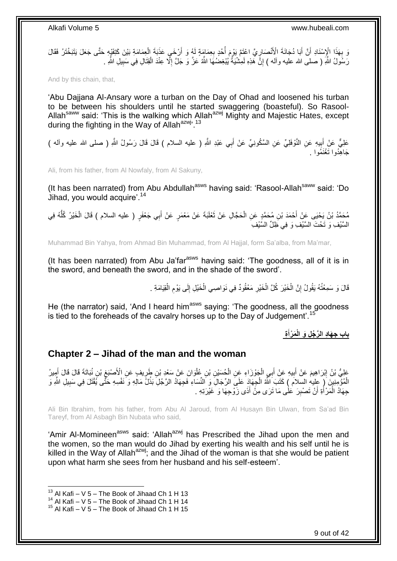ْ َو بِهَذَا الْإِسْنَادِ أَنَّ أَبَا دُجَانَةَ الْأَنْصَارِيَّ اعْتَمَّ يَوْمَ أُخُدٍ بِعِمَامَةٍ لَهُ وَ أَرْخَي عَذَبَةَ الْعِمَامَةِ بَيْنَ كَتِفَيْهِ حَتَّى جَعَلَ يَتَبَخْتَرُ فَقَال<br>وَبِهَذَا الْإِسْنَادِ أَنَّ أَبَا َ ِ ا<br>ا ِ َ اُ **∶** رَسُولُ اللَّهِ ( صلى الله عليه وأله ) إِنَّ هَذِهِ لَمِثْنُيَةٌ يُبْغِضُهَا اللَّهُ عَزَّ وَ جَلَّ إِلَّا عِنْدَ الْقِنَالِ فِي سَبِيلِ اللَّهِ . ِ ِ ْ ِ

And by this chain, that,

'Abu Dajjana Al-Ansary wore a turban on the Day of Ohad and loosened his turban to be between his shoulders until he started swaggering (boasteful). So Rasool-Allah<sup>saww</sup> said: 'This is the walking which Allah<sup>azwj</sup> Mighty and Majestic Hates, except during the fighting in the Way of Allah<sup>azwj, 13</sup>

عَلِيٌّ عَنْ أَبِيهِ عَنِ النَّوْفَلِيِّ عَنِ السَّكُونِيِّ عَنْ أَبِي عَبْدِ اللَّهِ ( عليه السلام ) قَالَ قَالَ رَسُولُ اللَّهِ ( صلى الله عليه وأله ) َ  $\ddot{\phantom{a}}$ َ جَاهِدُوا تَغْنَمُوا <sub>.</sub>

Ali, from his father, from Al Nowfaly, from Al Sakuny,

(It has been narrated) from Abu Abdullah<sup>asws</sup> having said: 'Rasool-Allah<sup>saww</sup> said: 'Do Jihad, you would acquire'.<sup>14</sup>

مُحَمَّدُ بْنُ يَحْيَى عَنْ أَحْمَدَ بْنِ مُحَمَّدٍ عَنِ الْحَجَّالِ عَنْ ثَعْلَبَةَ عَنْ مَعْمَرٍ عَنْ أَبِي جَعْفَرٍ ( عليه السلام ) قَالَ الْخَيْرُ كُلُّهُ فِي<br>محتمد اللہ َ َ ْ ُّ ْ السَّيْفِ وَ تَحْتَ السَّيْفِ وَ فِي ظِلِّ السَّيْفِ

Muhammad Bin Yahya, from Ahmad Bin Muhammad, from Al Hajjal, form Sa'alba, from Ma'mar,

(It has been narrated) from Abu Ja'far<sup>asws</sup> having said: 'The goodness, all of it is in the sword, and beneath the sword, and in the shade of the sword'.

> قَالَ وَ سَمِعْتُهُ يَقُولُ إِنَّ الْخَيْرَ كُلَّ الْخَيْرِ مَعْقُودٌ فِي نَوَاصِي الْخَيْلِ إِلَى يَوْمِ الْقِيَامَةِ . ْ ِ ْ ِ ِ ْ ِ ْ

He (the narrator) said, 'And I heard him<sup>asws</sup> saying: 'The goodness, all the goodness is tied to the foreheads of the cavalry horses up to the Day of Judgement'.<sup>15</sup>

> **باب ِج ِة َهاِد ال َّر ُج ِل َم ْرأ َو الْ َ**

## <span id="page-8-0"></span>**Chapter 2 – Jihad of the man and the woman**

عَلِيُّ بْنُ إِبْرَاهِيمَ عَنْ أَبِيهِ عَنِّ أَبِي الْجَوْزَاءِ عَنِ الْحُسَيْنِ بْنِ عُلُوَانَ عَنْ سَعْدِ بْنِ طَرِيفٍ عَنِ الْأَصْنَغِ بْنِ نُبَاتَةَ قَالَ قَالَ أَمِيرُ ِ ْ ْ ْ َ **!** َ ِ أَ ِ الْمُؤْمِنِينَ ۖ إِ عِليهِ السلامَ ) كَتَبَ اللَّهُ الْجِهَادِ عَلَى الرِّجَالَ وَ النِّسَاءِ فَجِهَادُ الرَّجُلَ بَذْلُ مَالِهِ وَ نَفْسِهِ حَثَّى يُقْتَلَ فِي سَبِيلِ اللَّهِ وَ ْ ِ **ٔ** جِهَادُ الْمَرْأَةِ أَنْ تَصْبِرَ عَلَٰى مَا تَرَى مِنَّ أَذَى زَوْجِهَا وَ غَيْرَتِهِ . َ ِ َ ْ

Ali Bin Ibrahim, from his father, from Abu Al Jaroud, from Al Husayn Bin Ulwan, from Sa'ad Bin Tareyf, from Al Asbagh Bin Nubata who said,

'Amir Al-Momineen<sup>asws</sup> said: 'Allah<sup>azwj</sup> has Prescribed the Jihad upon the men and the women, so the man would do Jihad by exerting his wealth and his self until he is killed in the Way of Allah<sup>azwj</sup>; and the Jihad of the woman is that she would be patient upon what harm she sees from her husband and his self-esteem'.

<sup>&</sup>lt;sup>13</sup> Al Kafi – V 5 – The Book of Jihaad Ch 1 H 13

 $14$  Al Kafi – V 5 – The Book of Jihaad Ch 1 H 14

 $15$  Al Kafi – V 5 – The Book of Jihaad Ch 1 H 15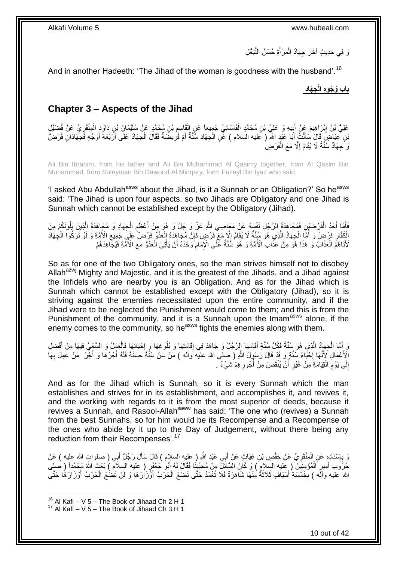نَ فِي حَدِيثٍ آخَرَ جِهَادُ الْمَرْ أَةِ حُسْنُ الثَّبَعُّلِ َ ْ

And in another Hadeeth: 'The Jihad of the woman is goodness with the husband'.<sup>16</sup>

**ِج َهاِد باب ُو ُجو ِه الْ**

### <span id="page-9-0"></span>**Chapter 3 – Aspects of the Jihad**

عَلِّيُّ بْنُ إِبْرَاهِيمَ عَنْ أَبِيهِ وَ عَلِيِّ بْنِ مُحَمَّدٍ الْقَاسَانِيِّ جَمِيعاً عَنِ الْقَاسِمِ بْنِ مُحَمَّدٍ عَنْ سُلَيْمَانَ بْنِ دَاوُدَ الْمِنْقَرِيِّ عَنْ فُضَيْلِ ِ ْ ْ **!** َ <u>֖֓</u> ِ ْ بْنِ عِيَاضٍ قَالَ سَأَلْتُ أَبَا عَبْدٍ اللَّهِ ( عَليه السلام ) عَنِ الْجِهَادِ سُنَّةٌ أَمْ فَرِيضَهٌ فَقَالَ الْجِهَادُ عَلَى أَرْبَعَةِ أَوْجُهٍ فَجِهَادَانِ فَرْضٌ ْ ِ َ ْ َ ْ َ َ َ وَ حِهَادٌ سُنَّةٌ لَا يُقَامُ إِلَّا مَعَ الْفَرْضِ ْ ِ

Ali Bin Ibrahim, from his father and Ali Bin Muhammad Al Qasimy together, from Al Qasim Bin Muhammad, from Suleyman Bin Dawood Al Minqary, form Fuzayl Bin Iyaz who said,

'I asked Abu Abdullah<sup>asws</sup> about the Jihad, is it a Sunnah or an Obligation?' So he<sup>asws</sup> said: 'The Jihad is upon four aspects, so two Jihads are Obligatory and one Jihad is Sunnah which cannot be established except by the Obligatory (Jihad).

مَا أَجَدُ الْفَرْضَيْنِ فَمُجَاهَدَةُ الرَّجُلِ نَفْسَهُ عَنْ مَعَاصِي اللَّهِ عَزَّ وَ جَلَّ وَ هُوَ مِنْ أَعْظَمِ الْجِهَادِ وَ مُجَاهَدَةُ الَّذِينَ يَلُونَكُمْ مِنَ<br>وَفَي الْجَمَادِ ْ َ َ َّ ْ ِ َ الْكُفَّارِ فَرْضِّ وَ أُمَّا الْجِهَادُ الَّذِي ْهُوَ سُنَّةٌ لَا يُقَامُ إِلَّا مَعَ فَرْضٍ فَإِنَّ مُجَاهِدَة الْعُدُوُّ فَرْضَ عَلَى جَمِيعِ الْأُمَّةِ وَ لَوْ تَرَكُّوا الْجِهَادَ ْ ∣lٍ ।<br>∘ َّ ْ َ ِ ْ ِ َلَاَتَاهُمِّ الْعَذَابُ وَ هَذَا هُوَ مِنْ عَذَابِ الْأُمَّةِ وَ هُوَ ٰسُنَّةٌ عَلَى الْإِمَامِ وَحْدَهُ أَنْ يَأْتِيَ الْعَدُوَّ مَعَ الْأُمَّةِ فَيُجَاهِدَهُمْ ْ ْ َ ِ ْ

So as for one of the two Obligatory ones, so the man strives himself not to disobey Allah<sup>azwj</sup> Mighty and Majestic, and it is the greatest of the Jihads, and a Jihad against the Infidels who are nearby you is an Obligation. And as for the Jihad which is Sunnah which cannot be established except with the Obligatory (Jihad), so it is striving against the enemies necessitated upon the entire community, and if the Jihad were to be neglected the Punishment would come to them; and this is from the Punishment of the community, and it is a Sunnah upon the Imam<sup>asws</sup> alone, if the enemy comes to the community, so he<sup>asws</sup> fights the enemies along with them.

|.<br>יִי وَ أَمَّا الْجِهَادُ الَّذِي هُوَ سُنَّةٌ فَكُلُّ سُنَّةٍ أَقَامَهَا الرَّجُلُ وَ جَاهَدَ فِي إِقَامَتِهَا وَ بُلُوغِهَا وَ إِحْيَائِهَا فَالْعَمَلُ وَ السَّعْيُ فِيهَا مِنْ أَفْضَلِ ِ َ َّ ْ َ َ ْ ·<br>∶ الْأَعْمَالِ لَإِنَّـهَا إِحْيَاءُ سُنَّةٍ وَ قَدْ قَالَ رَسُولُ اللَّهِ ( صلى الله عليه وآله ) مَنْ سَنَّ سُنَّةً حَسَنَةً فَلَهُ أَجْرُهَا وَ أَجْرُ ۖ مَنْ عَمِلَ بِهَا َ َ **∶** إِلَى يَوْمِ الْقِيَامَةِ مِنْ غَيْرِ أَنْ يُنْقَصَ مِنْ أَجُورِ هِمْ شَيْءٌ . ِ ِ<br>ا اً **∶** ْ ِ ِ

And as for the Jihad which is Sunnah, so it is every Sunnah which the man establishes and strives for in its establishment, and accomplishes it, and revives it, and the working with regards to it is from the most superior of deeds, because it revives a Sunnah, and Rasool-Allah<sup>saww</sup> has said: 'The one who (revives) a Sunnah from the best Sunnahs, so for him would be its Recompense and a Recompense of the ones who abide by it up to the Day of Judgement, without there being any reduction from their Recompenses'.<sup>17</sup>

َ وَ بِإِسْنَادِهِ عَنِ الْمِنْقَرِيِّ عَنْ حَفْصِ بْنِ غِيَاثٍ عَنْ أَبِي عَبْدِ اللَّهِ ( عِليه السلام ) قَالَ سَأَلَ رَجُلٌ أَبِي ( صلواتٍ الله عِليه ) عَنْ َ َ **∶** ْ ון<br>≀ **∶** ِ حُرُوَبِ أَمِيرٍ الْمُؤْمِنِيَنَ ( عليه السِّلامِ ) وَ كَانَ السَّائِلِّ مِنْ مُحِبِّينَا فَقَالَ لَهُ أَبُو جَعْفَرٍ ( عليه السلامِ ) بَعَثَ اللَّهُ مُحَمَّداً ( صلى َ ْ ِ الله عليه وآلَه ) بِخَمْسَةِ أَسْيَافٍ ثَلَاثَةٌ مِنْهَا شَاهِرَةٌ فَلَا تُغْمَدُ حَتَّى تَضَعَ الْحَرْبُ أَوْزَارَهَا وَ لَنْ تَضْعَ الْحَرْبُ أَوْزَارَهَا حَتَّى َ ْ َ َ ِ َ ْ

 $16$  Al Kafi – V 5 – The Book of Jihaad Ch 2 H 1

 $17$  Al Kafi – V 5 – The Book of Jihaad Ch 3 H 1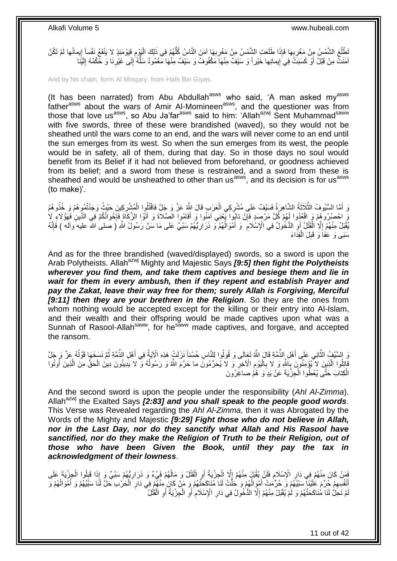مِّنْ مَغْرِبِهَا فَإِذَا طَلَعَتِ الشَّمْسُ مِنْ مَغْرِبِهَا آمَنَ النَّاسُ كُلُّهُمْ فِي ذَلِكَ الْيَوْمِ فَيَوْمَئِذٍ لا يَنْفَعُ نَفْساً إِيمانُها لَمْ تَكُنْ ֦֧<u>֓</u> ِ ٔ<br>ا ِ ْ ُّ ِ ِ ِ اْمَنَثٌّ مِنْ قَبْلُ أَوْ كَسَبَتُّ فِي إِيمانِها خَيْراً وَ سَيْفٌ مِنْهَا مَكْفُوفٌ وَ سَيْفٌ مِنْهَا مَغْمُودٌ سَلْمُ إِلَى غَيْرِنَا وَ حَكْمُهُ إِلَيْنَا **ְיִ** لَ ِ ِ ∣ا<br>∶ ُّ

And by his chain, form Al Minqary, from Hafs Bin Giyas,

(It has been narrated) from Abu Abdullah<sup>asws</sup> who said, 'A man asked my<sup>asws</sup> father<sup>asws</sup> about the wars of Amir Al-Momineen<sup>asws</sup>, and the questioner was from those that love us<sup>asws</sup>, so Abu Ja'far<sup>asws</sup> said to him: 'Allah<sup>azwj</sup> Sent Muhammad<sup>saww</sup> with five swords, three of these were brandished (waved), so they would not be sheathed until the wars come to an end, and the wars will never come to an end until the sun emerges from its west. So when the sun emerges from its west, the people would be in safety, all of them, during that day. So in those days no soul would benefit from its Belief if it had not believed from beforehand, or goodness achieved from its belief; and a sword from these is restrained, and a sword from these is sheathed and would be unsheathed to other than us<sup>asws</sup>, and its decision is for us<sup>asws</sup> (to make)'.

وَ أَمَّا السُّيُوفُ الثَّلاثَةُ الشَّاهِرَةُ فَسَيْفٌ عَلَى مُشْرِكِي الْعَرَبِ قَالَ الثَّهُ عَزَّ وَ جَلَّ فَاقْتُلُوا الْمُشْرِكِينَ حَيْثُ وَجَدْتُمُوهُمْ وَ خُذُوهُمْ ْ ِ َ **:** ِ ْ وَ احْصُرُوهُمْ وَ اقْعُدُوا لَهُمْ كُلَّ مَرْصَدٍ فَإِنْ تابُوا يَبْنِي آمَنُوا وَ أَقامُوا الصِّلاةَ وَ آتَوُا الزَّكَاةَ فَإِخْوانُكُمْ فِي الدِّينِ فَهَؤُلَاءِ لَا<br>وَ احْصُرُوهُمْ وَ اقْعُدُوا إِلَهُمْ كُلَّ مَرْصَدٍ ف َ ِ  $\frac{1}{2}$ يُّقْبَلُ مِنْهُمْ إِلَّا الْقَتْلُ أَوِ الدُّخُولُ فِي الْإِسْلَامَ وَ أَمْوَالُهُمْ وَ ذَرَارِيُّهُمْ سَبْيٌ عَلَى مَا سَنَّ رَسُولُ اللَّهِ ( صلى اللَّه عليه وآله ) فَإِنَّهُ **∶** ٔ<br>ا َ ِ ِ اُ ْ ِ ار<br>پر سَبَى وَ عَفَاً وَ قَبِلَ الْفِذَاءَ ْ **!** 

And as for the three brandished (waved/displayed) swords, so a sword is upon the Arab Polytheists. Allah<sup>azwj</sup> Mighty and Majestic Says **[9:5] then fight the Polytheists** *wherever you find them, and take them captives and besiege them and lie in wait for them in every ambush, then if they repent and establish Prayer and pay the Zakat, leave their way free for them; surely Allah is Forgiving, Merciful [9:11] then they are your brethren in the Religion*. So they are the ones from whom nothing would be accepted except for the killing or their entry into Al-Islam, and their wealth and their offspring would be made captives upon what was a Sunnah of Rasool-Allah<sup>saww</sup>, for he<sup>saww</sup> made captives, and forgave, and accepted the ransom.

وَ السَّنْفُ الثَّانِي عَلَى أَهْلِ الذِّمَّةِ قَالَ اللَّهُ تَعَالَى وَ قُولُوا لِلنَّاسِ حُسْناً نَزَلَتْ هَذِهِ الْآيَةُ فِي أَهْلِ الذِّمَّةِ ثُمَّ نَسَخَهَا قَوْلُهُ عَزَّ وَ جَلَّ اً<br>ا ُ ُ َ قاتِلُوا الَّذِينَ لا يُؤْمِنُونَ بِاللَّهِ وَ لا بِالْيَوْمِ الْآخِرِ وَ لا يُحَرِّمُونَ ما حَرَّمَ اللَّهُ وَ رَسُولُهُ وَ ۖ لا يَدِينُونَ دِينَ الْحَقِّ مِنَ الَّذِينَ أُوتُوا ُ ِ ِ :<br>ا **∶** ِ ر<br>ا ْ اُ َّ الْكِتابَ حَتَّى يُعْطُوا الْجِزْيَةَ عَنْ يَدٍ وَ لَهُمْ صاغِّرُونَ ْ ْ

And the second sword is upon the people under the responsibility (*Ahl Al-Zimma*). Allah<sup>azwj</sup> the Exalted Says **[2:83] and you shall speak to the people good words.** This Verse was Revealed regarding the *Ahl Al-Zimma*, then it was Abrogated by the Words of the Mighty and Majestic *[9:29] Fight those who do not believe in Allah, nor in the Last Day, nor do they sanctify what Allah and His Rasool have sanctified, nor do they make the Religion of Truth to be their Religion, out of those who have been Given the Book, until they pay the tax in acknowledgment of their lowness*.

ِ فَصَلْ كَانَ مِنْهُمْ فِي دَارِ الْإِسْلَامِ فَلَنْ يُقْبَلَ مِنْهُمْ إِلَّا الْجِزْيَةُ إِلَى الْقِتْلُ وَ مَالُهُمْ فَيْءٌ وَ ذَرَارِيُّهُمْ سَبْيٌ وَ إِذَا قَبْلُوا الْجِزْيَةَ عَلَى<br>وَمُنْ كَانَ مِنْهُمْ فِي دَارِ الْ َ ْ **Ban** ِ ¦ ُ ْ ِ ِ أَنْفُسِهِمْ مَوْرِّمَ عَلَيْنَا ۖ سَبْيُهُمْ وَ حُرِّمَتْ أَمْوَالُهُمْ وَ حَلَّتْ لَنَا مَنَاكَحَتَّهُمْ وَ مَنْ كَانَ مِنْهُمٍّ فِي دَارِ ۗ الْحَرْبِ حَلِّ لَّنَا سَبَيْهُمْ وَ أَمْوَالُهُمْ وَ ا<br>ا َ ِ ْ ِ ُ َ لَمْ تَحِلُّ لَنَا مُٰنَاكَحَتُهُمْ وَ لَمْ يُقْبَلْ مِنْهُمْ إِلَّا الدُّخُولُ فِي دَارِ الْإِسْلَامِ أَوِ الْحِزْيَةُ أَوِ الْقَتْلُ **∶** َ ْ **∶** اً ِ ِ ِ ْ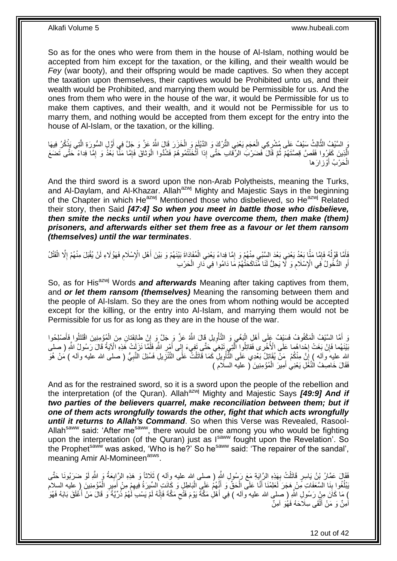So as for the ones who were from them in the house of Al-Islam, nothing would be accepted from him except for the taxation, or the killing, and their wealth would be *Fey* (war booty), and their offspring would be made captives. So when they accept the taxation upon themselves, their captives would be Prohibited unto us, and their wealth would be Prohibited, and marrying them would be Permissible for us. And the ones from them who were in the house of the war, it would be Permissible for us to make them captives, and their wealth, and it would not be Permissible for us to marry them, and nothing would be accepted from them except for the entry into the house of Al-Islam, or the taxation, or the killing.

وَ السَّيْفُ الثَّالِثُ سَيْفٌ عَلَى مُشْرِكِي الْعَجَمِ يَعْنِي التُّرْكَ وَ الدَّيْلَمَ وَ الْخَزَرَ قَالَ اللَّهُ عَزَ وَ جَلَّ فِي أَوَّلِ السُّورَةِ الَّتِي يَذْكُرُ فِيهَا ْ ِ ْ ِ َّ َ **ٔ** َّ الَّذِينَ كَفَرُوا فَقَصَّ قِصَنَتَهُمْ ثُمَّ قَالَ فَضَرْبَ الرِّقابِ حَتَّى إِذا أَثْخَنْتُمُوهُمْ فَشُدُّوا الْوَثاقَ فَإِمَّا مَثَّا بَعْدُ وَ إِمَّا فِداءً حَتَّى تَضمَعَ ן, ْ **ٔ** َ ُ ِ ا الْحَرْبُ أَوْزارَها َ ْ

And the third sword is a sword upon the non-Arab Polytheists, meaning the Turks, and Al-Daylam, and Al-Khazar. Allah<sup>azwj</sup> Mighty and Majestic Says in the beginning of the Chapter in which He<sup>azwj</sup> Mentioned those who disbelieved, so He<sup>azwj</sup> Related their story, then Said *[47:4] So when you meet in battle those who disbelieve, then smite the necks until when you have overcome them, then make (them) prisoners, and afterwards either set them free as a favour or let them ransom (themselves) until the war terminates*.

َّأَمَّا قَوْلُهُ فَإِمَّا مَنًّا بَعْدُ يَعْنِي بَعْدَ السَّبْبِي مِنْهُمْ وَ إِمَّا فِداءً يَعْنِي الْمُفَادَاةَ بَيْنَهُمْ وَ بَيْنَ أَهْلِ الْإِسْلَامِ فَهَؤُلَاءِ لَنْ يُقْبَلَ مِنْهُمْ إِلَّا الْقَتْلُ<br>فَإِسْلامِ ال ا ן<br>יִ ا<br>ا َ ِ َ ْ ِ ِ ْ ا<br>ا أَوِ الدُّخُولُ فِي الْإِسْلَامِ وَ لَّا يَحِلُّ لَنَا مُّنَاكَحَتُّهُمْ مَا دَامُوا فِي دَارِ الْحَرْبِ ِ ِ ْ ِ

So, as for His<sup>azwj</sup> Words **and afterwards** Meaning after taking captives from them, and *or let them ransom (themselves)* Meaning the ransoming between them and the people of Al-Islam. So they are the ones from whom nothing would be accepted except for the killing, or the entry into Al-Islam, and marrying them would not be Permissible for us for as long as they are in the house of the war.

وَ أَمَّا السَّيْفُ الْمَكْفُوفُ فَسَيْفٌ عَلَى أَهْلِ الْبَغْيِ وَ التَّأْوِيلِ قَالَ اللَّهُ عَنَّ وَ جَلَّ وَ إِنْ طائِفَتالِ مِنَ الْمُؤْمِنِينَ اقْتَتَلُوا فَأَصْلِحُوا **∶** ْ ؚ ْ َ ْ َ َ ْ ِ بَّيْنَهُما فَإِنّْ بَغَتْ إِحْداّهُما عَلَى الْأُخْرى فَقَاتِلُوا الَّذِي تَبْغِي َحَتَّى تَفِيءَ إِلَى أَمْرِ اللَّهِ فَلَمَّا نَزَلَتْ هَذِهِ الْآيَةُ قَالَ رَسُولُ اللَّهِ ( صلى َّ **∶**  ِ ِ َ  $\frac{1}{2}$ الله عليهُ وألمه ) إِنَّ مِنْكُمْ ۚ مَنْ يُقَاتِلُ بَعْدِي عَلَى النَّأْوِيلِ كَمَا قَاتَلْتُ عَلَى النَّنْزِيلِ فَسُئِلَ النَّبِيُّ ( صلى الله عليه وأله ) مَنْ هُوَ **∶** ْ ْ ِ فَقَالَ خَاصِفُ الْنُغَلِ يَعْنِي أَمِيرَ الْمُؤْمِنِينَ ( عليه السلام ) ْ َ

And as for the restrained sword, so it is a sword upon the people of the rebellion and the interpretation (of the Quran). Allahazwj Mighty and Majestic Says *[49:9] And if*  two parties of the believers quarrel, make reconciliation between them; but if *one of them acts wrongfully towards the other, fight that which acts wrongfully until it returns to Allah's Command*. So when this Verse was Revealed, Rasool-Allah<sup>saww</sup> said: 'After me<sup>saww</sup>, there would be one among you who would be fighting upon the interpretation (of the Quran) just as  $I<sup>saww</sup>$  fought upon the Revelation'. So the Prophet<sup>saww</sup> was asked, 'Who is he?' So he<sup>saww</sup> said: 'The repairer of the sandal', meaning Amir Al-Momineen<sup>asws</sup>.

فَقَالَ عَمَّارُ بْنُ يَاسِرٍ قَاتَلْتُ بِهَذِهِ الرَّايَةِ مَعَ رَسُولِ النَّهِ ( صلى الله عليه وآله ) ثَلَاثاً وَ هَذِهِ الرَّابِعَةُ وَ اللَّهِ لَوْ ضَرَبُونَا حَتَّى<br>وَفِّي **∶** ْ **∶** َبْلُغُوا بِنَا السَّعَفَاتِ مِّنْ هَجَرَ لَعَلِمْنَا أَنَّا عَلَى الْحَقِّ وَ أَنَّهُمْ عَلَي الْبَاطِلِ وَ كَانَتِ السِّيرَةُ فِيهِمْ مِنْ أَمِيرِ الْمُؤْمِنِينَ ( عليه السلام ْ َ ْ َ **∣** ْ ِ َ ِ ِّ مَا كَانَ مِنٍْ رَسُولِ النَّهِ ( صلى الله عليه وآله ) فِي أَهْلِ مَكَّةً يَوْمَ فَتُحٍ مَكَّةَ فَإِنَّهُ لَمْ يَسْبَ لَٰهُمْ ذُرِّيَّةً وَ قَالَ مَنْ أَغُلَقَ بَابَهُ فَهُوَ ا∣<br>ِ∘ ِ َ َ أَمِنٌ وَ مَنْ أَلْقَى سِلَاحَهُ فَهُوَ آمِنٌ ْ َ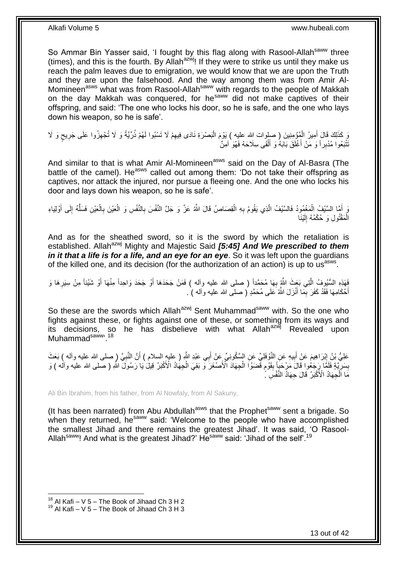So Ammar Bin Yasser said, 'I fought by this flag along with Rasool-Allah<sup>saww</sup> three (times), and this is the fourth. By Allah<sup>azwj</sup>! If they were to strike us until they make us reach the palm leaves due to emigration, we would know that we are upon the Truth and they are upon the falsehood. And the way among them was from Amir Al-Momineen<sup>asws</sup> what was from Rasool-Allah<sup>saww</sup> with regards to the people of Makkah on the day Makkah was conquered, for he<sup>saww</sup> did not make captives of their offspring, and said: 'The one who locks his door, so he is safe, and the one who lays down his weapon, so he is safe'.

وَ كَذَلِكَ قَالَ أَمِيرُ الْمُؤْمِنِينَ ( صلوات الله عليه ) يَوْمَ الْبَصْرَةِ نَادَى فِيهِمْ لَا تَسْبُوا لَهُمْ ذُرِّيَّةً وَ لَا تُجْهِزُوا عَلَى جَرِيحٍ وَ لَا ِ ْ ْ َ ٍ ِ ِ نَتْبَعُوا مُدْبِراً وَ مَنْ أَغْلَقَ بَابَهُ وَ أَلْقَى سِلَاحَهُ فَهُوَ آمِنٌ َ ْ َ

And similar to that is what Amir Al-Momineen<sup>asws</sup> said on the Day of Al-Basra (The battle of the camel). He<sup>asws</sup> called out among them: 'Do not take their offspring as captives, nor attack the injured, nor pursue a fleeing one. And the one who locks his door and lays down his weapon, so he is safe'.

وَ أَمَّا السَّنْفُ الْمَغْمُودُ فَالسَّنْفُ الَّذِي يَقُومُ بِهِ الْقِصَاصُ قَالَ اللَّهُ عَزَّ وَ جَلَّ النَّفْسَ بِالنَّفْسِ وَ الْعَيْنَ بِالْعَيْنِ فَسَلَّهُ إِلَى أَوْلِيَاءِ **∶** ْ **∶** َّ ْ َ َ ِ ُّ ْ ِ ْ الْمَقْتُولِ وَ حُكْمُهُ إِلَيْنَا لَ  $\frac{1}{2}$ ْ

And as for the sheathed sword, so it is the sword by which the retaliation is established. Allah<sup>azwj</sup> Mighty and Majestic Said *[5:45] And We prescribed to them in it that a life is for a life, and an eye for an eye.* So it was left upon the guardians of the killed one, and its decision (for the authorization of an action) is up to us<sup>asws</sup>.

فَهَذِهِ السُّيُوفُ الَّتِي بَعِثَ اللَّهِ بِهَا مُحَمَّداً ( صلى الله عليه وأله ) فَمَنْ جَحَدَهَا أَو جَحَدَ وَاحِداً مِنْهَا أَوْ شَيْئاً مِنْ سِيَرِهَا وَ َ ِ ر<br>إ ِ َ أَحْكَامِهَا فَقَدْ كَفَرَ بِمَا أَنْزَلَ اللَّهُ عَلَى مُحَمَّدٍ ُ( صلـّى الله عليه وآلـه ) . َ ِ َ

So these are the swords which Allah<sup>azwj</sup> Sent Muhammad<sup>saww</sup> with. So the one who fights against these, or fights against one of these, or something from its ways and its decisions, so he has disbelieve with what Allahazwi Revealed upon Muhammad<sup>saww, 18</sup>

عَلِيُّ بْنُ إِبْرَاهِيمَ عَنْ أَبِيهِ عَنِ النَّوْفَلِيِّ عَنِ السَّكُونِيِّ عَنْ أَبِي عَبْدِ اللَّهِ ( عليه السلام ) أَنَّ النَّبِيَّ ( صلى الله عليه وأله ) بَعَثَ َ َ **!** َ ِ ِ بِسَرِيَّةٍ فَلَمَّا رَجَعُوا قَالَ مَرْحَبِاً بِقَوْمٍ قَضوُاً الْجِهَادَ ٱلْأَصْغَرَ وَّ بَقِيَ الْجِهَادُ الْأَكْبَرُ قِيلَ يَا رَسُولَ النَّهِ ( صلى الله عليه وآله ) وَ ْ ْ ٍ **ِ** ِ مَا الْجِهَادُ الْأَكْبَرُ قَالَ جِهَادُ النَّفْسِ ۖ أَ ْ

Ali Bin Ibrahim, from his father, from Al Nowfaly, from Al Sakuny,

(It has been narrated) from Abu Abdullah<sup>asws</sup> that the Prophet<sup>saww</sup> sent a brigade. So when they returned, he<sup>saww</sup> said: 'Welcome to the people who have accomplished the smallest Jihad and there remains the greatest Jihad'. It was said, 'O Rasool-Allahsamwest saturation and alleged the many speakers said: 'Jihad of the self'.<sup>19</sup>

 $18$  Al Kafi – V 5 – The Book of Jihaad Ch 3 H 2

 $19$  Al Kafi – V 5 – The Book of Jihaad Ch 3 H 3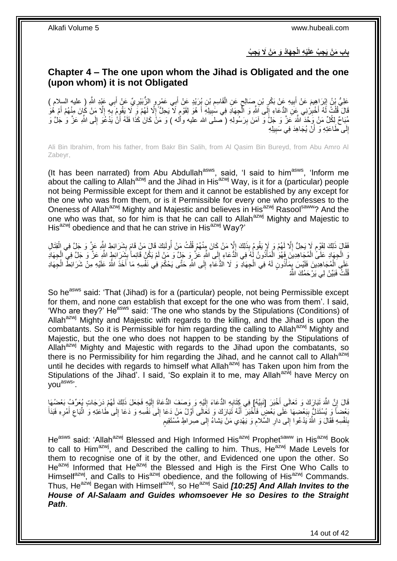**ِج ُب ِج َهاُد َو َم ْن ََل َي ْي ِه الْ ِج ُب َعلَ باب َم ْن َي**

### <span id="page-13-0"></span>**Chapter 4 – The one upon whom the Jihad is Obligated and the one (upon whom) it is not Obligated**

عَلِيُّ بِنُ إِبْرَاهِيمَ عَنْ أَبِيهِ عَنْ بَكْرِ بْنِ صَالِحٍ عَنِ الْقَاسِمِ بْنِ بُرَيْدٍ عَنْ أَبِي عَمْرٍ وِ الزُّبَيْرِيِّ عَنْ أَبِي عَيْدِ اللَّهِ ( عليه السلام ) **∶** َ ِ ْ Į ِ ِ َ ِ َ قَالَ قُلْتُ لَمُهُ أَخْبِرْنِي عَنِ الدُّعَاءِ إِلَى اَللَّهِ وَ الْجِهَادِ فِي سَبِيلِهِ أَ هُوَ لِقَوْمٍ لَآ يَحِلُّ إِلَّا لَهُمْ وَ ِ لَا يَقُومُ بِهِ إِلَّا مَنْ كَإِنَ مِنْهُمْ أَمْ هُوَ **!** ْ ِ  $\frac{1}{2}$ ֖֖֧֧֚֚֚֚֚֚֝֝֝֝֝֝֝֟֓֝֓֟֓֟֓֟֓֝֬֝֓֝ َ ِ ا<br>ا ِ َ ا<br>ا مُبَاحٌ لِكُلِّ مَنْ وَحَدٍّ اللَّهَ عَزَّ وَ جَلَّ وَ اَمَنَ بِرَسُولِهِ ( صلمَى الله عليه وأله ) وَ مَنْ كَانَ كَذَا فَلَهُ أَنْ يَدْعُوَ إِلَى اللَّهِ عَزَّ وَ جَلْ وَ ِ ِ َ إِلَى طَاعَتِهِ وَ أَنْ يُجَاهِدَ فِي سَبِيلِهِ **!** َ ِ

Ali Bin Ibrahim, from his father, from Bakr Bin Salih, from Al Qasim Bin Bureyd, from Abu Amro Al Zabeyr,

(It has been narrated) from Abu Abdullah<sup>asws</sup>, said, 'I said to him<sup>asws</sup>, 'Inform me about the calling to Allah<sup>azwj</sup> and the Jihad in His<sup>azwj</sup> Way, is it for a (particular) people not being Permissible except for them and it cannot be established by any except for the one who was from them, or is it Permissible for every one who professes to the Oneness of Allah<sup>azwj</sup> Mighty and Majestic and believes in His<sup>azwj</sup> Rasool<sup>saww</sup>? And the one who was that, so for him is that he can call to Allah<sup>azwj</sup> Mighty and Majestic to His<sup>azwj</sup> obedience and that he can strive in His<sup>azwj</sup> Way?'

فَقَالَ ذَلِكَ لِقَوْمٍ لَا يَحِلُّ إِلَّا لَهُمْ وَ لَإِ يَقُومُ بِذَلِكَ إِلَّا مَنْ كَانَ مِِنْهُمْ قُلْتُ مَنْ أُولَئِكَ قَالَ مَنْ قَامَ بِشَرَائِطِ اللَّهِ عَزَّ وَ جَلَّ فِي الْقِتَالِ ْ  $\frac{1}{2}$ ِ ٍ ْ ِ وَ اِلْجِهَادِ عَلَىُّ الْمُجَاهِدِينَ فَهُوَ الْمَأْذُونُ لَٰهُ فِي الَّذْعَاءِ إِلَى اللَّهِ عَزَّ وَ جَلَّ وَ مَنْ لَمْ يَكُنْ قَائِماً بِثَنَزَ ائِطٍ اللَّهِ عَزَ مَلَّ عَنَّ وَ جَلَّ فِي الْجِهَادَ ِ ِ ْ ْ ْ ْ عَلَى الْمُجَاهِدِينَ فَلَيْسَ بِمَأْذُونٍ لَهُ فِي الْجِهَادِّ وَ لَا الدُّعَاءِ إِلَى اللَّهِ حَتَّى يَحْكُمَ فِي نَفْسِهِ مَا أَخَذَ اللَّهُ عَلَيْهِ مِنْ شَرَائِطٌ الْجِهَادِ  $\frac{1}{2}$ ْ ْ ِ ْ ْ َ قُلْتُ فَبَيِّنْ لِّي يَرْ حَمُّكَ الثُّهُ ْ

So he<sup>asws</sup> said: 'That (Jihad) is for a (particular) people, not being Permissible except for them, and none can establish that except for the one who was from them'. I said, 'Who are they?' Heasws said: 'The one who stands by the Stipulations (Conditions) of Allah<sup>azwj</sup> Mighty and Majestic with regards to the killing, and the Jihad is upon the combatants. So it is Permissible for him regarding the calling to Allah<sup>azwj</sup> Mighty and Majestic, but the one who does not happen to be standing by the Stipulations of Allah $a^{2xy}$  Mighty and Majestic with regards to the Jihad upon the combatants, so there is no Permissibility for him regarding the Jihad, and he cannot call to Allah<sup>azwj</sup> until he decides with regards to himself what Allah<sup>azwj</sup> has Taken upon him from the Stipulations of the Jihad'. I said, 'So explain it to me, may Allah<sup>azwj</sup> have Mercy on you<sup>asws</sup>'.

قَالَ إِنَّ اللَّهَ تَبَارَكَ وَ تَعَالَى أَخْبَرَ [نَبِيَّهُ] فِي كِتَابِهِ الدُّعَاءَ إِلَيْهِ وَ وَصَفَ الدُّعَاةِ إِلَيْهِ فَجَعَلَ ذَلِكَ لَهُمْ دَرَجَاتٍ يُعَرِّفُ بَعْضُهَا <u>์</u> لَ ِ لَ ِ ِ ِ بَعْضاً وَ يُسْتَدَلُّ بِبَعْضِهَا عَلَى بَعْضٍ فَأَخْبَرَ أَنَّهُ نَبَارَكَ وَ تَعَالَى أَوَّلُ مَنْ دَعَا إِلَى نَفْسِهِ وَ دَعَا إِلَى طَاعَتِهِ وَ اتَّبَاع أَمْرِهِ فَبَدَأَ َ َ ا<br>ا **ِ** َ ِ َ ِ ِ ِ ٍ بِنَفْسِهِ فَقَالَ وَ اللَّهُ يَدْعُوا إِلَى دَارِ السَّلامِ وَ يَهْدِي مَنْ يَشاءُ إِلَى صِراطٍ مُسْتَقِيمِ ِ ِ ِ ِ **ِ** 

He<sup>asws</sup> said: 'Allah<sup>azwj</sup> Blessed and High Informed His<sup>azwj</sup> Prophet<sup>saww</sup> in His<sup>azwj</sup> Book to call to Him<sup>azwj</sup>, and Described the calling to him. Thus, He<sup>azwj</sup> Made Levels for them to recognise one of it by the other, and Evidenced one upon the other. So Heazwj Informed that Heazwj the Blessed and High is the First One Who Calls to Himselfazwj, and Calls to His<sup>azwj</sup> obedience, and the following of His<sup>azwj</sup> Commands. Thus, He<sup>azwj</sup> Began with Himself<sup>azwj</sup>, so He<sup>azwj</sup> Said *[10:25] And Allah Invites to the House of Al-Salaam and Guides whomsoever He so Desires to the Straight Path*.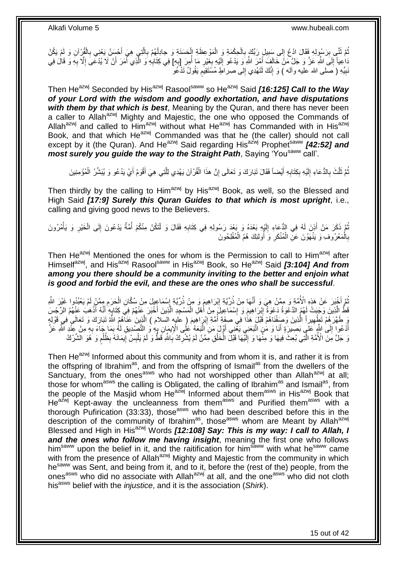ثُمَّ ثَنَّي بِرَسُولِهِ فَقَالَ ادْعُ إِلَى سَبِيلٍ رَبِّكَ بِالْحِكْمَةِ وَ الْمَوْعِظَةِ الْمَسْنَةِ وَ جادِلْهُمْ بِالَّتِي هِيَ أَحْسَنُ يَعْنِي بِالْقُرْآنِ وَ لَمْ يَكُنْ **ٔ** َ َّ ِ ْ ْ ْ ْ ِ **!**  $\frac{1}{2}$ ْ ِ َدَاْعِياً إِلَى اللَّهِ عَزَّ وَ جَلَّ مَنْ خَالَفَ أَمْرَ اللَّهِ وَ يَدْعُو إِلَيْهِ بِغَيْرِ مَا أُمِرَ [بِهِ] فِي كِتَابِهِ وَ الَّذِي أَمَرَ أَنْ لَا يُدْعَى إِلَّا بِهِ وَ قَالَ فِي **∶** لَ ِ َ  $\frac{1}{2}$ ِ ا<br>ا َ َ َّ ِ ; ا<br>ا ِ نَبِيِّهِ ( َصلـى الله عليه وأله ) وَ إِنَّكَ لَتَهْدِي إِلـى صِر اطٍ مُسْتَقِيَم يَقُولُ تَذْكُو ֧֧֧֧֧֧֧֧֓֝֓֝֓֝֓֝֬֟֓֟֓֓֓֟֓֓֟֓֓<del>֛</del> ∣∣<br>∶ ِ **!** 

Then He<sup>azwj</sup> Seconded by His<sup>azwj</sup> Rasool<sup>saww</sup> so He<sup>azwj</sup> Said **[16:125] Call to the Way** *of your Lord with the wisdom and goodly exhortation, and have disputations with them by that which is best*, Meaning by the Quran, and there has never been a caller to Allah<sup>azwj</sup> Mighty and Majestic, the one who opposed the Commands of Allah<sup>azwj</sup> and called to Him<sup>azwj</sup> without what He<sup>azwj</sup> has Commanded with in His<sup>azwj</sup> Book, and that which He<sup>azwj</sup> Commanded was that he (the caller) should not call except by it (the Quran). And He<sup>azwj</sup> Said regarding His<sup>azwj</sup> Prophet<sup>saww</sup> [42:52] and most surely you guide the way to the Straight Path, Saying 'You<sup>saww</sup> call'.

نُّمَ ثَلَّثَ بِالدُّعَاءِ إِلَيْهِ بِكِتَابِهِ أَيْضاً فَقَالَ نَبَارَكَ وَ تَعَالَى إِنَّ هذَا الْقُرْآنَ يَهْدِي لِلَّتِي هِيَ أَقْوَمُ أَيْ يَدْعُو وَ يُبَشِّرُ الْمُؤْمِنِينَ َّ ْ ِ **∶** ِ لَ  $\frac{1}{2}$ **∶** ٌٔ فی ْ َ َ

Then thirdly by the calling to Him<sup>azwj</sup> by His<sup>azwj</sup> Book, as well, so the Blessed and High Said *[17:9] Surely this Quran Guides to that which is most upright*, i.e., calling and giving good news to the Believers.

نُّمَّ ذَكَرَ مَنْ أَذِنَ لَهُ فِي الدُّعَاءِ إِلَيْهِ بَعْدَهُ وَ بَعْدَ رَسُولِهِ فِي كِتَابِهِ فَقَالَ وَ لْتَكُنْ مِنْكُمْ أُمَّةٌ يَدْعُونَ إِلَى الْخَيْرِ وَ يَأْمُرُونَ لَ ∣∣<br>∶ َ ا<br>أ ِ ْ ِ ْ ِ بِالْمَعْرُوفِ وَ يَنْهَوْنَ عَنِّ الْمُنْكَرِ وَ أُولئِكَ هُمُ الْمُفْلِحُونَ ْ ُ ِ ْ ْ **∶** 

Then He<sup>azwj</sup> Mentioned the ones for whom is the Permission to call to Him<sup>azwj</sup> after Himself<sup>azwj</sup>, and His<sup>azwj</sup> Rasool<sup>saww</sup> in His<sup>azwj</sup> Book, so He<sup>azwj</sup> Said *[3:104] And from among you there should be a community inviting to the better and enjoin what is good and forbid the evil, and these are the ones who shall be successful*.

ُمَّ أَخْبَرَ عَنْ هَذِهِ الْأُمَّةِ وَ مِمَّنْ هِيَ وَ أَنَّهَا مِنْ ذُرِّيَّةِ إِبْرَاهِيمَ وَ مِنْ ذُرِّيَّةٍ إِسْمَاعِيلَ مِنْ سُكَّانِ الْحَرَمِ مِمَّنْ لَمْ يَعْبُدُوا غَيْرَ اللَّهِ ِ ِ َ َ ُ ِ ْ قَطَّ الَّذِينَ وَجَبَتْ لَهُمُ الدَّعْوَةُ دَعْوَةٌ إِبْرَاهِيمَ وَ إِسْمَاعِيلَ مِنْ أُهْلِ الْمَسْجِدِ الَّذِينَ أَخْبَرَ عَفْهُمْ فِيَ كِتَابِهِ أَنَّهُ أَذْهَبَ عَنْهُمُ الرِّجْسَ **∶** َّ **ٔ** َ َ ِ َ َّ ْ ا<br>أ ∣l<br>∶ وَ طَهَّرَهُمْ تَطْعِيراً الَّذِينَ وَصَفْنَاهُمْ قَبْلَ هَذَا فِيَ صفِةٍ أُمَّةِ إِبْرِاهِيمَ ( عَليه السلام ) الَّذِينَ عَنَاهُمُ اللَّهُ تَبَارَكَ وَ تَعَالَى فِي قَوْلِهِ َّ ِ ان<br>ا ٔ<br>ا ِ أَدْعُوا إِلَىٰ اللَّهِ عَلَى بَصِيرَةٍ أَنَا وَ مَنِ اتَّبَعَنِي يَغْنِي أَوَّلَ مَنِ اتَّبَعَهُ عَلَى الْإِيمَانِ بِهِ وَ التَّصْدِيقِ لَهُ بِمَا جَاءَ بِهِ مِنْ عِنْدِ اللَّهِ عَنَّ ្រុ َ יִי<br>י ر<br>ا ِ ِ وَ جَلَّ مِنَ الْأُمَّةِ الَّتِي بُعِثَ فِيهَا وَ مِنّْهَا وَ إِلَّيْهَا قَبْلَ الْخَلْقِ مِمَّنْ لَمْ يُشْرِكْ بِاشَّهِ قَطُّ وَ لَمْ يَلْبِسْ إِيمَانَهُ بِظُلْمٍ وَ هُوَ الشَّرْكُ َّ ْ ِ ِ ِ ْ ِ ِ ْ ْ لَ ِ ֧֖֧֖֖֖֖֖֧֖֖֧֧֧֧ׅ֧֧֧֧֧֧֧֧֧֧֧֧֚֚֚֚֚֚֚֚֝֝֟֓֝֓֝֓֝֬֟֓֟֓֝֬֝֬֝֓֝֬֜֓֝֬֜֓֝֬֝֓֝֬֝֓֝֬֝֬֓֝֬֝֬֝

Then He<sup>azwj</sup> Informed about this community and from whom it is, and rather it is from the offspring of Ibrahim<sup>as</sup>, and from the offspring of Ismail<sup>as</sup> from the dwellers of the Sanctuary, from the ones<sup>asws</sup> who had not worshipped other than Allah<sup>azwj</sup> at all; those for whom<sup>asws</sup> the calling is Obligated, the calling of Ibrahim<sup>as</sup> and Ismail<sup>as</sup>, from the people of the Masjid whom He<sup>azwj</sup> Informed about them<sup>asws</sup> in His<sup>azwj</sup> Book that He<sup>azwj</sup> Kept-away the uncleanness from them<sup>asws</sup> and Purified them<sup>asws</sup> with a thorough Pufirication (33:33), those<sup>asws</sup> who had been described before this in the description of the community of Ibrahim<sup>as</sup>, those<sup>asws</sup> whom are Meant by Allah<sup>azwj</sup> Blessed and High in His<sup>azwj</sup> Words **[12:108] Say: This is my way: I call to Allah, I** *and the ones who follow me having insight*, meaning the first one who follows him<sup>saww</sup> upon the belief in it, and the raitification for him<sup>saww</sup> with what he<sup>saww</sup> came with from the presence of Allah<sup>azwj</sup> Mighty and Majestic from the community in which he<sup>saww</sup> was Sent, and being from it, and to it, before the (rest of the) people, from the ones<sup>asws</sup> who did no associate with Allah<sup>azwj</sup> at all, and the one<sup>asws</sup> who did not cloth hisasws belief with the *injustice*, and it is the association (*Shirk*).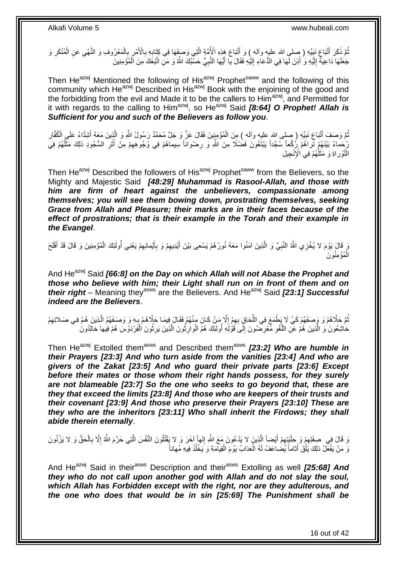ُّمَّ ذَكَرَ أَتْبَاعَ نَبِيِّهِ ( صِلْىِ الله عليه وآله ) وَ أَتْبَاعَ هَذِهِ الْإُمَّةِ الَّذِي وَصَفَهَا فِي كِتَابِهِ بِالْأَمْرِ بِالْمَعْرُوفِ وَ النَّهْيِ عَنِ الْمُنْكَرِ وَ **∶ ∶** َّ **∣** َ ْ **∶** ¦ ِ ْ ِ جَعَلَهَا دَاعِيَةٌ إِلَيْهِ وَ ُ أَذِنَ لَّهَا فِي الدُّعَاءِ إِلَيْهِ فَقَالَ يا أَيُّهَا النَّبِيُّ حَسْبُكَ الثَّهُ وَ مَنِّ اتَّبَعَكَ مِنَ اَلْمُؤْمِنِينَ ِ َ لَ ِ َ لَ יִי (ו ْ

Then He<sup>azwj</sup> Mentioned the following of His<sup>azwj</sup> Prophet<sup>saww</sup> and the following of this community which He<sup>azwj</sup> Described in His<sup>azwj</sup> Book with the enjoining of the good and the forbidding from the evil and Made it to be the callers to Him<sup>azwj</sup>, and Permitted for it with regards to the calling to Himazwj, so Heazwj Said *[8:64] O Prophet! Allah is Sufficient for you and such of the Believers as follow you*.

ُّمَّ وَصَفَ أَثْبَاعَ نَبِيِّهِ ( صِلِّي الله عليه وآله ) مِنَ الْمُؤْمِنِينَ فَقَالَ عَزَّ وَ جَلَّ مُحَمَّدٌ رَسُولُ اللَّهِ وَ الَّذِينَ مَعَهُ أَشِدَّاءُ عَلَى الْمُفَّارِ ْ ِ َ ُ َ َّ ِ َ رُحَماءُ بَيْنَهُمْ ثَراهُمْ رُكِّعاً سَمجَداً يَبْتَغُونَ فَضْلًا مِنَ اللَّهِ وَ رِضْواناً سِيماهُمْ فِي وُجُوهِهِمْ مِنْ أَثَرِ السُّجُودِ ذلِكَ مَثَّلُهُمْ فِيَ ِ **∶** ُ َ ِ التَّوْراةِ وَ مَثَلُّهُمْ فِي الْإِنْجِيلِ ؚ<br>ا ٔ.

Then He<sup>azwj</sup> Described the followers of His<sup>azwj</sup> Prophet<sup>saww</sup> from the Believers, so the Mighty and Majestic Said *[48:29] Muhammad is Rasool-Allah, and those with him are firm of heart against the unbelievers, compassionate among themselves; you will see them bowing down, prostrating themselves, seeking Grace from Allah and Pleasure; their marks are in their faces because of the effect of prostrations; that is their example in the Torah and their example in the Evangel*.

يَ وَّلَ يَوْمَ لا يُخْزِي اللَّهُ النَّبِيَّ وَ الَّذِينَ آمَنُوا مَعَهُ نُورُهُمْ يَسْعى بَيْنَ أَيْدِيهِمْ وَ بِأَيْمانِهِمْ يَعْنِي أُولَئِكَ الْمُؤْمِنِينَ وَ قَالَ قَدْ أَفْلَحَ **∶** ْ ِ َ **∶** ِ َ لَ َ الْمُؤْمِنُونَ ْ

And He<sup>azwj</sup> Said *[66:8] on the Day on which Allah will not Abase the Prophet and those who believe with him; their Light shall run on in front of them and on*  their right – Meaning they<sup>asws</sup> are the Believers. And He<sup>azwj</sup> Said *[23:1] Successful indeed are the Believers*.

نُّمَّ حَلَّاهُمْ وَ وَصَفَهُمْ كَيْ لَا يَطْمَعَ فِي اللَّحَاقِ بِهِمْ إِلَّا مَنْ كَانَ مِنْهُمْ فَقَالَ فِيمَا حَلَّاهُمْ بِهِ وَ وَصَفَهُمْ الَّذِينَ هُمْ فِي صَلاتِهِمْ ِ ِ ِّ ِ َّ ِ خَاشِعُونَ وَ الَّذِينَ هُمْ عَنِّ اللَّغْوِ مُّعْرِضْمُونَ إِلَى َقَوْٰلَِهِ أُولئِكَ هُمُ الْوارِثُونَ الَّذِينَ يَرِثُونَ الْفَوْدَوْسَ هُمْ فِيها خالِدُونَ ْ ان<br>المقام ِ َّ روبا<br>سا ِ ُ ِ ِ **∶** 

Then He<sup>azwj</sup> Extolled them<sup>asws</sup> and Described them<sup>asws</sup> [23:2] Who are humble in *their Prayers [23:3] And who turn aside from the vanities [23:4] And who are givers of the Zakat [23:5] And who guard their private parts [23:6] Except before their mates or those whom their right hands possess, for they surely are not blameable [23:7] So the one who seeks to go beyond that, these are they that exceed the limits [23:8] And those who are keepers of their trusts and their covenant [23:9] And those who preserve their Prayers [23:10] These are they who are the inheritors [23:11] Who shall inherit the Firdows; they shall abide therein eternally*.

وَ قَالَ فِي حِبفَتِهِمْ وَ حِلْيَتِهِمْ أَيْضاً الِّذِينَ لا يَدْعُونَ مَعَ اللَّهِ إِلٰهاً آخَرَ وَ لا يَقْتُلُونَ النَّفْسَ الَّتِي حَرَّمَ اللَّهُ إِلَّا بِالْحَقِّ وَ لا يَزْنُونَ  $\frac{1}{2}$ َّ َ ِ :<br>ا ِ ْ ِ ِ وَ مَنْ يَفْعَلْ ذلِكَ يَلْقَ أَنْاماً يُضاعَفْ لَهُ الْعَذابُ يَوْمَ الْقِيلَمَةِ وَ يَخْلُدْ فِيهِ مُهاناً ُ ْ ْ َ ْ

And He<sup>azwj</sup> Said in their<sup>asws</sup> Description and their<sup>asws</sup> Extolling as well [25:68] And *they who do not call upon another god with Allah and do not slay the soul, which Allah has Forbidden except with the right, nor are they adulterous, and the one who does that would be in sin [25:69] The Punishment shall be*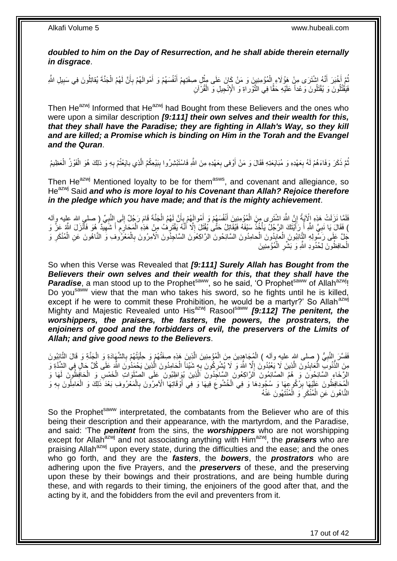*doubled to him on the Day of Resurrection, and he shall abide therein eternally in disgrace*.

ُمَّ أُخْبَرَ ۖ أَنَّهُ اشْتَرَى مِنْ هَؤُلَاءِ الْمُؤْمِنِينَ وَ مَنْ كَانَ عَلَى مِثْلِ صِفَتِهِمْ أَنْفُسَهُمْ وَ أَمْوالَهُمْ بِأَنَّ لَهُمُ الْجَنَّةَ يُقاتِلُونَ فِي سَبِيلِ اللَّهِ َ َ ِ ْ ْ َ ُ ِ ْ َ ِ ُ فَيَقْتُلُونَ وَ يُقْتَلُونَ وَعْداً عَلَيْهِ حَقًّا فِي النَّوْراةِ وَ الْإِنْجِيلِ وَ الْقُرْآنِ ْ ا

Then He<sup>azwj</sup> Informed that He<sup>azwj</sup> had Bought from these Believers and the ones who were upon a similar description *[9:111] their own selves and their wealth for this, that they shall have the Paradise; they are fighting in Allah's Way, so they kill*  and are killed; a Promise which is binding on Him in the Torah and the Evangel *and the Quran*.

ُّمَّ ذَكَرَ وَفَاءَهُمْ لَهُ بِعَهْدِهِ وَ مُبَايَعَتِهِ فَقَالَ وَ مَنْ أَوْفى بِعَهْدِهِ مِنَ اللَّهِ فَاسْتَبْشِرُوا بِبَيْعِكُمُ الَّذِي بايَعْتُمْ بِهِ وَ ذلِكَ هُوَ الْفَوْزُ الْعَظِيمُ ِ َ **∶** ْ ْ ِ َّ ِ

Then He<sup>azwj</sup> Mentioned loyalty to be for them<sup>asws</sup>, and covenant and allegiance, so He<sup>azwj</sup> Said and who is more loyal to his Covenant than Allah? Rejoice therefore *in the pledge which you have made; and that is the mighty achievement*.

فَلَمَّا نَزَلَتْ هَذِهِ الْآيَةُ إِنَّ اللَّهَ اشْتَرى مِنَ الْمُؤْمِنِينَ أَنْفُسَهُمْ وَ أَمْوالَهُمْ بِأَنَّ لَهُمُ الْجَنَّةَ قَامَ رَجُلٌ إِلَى النَّبِيِّ ( صلى الله عليه وآله ْ أ ِ َ َ ْ ֧֝֝֝֝֝֝֝֝֝֝֝֝֝֝֝֝֝֝֝֝֝֝֝֝<del>֖֖֟</del> ِ ِ ) فَقَالَ يَا نَبِيَّ اللَّهِ أَ رَأَيْتَكَ الرَّجُلُ يَأْخُذُ سَيْفَهُ فَيُقَاتِلُ حَتَّىٰ يُقْتَلَ إِلَّا أَنَّهُ يَقْتَرِفْ مِنْ هَذِهِ الْمَجَارِمِ أَ شَهِيدٌ هُوَ فَأَنْزَلَ اللَّهُ عَنَّ وَ ْ َ َ ِ َ ِ َ ِ ِ ْ **ٍ** َ ِ جُلَّ عَلَى رَسْوِلِهِ النَّائِبُونَ الْعابِدُونَ الْحامِدُونَ السَّائِحُونَ الرَّاكِعُوَنَ السَّاجِذُونَ الْأمِرُونَ بِالْمَعْرُوفِ وَ النَّاهُونَ عَنِ الْمُنْكَرِ وَ ْ ِ ¦ ْ ِ ْ الْحافِظُونَ لِّحُدُّودِ اللَّهِ وَ بَشَّرِ الْمُؤْمِنِينَ ْ ِ

So when this Verse was Revealed that *[9:111] Surely Allah has Bought from the Believers their own selves and their wealth for this, that they shall have the*  **Paradise**, a man stood up to the Prophet<sup>saww</sup>, so he said, 'O Prophet<sup>saww</sup> of Allah<sup>azwj</sup>! Do you<sup>saww</sup> view that the man who takes his sword, so he fights until he is killed, except if he were to commit these Prohibition, he would be a martyr?' So Allah<sup>azwj</sup> Mighty and Majestic Revealed unto His<sup>azwj</sup> Rasool<sup>saww</sup> [9:112] The penitent, the *worshippers, the praisers, the fasters, the powers, the prostraters, the enjoiners of good and the forbidders of evil, the preservers of the Limits of Allah; and give good news to the Believers*.

ِ فَفَسَّرَ إِلنَّبِيُّ ( صلى اللهِ عليه وآله ) الْمُجَاهِدِينَ مِنَ الْمُؤْمِنِينَ الَّذِينَ هَذِهِ صِفَتُهُمْ وَ حِلْيَتُهُمْ بِالشَّهَادَةِ وَ الْجَنَّةِ وَ قَالَ التَّائِبُونَ ْ َّ ْ ْ **∶** ْ مِنَ الذَّنُوبَ الْعَابِدُونَ الَّذِينَ لَا يَعْبُدُونَ إِلَّا اللَّهَ وَ لَا يُشْرِكُونَ بِهِ شَيْئاً الْحَامِدُونَ الَّذِينَ يَحْمِدُونَ اللَّهَ عَلَى كُلِّ حَالٍ فِي الشِّدَّةِ وَ ِ َّ **∣** ْ َّ ْ **∶** ِ الرَّخَاءِ ِ السَّائِحُونَ ۚ وَ هُمُ الصَّائِمُونَ ۖ اَلَّا اِكِعُونَ ۚ اللَّهَ الْحَذِينَ ۚ يُوَ الْخُبُونَ ۚ عَلَى ۚ الصَّلَوَاتِ الْخَمْسِ ۖ وَ الْحَافَظُونَ ۚ لَهَا ۖ وَ ْ َّ الْمُحَافِظُونَ عَلَيْهَا بِرُكُوعِهَا وَ سُجُودِهَا وَ فِي الْخُشُوعَ فِيهَا وَ فِي أَوْقَاتِهَا الْأَمِرُونَ بِالْمَعْرُوفِ بَعْدَ ذَلِكَ وَ الْعَامِلُونَ بِهِ وَ ْ ِ َ ِ ِ **∶** ْ النَّاهُونَ عَنِ الْمُنْكَرِ وَ الْمُنْتَهُونَ عَنْهُ ْ ِ ْ

So the Prophet<sup>saww</sup> interpretated, the combatants from the Believer who are of this being their description and their appearance, with the martyrdom, and the Paradise, and said: 'The *penitent* from the sins, the *worshippers* who are not worshipping except for Allah<sup>azwj</sup> and not associating anything with Him<sup>azwj</sup>, the **praisers** who are praising Allah<sup>azwj</sup> upon every state, during the difficulties and the ease; and the ones who go forth, and they are the *fasters*, the *bowers*, the *prostrators* who are adhering upon the five Prayers, and the *preservers* of these, and the preserving upon these by their bowings and their prostrations, and are being humble during these, and with regards to their timing, the enjoiners of the good after that, and the acting by it, and the fobidders from the evil and preventers from it.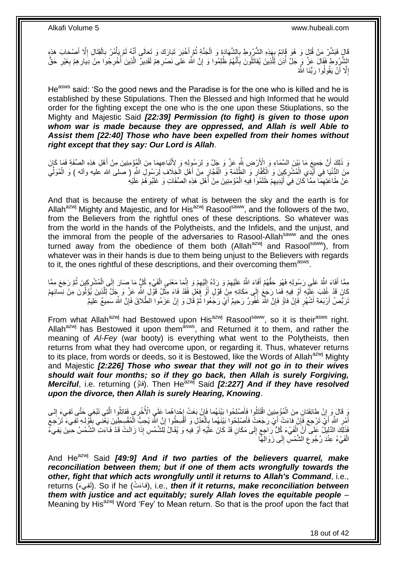قَالَ فَبَشَّرْ مَنْ قُتِلٍ وَ هُوَ قَائِمٌ بِهَذِهِ الشَّرُوطِ بِالشَّهَادَةِ وَ الْجَنَّةِ ثُمَّ أَخْبَرَ تَبَارَكَ وَ تَعَالَى أَنَّهُ لَمْ بَأْمُرْ بِالْقِتَالِ إِلَّا أَصْحَابَ هَذِهِ َ ان<br>المقامات ْ ِ ِ َ ِ ْ ِ ْ َ الشُّرُوطِ فَقَالَ عَزَّ وَ جَلَّ أُذِنَ لِلَّذِينَ يُقاتَلُونَ بِآَنَهُمْ ظُلِمُوا وَ إِنَّ اللَّهَ عَلَى نَصْرِهِمْ لَقَدِيرٌ الَّذِينَ ٰ أُخْرِجُوا مِنْ دِيارِهِمْ بِغَيْرِ حَقٍّ َّ ُ ِ ِ ِ ِ ُ َّ ِ יֲ<br>י َ **∶** إِلَّا أَنْ يَقُولُوا رَبُّنَا اللَّهُ اً ِ

He<sup>asws</sup> said: 'So the good news and the Paradise is for the one who is killed and he is established by these Stipulations. Then the Blessed and high Informed that he would order for the fighting except the one who is the one upon these Stiuplations, so the Mighty and Majestic Said *[22:39] Permission (to fight) is given to those upon whom war is made because they are oppressed, and Allah is well Able to Assist them [22:40] Those who have been expelled from their homes without right except that they say: Our Lord is Allah*.

وَ ذَلِكَ أَنَّ جَمِيِعَ مَا بَيْنَ السَّمَاءِ وَ إِلْأَرْضِ بِثَّمٍ عَزَّ وَ جَلَّ وَ لِرَسُوِلِهِ وَ لِأَتْبَاعِهِمَا مِنَ الْمُؤْمِنِينَ مِنْ أَهْلِ هَذِهِ الصِّفَةِ فَمَا كَانَ اً َ ْ  $\ddot{\xi}$ مِنَ الدُّنْيَا فِي أَيْدِي الْمُشْرِكِينَ وَ الْكُفَّارِ وَ الظَّلَمَةِ وَ الْفُجَّارٍ مِنْ أَهْلِ الْخِلَافِ لِرَسُولِ اللَّهِ ( صلى الله عليه وأله ) وَ الْمُوَلِّي ْ َ ∫<br>≀ ْ **∶** ِ ْ َ ِّ ْ عَنْ طَاعَتِهِمَا مِمَّا كَانَ فِيَ أَيْدِيهِمْ ظَلَمُوا فِيهِ الْمُؤْمِنِينَ مِنْ أَهْلِ هَذِهِ الْصِّفَاتِ وَ غَلَبُوهُمْ عَلَيْهِ **Contract of the Contract of the Contract of the Contract of the Contract of the Contract of the Contract of the Contract of the Contract of the Contract of the Contract of the Contract of the Contract of the Contract of t** ْ ِ َ ِ

And that is because the entirety of what is between the sky and the earth is for Allah<sup>azwj</sup> Mighty and Majestic, and for His<sup>azwj</sup> Rasool<sup>saww</sup>, and the followers of the two, from the Believers from the rightful ones of these descriptions. So whatever was from the world in the hands of the Polytheists, and the Infidels, and the unjust, and the immoral from the people of the adversaries to Rasool-Allah<sup>saww</sup> and the ones turned away from the obedience of them both (Allah<sup>azwj</sup> and Rasool<sup>saww</sup>), from whatever was in their hands is due to them being unjust to the Believers with regards to it, the ones rightful of these descriptions, and their overcoming them<sup>asws</sup>.

مِمَّا أَفَاءَ اللَّهُ عَلَى رَسُولِهِ فَهُوَ حَقُّهُمْ أَفَاءَ اللَّهُ عَلَيْهِمْ وَ رَدَّهُ إِلَيْهِمْ وَ إِنَّمَا مَعْنَى الْفَيْءِ كُلٍّ مَا صَارَ إِلَى الْمُشْرِكِينَ ثُمَّ رَجَعَ مِمَّا ∣l<br>; ِ لَ  $\frac{1}{2}$ ِ َ ْ ُ ្ត្ ْ  $\frac{1}{2}$ كَانَ قَدْ غُلِبَ عَلَّيْهِ أَوْ فِيهِ فَمَا رَجَعُ إِلَى مَكَانِهِ مَنْ قَوْلٍ أَوْ فَعْلٍ فَقَدْ فَاءَ مِثْلُ قَوْلِ إِللَّهِ عَزَ وَ جَلَّ لِلَّذِينَ يُؤْلُونَ مِنْ نِسَائِهِمْ  $\frac{1}{2}$ َ ِ َّ **ٔ** َ َنَّ بُّصُ أَرْبَعَةِ أَشْهُرٍ فَإِنْ فاؤُ فَإِنَّ اللَّهَ غَفُورٌ رَحِيمٌ أَيْ رَجِّعُوا ثُمَّ قَالَ وَ إِنْ عَزَمُوا الطَّلاقَ فَإِنَّ اللَّهَ سَمِيعٌ عَلِيمٌ اً<br>ا ِ ِ اُ ∣ļ ِ

From what Allah<sup>azwj</sup> had Bestowed upon His<sup>azwj</sup> Rasool<sup>saww</sup>, so it is their<sup>asws</sup> right. Allah<sup>azwj</sup> has Bestowed it upon them<sup>asws</sup>, and Returned it to them, and rather the meaning of *Al-Fey* (war booty) is everything what went to the Polytheists, then returns from what they had overcome upon, or regarding it. Thus, whatever returns to its place, from words or deeds, so it is Bestowed, like the Words of Allah<sup>azwj</sup> Mighty and Majestic *[2:226] Those who swear that they will not go in to their wives should wait four months; so if they go back, then Allah is surely Forgiving, Merciful*, i.e. returning (وَاوُ). Then He<sup>azwj</sup> Said *[2:227] And if they have resolved upon the divorce, then Allah is surely Hearing, Knowing*.

وَ إِنْ طَائِفَتانِ مِنَ الْمُؤْمِنِينَ اقْتَتَلُوا فَأَصْلِحُوا بَيْنَهُما فَإِنْ بَغَتْ إِحْداهُما عَلَي الْأُخْرِي فَقاتِلُوا الَّتِي تَبْغِي حَتَّي تَفِيءَ إِلَى יֲ<br>י َّ  $\frac{1}{3}$ ׀ َ ِ أَمْرِ اللَّهِ أَيَّ تَرْجِعَ فَإِنْ فَاءَتْ أَيْ رَجَعَتْ فَأَصْلِحُوا بَيْنَهُما بِالْعَذْلِ وَ أَقْسِطُوا إِنَّ اللَّهَ يُحِبُّ الْمُقْسِطِينَ يَعْنِي بِقَوْلِهِ تَفِيءَ تَرْجَعَ ِ َ ْ ِ َ اً.<br>ا ِ َ ِ ِ فَذَلِكَ الدَّلِيلُ عَلَى ۖ أَنَّ الْفَيْءَ كُلُّ رَاجِعٍ إِلَى مَكَانٍ قَدْ كَانَ عَلَّيْهِ أَوْ فِيهِ وَ يُقَالُ لِلشَّمْسِ إِذَا زَالَتْ قَدْ فَاءَتِ الشَّمْسُ حِينَ يَفِيَّءُ ْ ن َ ∣∣<br>∶ ٍ الْفَيْءُ عِنْدَ رُجُوعِ الشَّمْسِ إِلَى زَوَالِهَمَّا ْ لَ  $\frac{1}{2}$ ِ

And He<sup>azwj</sup> Said **[49:9] And if two parties of the believers quarrel, make** *reconciliation between them; but if one of them acts wrongfully towards the other, fight that which acts wrongfully until it returns to Allah's Command*, i.e., returns ( فنيِتَ ءَ( . So if he (تْ ءَ فنا(, i.e., *then if it returns, make reconciliation between them with justice and act equitably; surely Allah loves the equitable people* – Meaning by His<sup>azwj</sup> Word 'Fey' to Mean return. So that is the proof upon the fact that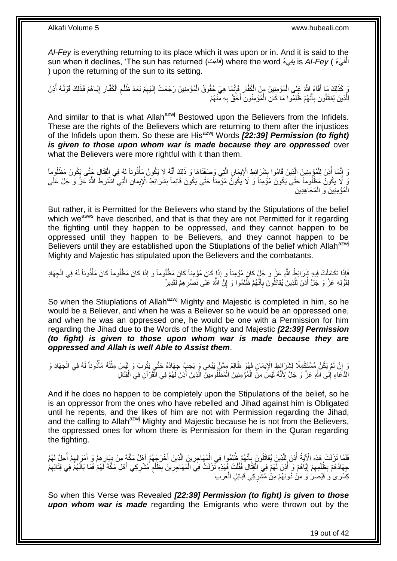*Al-Fey* is everything returning to its place which it was upon or in. And it is said to the الْفَيْءُ ) where the word (قَاءَت) where the word (فَاءَت) sun when it declines, 'The sun has returned ) upon the returning of the sun to its setting.

ِ رَ كَذَلِكَ مَا أَفَاءَ اللَّهُ عَلَى الْمُؤْمِنِينَ مِنَ الْكُفَّارِ فَإِنَّمَا هِيَ حُقُوقُ الْمُؤْمِنِينَ رَجَعَتْ إِلَيْهِمْ بَعْدَ ظُلْمِ الْكُفَّارِ إِيَّاهُمْ فَذَلِكَ قَوْلُمُ أُذِنَ لَ ِ ْ ∣اٍ **∶** ْ َ ُ ُ ِ ِ ِ ْ لِّلَّذِينَ يُقاتَلُونَ بِأَنَّهُمْ ظُلِمُوا مَا كَانَ الْمُؤْمِنُونَ أَحَقَّ بِهِ مِّنْهُمْ ْ ֧֞<sup>֓</sup>֚֬֘֩֕׆ **∶** ِ َ

And similar to that is what Allah<sup>azwj</sup> Bestowed upon the Believers from the Infidels. These are the rights of the Believers which are returning to them after the injustices of the Infidels upon them. So these are His<sup>azwj</sup> Words **[22:39] Permission (to fight)** *is given to those upon whom war is made because they are oppressed* over what the Believers were more rightful with it than them.

وَ إِنَّمَا أُذِنَ لِلْمُؤْمِنِينَ الَّذِينَ قَامُوا بِشَرَائِطِ الْإِيمَانِ الَّتِي وَصَفْنَاهَا وَ ذَلِكَ أَنَّهُ لَا يَكُونُ مَأْذُوناً لَهُ فِي الْقِتَالِ جَنَّى يَكُونَ مَظْلُوماً َّ ِ َّ ْ ُ ِ ْ لَ ْ َ ِّي لَا يَكُونُ مَظْلُوماً حَتَّى يَكُونَ مُؤَمِناً وَ لَا يَكُونُ مُؤْمِناً حَتَّى يَكُونَ قَائِماً بِشَرَائِطِ الْإِيمَانِ الَّذِي أَشْتَرَطَ اللَّهُ عَزَّ وَ جَلَّ عَلَى ِ َّ الْمُؤْمِنِينَ وَ الْمُجَاهِدِينَ ْ ْ

But rather, it is Permitted for the Believers who stand by the Stipulations of the belief which we<sup>asws</sup> have described, and that is that they are not Permitted for it regarding the fighting until they happen to be oppressed, and they cannot happen to be oppressed until they happen to be Believers, and they cannot happen to be Believers until they are established upon the Stiuplations of the belief which Allah<sup>azwj</sup> Mighty and Majestic has stipulated upon the Believers and the combatants.

فَإِذَا تَكَامَلَتْ فِيهِ شَرَائِطُ اللَّهِ عَزَّ وَ جَلَّ كَانَ مُؤْمِناً وَ إِذَا كَانَ مُؤْمِناً كَانَ مَظْلُوماً وَ إِذَا كَانَ مَظْلُوماً كَانَ مَظْلُوماً وَ إِذَا مَحْلُ ْ لَ ْ لِقَوْلِهِ عَزَّ وَ جَلَّ أُذِنَ لِلَّذِينَ يُقاتَلُونَ بِأَنَّهُمْ ظُلِمُوا وَ إِنَّ اللَّهَ عَلَى نَصْرِهِمْ لَقَدِيرٌ ِ ِ َ ِ َّ ؚ<br>ا

So when the Stiuplations of Allah<sup>azwj</sup> Mighty and Majestic is completed in him, so he would be a Believer, and when he was a Believer so he would be an oppressed one, and when he was an oppressed one, he would be one with a Permission for him regarding the Jihad due to the Words of the Mighty and Majestic *[22:39] Permission (to fight) is given to those upon whom war is made because they are oppressed and Allah is well Able to Assist them*.

َمْ يَكُنْ مُسْتَكْمِلًا لِشَرَ إِئِمِ الْإِيمَانِ فَهُوَ ظَالِمٌ مِمَّنْ يَبْغِي وَ يَجِبُ جِهَادُهُ حَتَّى يَتُوبَ وَ لَيْسِ مِثْلُهُ مَأْنُوناً لَهُ فِي الْجِهَادِ وَ ِ ا<br>ا ْ ْ لَ ْ الْذُعَاءِ إِلَى اللَّهِ عَزَّ وَ جَلَّ لِأَنَّهُ لَيْسَ مِنَّ الْمُؤْمِنِينَ الْمَظْلُومِينَ الَّذِينَ أُذِنَ لَهُمْ فِي الْقُرْ آنِ فِي الْقِتَالِ ْ َّ ْ ْ  $\frac{1}{2}$ ْ

And if he does no happen to be completely upon the Stipulations of the belief, so he is an oppressor from the ones who have rebelled and Jihad against him is Obligated until he repents, and the likes of him are not with Permission regarding the Jihad, and the calling to Allah<sup>azwj</sup> Mighty and Majestic because he is not from the Believers, the oppressed ones for whom there is Permission for them in the Quran regarding the fighting.

فَلَمَّا نَزَلَتْ هَذِهِ الْإِيَةُ أُذِنَ لِلَّذِينَ يُقاتَلُونَ بِأَنَّهُمْ ظُلُمُوا فِي الْمُهَاجِرِينَ الَّذِينَ أَخْرَجَهُمْ أَهْلُ مَكَّةٍ مِنْ دِيَارِهِمْ وَ أَمْوَالِهِمْ أُحِلَّ لَهُمْ َ َّ ِ ْ ֞֘֝֬֝֓֟֓֟׆֧֬ **∶** َّ ا<br>ا ُ ِ َ ِ حِهَادُهُمْ بِظُلْمِهِمْ إِيَّاهُمْ وَ أُذِنَ لَهُمْ فِي الْقِتَالِ فَقُلْتُ فَهَذِهِ نَزَلَتْ فِيَ الْمُهَاجِرِينَ بِظُلْمِ مُشْرِكِي أَهْلِ مَكَّةَ لَهُمْ فَمَا بَالُهُمَّ فِي قِتَالِهِمْ ِ ْ ِ **∶** ْ ْ ْ ُ ֖֧֚֚֚֚֚֚֚֚֚֚֚֚֚֓֡֡֓֡֘<u>֚֓</u> ِ ْ ِ ِ ُ َ ِ كِسْرَى وَ قَيْصَرَ وَ مَنْ دُونَهُمْ مِنْ مُشْرِكِي قَبَائِلِ الْعَرَبِ ْ ِ

So when this Verse was Revealed *[22:39] Permission (to fight) is given to those upon whom war is made* regarding the Emigrants who were thrown out by the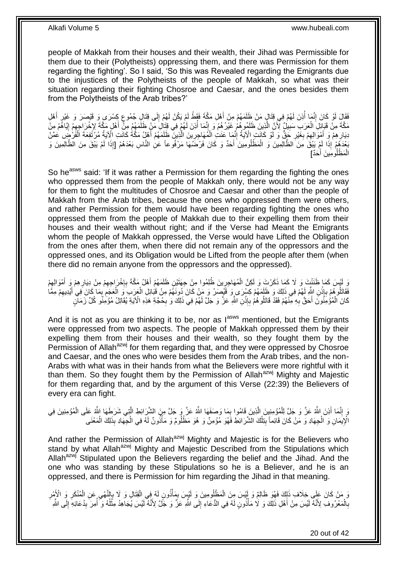people of Makkah from their houses and their wealth, their Jihad was Permissible for them due to their (Polytheists) oppressing them, and there was Permission for them regarding the fighting'. So I said, 'So this was Revealed regarding the Emigrants due to the injustices of the Polytheists of the people of Makkah, so what was their situation regarding their fighting Chosroe and Caesar, and the ones besides them from the Polytheists of the Arab tribes?'

فَقَالَ لَوْ كَانَ إِنَّمَا أُذِنَ لَهُمْ فِي قِتَالٍ مَنْ ظَلَمَهُمْ مِنْ أَهْلِ مَكَّةَ فَقَطْ لَمْ يَكُنْ لَهُمْ إِلَى قِتَالِ جُمُوعِ كِسْرَى وَ قَيْصَرَ وَ غَيْرِ أَهْلِ َ ُ ֺ֖֧֧֧ׅ֧֦֧֧֧֧֧֧֧֧֧֚֚֚֚֚֚֚֚֚֚֚֚֚֚֝֓֡֓֓֡֓֡֓֡֓֡֓֡֓֡֓֡֟֓֡֓֓֓֡֓֡֡֬֓֓֡֡֡֬֓֩֓֓֓֬֓֓֝֬֝֬֝֬֝֬֝֬֝֬֝֬֝֬֝֬ َ ِ ِ ِ لَ مَكَّةَ مِنْ قَبَائِلِ الْعَرَبِ سَبِيلٍ ۗ لِٓئَنَّ الَّذِينَ ظَلَمُو هُمْ غَيْرُ هُمْ وَ إِنَّمَا أُذِنَ لَمُهْ فِي قِتَالِ مَنْ ظَلَمَهُمْ مِنْ أَهْلِ مَكَّةً لِإِخْرَاجِهِمْ إِيَّاهُمْ مِنْ ا<br>ا ِ َّ ِ ْ ׀ו<br>֞ ِ َ ْنِيَارِهِمْ وَ أَمْوَالِهِمْ بِغَيْرِ خَقٍّ وَ لَوْ كَانَتٍ إِلْآيَةُ إِنَّمَا عَنَتِ الْمُهَاجِرِينَ الَّذِينَ ظَلَمَهُمْ أَهْلٍۢ مَكَّةٌ كَانَتِ الْآيَةُ مُرْتَفِعَةَ الْفَرْضَى عَمَّنْ َ َّ **∶** ْ ِ **∶** ِ ِ َ ِ ْ َبَعْدَهُمْ إِذَا لَمْ يَبْقَ مَنَ الظَّالِمِينَ وَ الْمَظْلُومِينَ أَحَدٌ وَ كَانَ فَرْضَمُهَا مَرْفُوعاً عَنِ النَّاسِ بَعْدَهُمْ [إِذَا لَمْ يَبْقَ مِنَ الظَّالِمِينَ وَ َ ْ حَدٌ] َ مَظْلُومِينَ أَ ْ ال

So he<sup>asws</sup> said: 'If it was rather a Permission for them regarding the fighting the ones who oppressed them from the people of Makkah only, there would not be any way for them to fight the multitudes of Chosroe and Caesar and other than the people of Makkah from the Arab tribes, because the ones who oppressed them were others, and rather Permission for them would have been regarding fighting the ones who oppressed them from the people of Makkah due to their expelling them from their houses and their wealth without right; and if the Verse had Meant the Emigrants whom the people of Makkah oppressed, the Verse would have Lifted the Obligation from the ones after them, when there did not remain any of the oppressors and the oppressed ones, and its Obligation would be Lifted from the people after them (when there did no remain anyone from the oppressors and the oppressed).

يَ لِنُسٍ كَمَا ظَنَنْتٍ وَ لَا كَمَا ذَكَرْتٍ وَ لَكِنَّ الْمُهَاجِرِينَ ظُلِمُوا مِنْ جِهَتَيْنِ ظَلَمَهُمْ أَهْلُ مَكَّةَ بِإِخْرَاجِهِمْ مِنْ دِيَارِهِمْ وَ أَمْوَالِهِمْ ِ  $\frac{1}{2}$ ِ َ ِ ْ ِ َ ِ فَقَاتَلُوهُمْ بِإِذْنِ اللَّهِ لَهُمْ فِي ذَلِكَ وَ ظَلَمَهُمْ كِسْرَى وَ قَلْيصَدُ وَ مَنْ كَانَ دُونَهُمْ مِنْ قَبَائِلِ الْعَرَبِ وَ الْعَجَمِ بِمَا كَانَ فِي أَيْدِيهِمْ مِمَّا **ٔ ∶** ِ َ ِ ِ ْ ْ كَانَ الْمُؤْمِّئُونَ أَحَقَّ بِهِ مِّنْهُمْ فَقَدْ قَاتَلُوهُمْ بِإِذْنِ اللَّهِ عَزَّ وَ جَلَّ لَهُمْ فِي ذَلِكَ وَ بِحُجَّةِ هَذِهِ الْآيَةِ يُقَاتِلُ مُؤْمِّئُو كُلِّ زَمَانٍ ِ **ٔ** ِ **∶** َ ْ

And it is not as you are thinking it to be, nor as last mentioned, but the Emigrants were oppressed from two aspects. The people of Makkah oppressed them by their expelling them from their houses and their wealth, so they fought them by the Permission of Allah<sup>azwj</sup> for them regarding that, and they were oppressed by Chosroe and Caesar, and the ones who were besides them from the Arab tribes, and the non-Arabs with what was in their hands from what the Believers were more rightful with it than them. So they fought them by the Permission of Allah<sup>azwj</sup> Mighty and Majestic for them regarding that, and by the argument of this Verse (22:39) the Believers of every era can fight.

وَ إِنَّمَا أَذِنَ اللَّهُ عَزَّ وَ جَلَّ لِلْمُؤْمِنِينَ الَّذِينَ قَامُوا بِمَا وَصَفَهَا اللَّهُ عَزَّ وَ جَلَّ مِنَ الشَّرَائِطِ الَّذِي شَرَطَهَا اللَّهُ عَلَى الْمُؤْمِنِينَ فِي ِ َّ ْ َ ِ ْ َّ الْإِيَمَانِ وَ الْجِهَادِ وَ مّنْ كَانَ قَائِماً بِنِّلْكَ الْشَّرَائِطِ فَهُوَ مُؤْمِنٌ وَ هُوَ مَظْلُومٌ وَ مَأْذُونٌ لَهُ فِي الْجِهَادِ بِذَلِكَ الْمَعْنَى ْ **∣** ْ ْ ْ ا<br>المنابع

And rather the Permission of Allah<sup>azwj</sup> Mighty and Majestic is for the Believers who stand by what Allah<sup>azwj</sup> Mighty and Majestic Described from the Stipulations which Allah<sup>azwj</sup> Stipulated upon the Believers regarding the belief and the Jihad. And the one who was standing by these Stipulations so he is a Believer, and he is an oppressed, and there is Permission for him regarding the Jihad in that meaning.

َ مَنْ كَانَ عَلَى خِلَافٍ ذَلِكَ فَهُوَ ظَالِمٌ وَ لَيْسَ مِنَ الْمَظْلُومِينَ وَ لَيْسَ بِمَأْذُونِ لَهُ فِي<br>يَنْ دَمِّنْ مَنْ يَسَوِّيَهِ وَجَمَعَ الْجَمْعَةِ وَإِنَّهُمْ الْمَسْئِلُومِينَ وَ لَيْسَ بِمَأْذُونِ لَهُ فِ ِ ِ ْ ْ ِ ْ ْ بِالْمَعْرُوفِ لِأَنَّهُ لَيْسَ مِنْ أَهْلِ ذَلِكَ وَ لَا مَأْذُونٍ لَمُ فِي الدُّعَاءِ إِلَى اللَّهِ عَزَّ وَ جَّلَّ لِأَنَّهُ لَّيْسَ يُجَاهِدُ مِثْلُهُ وَ ۖ أُمِرَ بِدُعَائِهِ إِلَى اللَّهِ  $\frac{1}{2}$ ْ َ ْ **∶** ِ ِ ا<br>ا ْ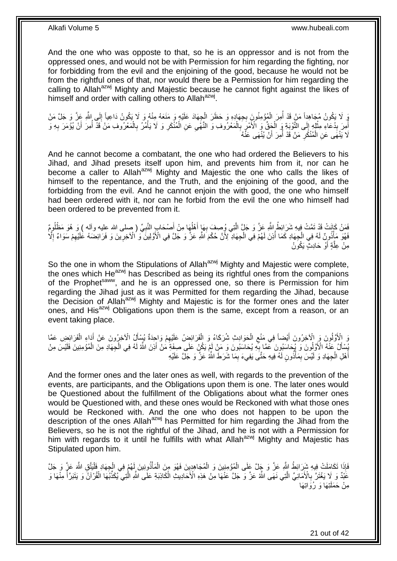And the one who was opposte to that, so he is an oppressor and is not from the oppressed ones, and would not be with Permission for him regarding the fighting, nor for forbidding from the evil and the enjoining of the good, because he would not be from the rightful ones of that, nor would there be a Permission for him regarding the calling to Allah<sup>azwj</sup> Mighty and Majestic because he cannot fight against the likes of himself and order with calling others to Allah<sup>azwj</sup>.

يَا لَا يَكُونُ مُجَاهِداً مَنْ قَدْ أُمِرَ الْمُؤْمِنُونَ بِجِهَادِهِ وَ حَظَرَ الْجِهَادَ عَلَيْهِ وَ مَنَعَهُ مِنْهُ وَ لَا يَكُونُ دَاعِياً إِلَى اللَّهِ عَزَّ وَ جَلَّ مَنْ ْ ْ ُ ِ ْ أَمِرَ بِذُعَاءِ مِثْلُوهِ إِلَى النَّوْيَةِ وَ ٱلْجَقِّ وَ ٱلْأَمْرِ بِالْمَعْرُوفِ وَ النَّهْىِ عَنِ ٱلْمُنْكَرِ وَ لَا يَأْمُرُ بِالْمَعْرُوفِ مَنْ قَدْ أُمِرَ أَنْ يُؤْمَرَ بِهِ وَ **∶** ْ ِ ْ ِ ِ ْ  $\frac{1}{2}$ **ٔ ∣ ∶** َ ُ ْ **∶** لَا يَنْهََى عَنِ الْمُنْكَرِ مَنْ قَدْ أَمِرَ أَنْ يُنْهَى عَنَّهُ اً ا<br>ا ِ ْ

And he cannot become a combatant, the one who had ordered the Believers to his Jihad, and Jihad presets itself upon him, and prevents him from it, nor can he become a caller to Allah<sup>azwj</sup> Mighty and Majestic the one who calls the likes of himself to the repentance, and the Truth, and the enjoining of the good, and the forbidding from the evil. And he cannot enjoin the with good, the one who himself had been ordered with it, nor can he forbid from the evil the one who himself had been ordered to be prevented from it.

فَمَنْ كَانَتْ قَدْ نَمَّتْ فِيهِ شَرَائِطُ اللَّهِ عَزَّ وَ جَلِّ الَّذِي وُصِفَ بِهَا أَهْلُهَا مِنْ أَصْحَابِ النَّبِيِّ ( صلى الله عليه وآله ) وَ هُوَ مَظْلُومٌ **∶** َ ا<br>ا َ ِ َّ ْ فَهُوَ مَأْذُونٌ لَهُ فِي الْجِهَادِ كَمَا أُذِنَ لَهُمْ فِي الْجِهَادِ ۗ لِأَنَّ حُكْمَ اللَّهِ عَزَّ وَ جَلّ فِي الْأَوَّلِينَ وَ اُلْأَخِرِينَ وَ فَرَائِضَهُ عَلَيْهِمْ سَوَاءٌ إِلَّا ْ **ٍ** ْ :<br>ا ِ ِ مِنْ عِلَّةٍ أَوْ حَادِثٍّ يَكُونُ َّ

So the one in whom the Stipulations of Allah<sup>azwj</sup> Mighty and Majestic were complete, the ones which He $^{azwj}$  has Described as being its rightful ones from the companions of the Prophet<sup>saww</sup>, and he is an oppressed one, so there is Permission for him regarding the Jihad just as it was Permitted for them regarding the Jihad, because the Decision of Allah<sup>azwj</sup> Mighty and Majestic is for the former ones and the later ones, and His<sup>azwj</sup> Obligations upon them is the same, except from a reason, or an event taking place.

وَ اِلْأَوَّلُونَ وَ الْأَخِرُونَ أَيْضاً فِي مَنْعِ الْحَوَادِثِ شُرَكَاءُ وَ الْفَرَائِضُ عَلَيْهِمْ وَاحِدَةٌ بُيِسْأَلُ الْأَخِرُونَ عَنْ أَدَاءِ الْفَرَائِضِ عَمَّا َ ْ َ َ ِ ْ ْ ِ يِّدِيَّاْلُ عَنْْهُ الْأَوَّلُونَ وَ يُجَاسَبُونَ عَمَّا بِهِ يُحَاسَبُونَ وَ مَنْ لَمْ يَكُنٍّ عَلَى صِفَةِ مَنْ أَذِنَ اللَّهُ لَهُ فِي الْجِهَادِ مِنَ الْمُؤْمِنِينَ فَلَيْسَ مِنْ َ ِ َ ْ أَهْلِ الْجِهَادِ وَ لَيْسَ بِمَأْذُونٍ لَهُ فِيهِ حَتَّى يَفِيءَ بِمَا شَرَطَ اللَّهُ عَزَّ وَ جَلَّ عَلَيْهِ ْ ِ ْ ِ

And the former ones and the later ones as well, with regards to the prevention of the events, are participants, and the Obligations upon them is one. The later ones would be Questioned about the fulfillment of the Obligations about what the former ones would be Questioned with, and these ones would be Reckoned with what those ones would be Reckoned with. And the one who does not happen to be upon the description of the ones Allah<sup>azwj</sup> has Permitted for him regarding the Jihad from the Believers, so he is not the rightful of the Jihad, and he is not with a Permission for him with regards to it until he fulfills with what Allah<sup>azwj</sup> Mighty and Majestic has Stipulated upon him.

فَإِذَا تَكَامَلَتْ فِيهِ شَرَائِطُ اللَّهِ عَزَّ وَ جَلَّ عَلَى الْمُؤْمِنِينَ وَ الْمُجَاهِدِينَ فَهُوَ مِنَ الْمَأْذُوِنِينَ إِلَهُمْ فِي الْجِهَادِ فَلْيَتَّقِ اللَّهَ عَزَّ وَ جَلَّ ْ ْ ْ ْ ْ ْ لَ عَبْدٌ وَ لَا يَغْتَنَّ بِالْأَمَانِيِّ الَّتِي نَهَى اللَّهُ عَنْ وَ جَلَّ عَنْهَا مِنْ هَذِهِ الْأَحَادِيثِ الْكَاذِبَةِ عَلَى اللَّهِ الّْتِي يُكَذِّبُهَا الْقُرْآنُ وَ يَتَبَرَّأُ مِنْهَا وَ ْ َّ ِ ُ ْ َّ مِنْ حَمَلَتِهَا وَ رُوَٰاتِهَا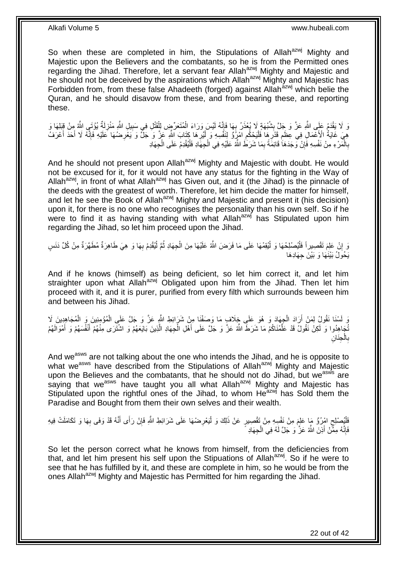So when these are completed in him, the Stipulations of Allah<sup>azwj</sup> Mighty and Majestic upon the Believers and the combatants, so he is from the Permitted ones regarding the Jihad. Therefore, let a servant fear Allah<sup>azwj</sup> Mighty and Majestic and he should not be deceived by the aspirations which Allah<sup>azwj</sup> Mighty and Majestic has Forbidden from, from these false Ahadeeth (forged) against Allah<sup>azwj</sup> which belie the Quran, and he should disavow from these, and from bearing these, and reporting these.

نَ لَا يَقْدَمُ عَلِّى اللَّهِ عَزَّ وَ جَلَّ بِشُبْهَةٍ لَا يُعْذَرُ بِهَا فَإِنَّهُ لَيْسَ وَرَاءَ الْمُتَعَرِّضٍ لِلْقَتْلِ فِي سَبِيلِ اللَّهِ مَنْزِلَةٌ يُؤْتَى اللَّهُ مِنْ قِبَلِهَا وَ **ٍ** ِ ْ ْ اا<br>م **∶** ِ هِيَ غَايَةُ الْأَعْمَالِ فِي عِظَمِ قَدْرِهَا فَلْيَحْكُمِ الْمِرْزَقُ لِنَفْسِهِ وَ لْيُرِهَا كِتَابَ اللَّهِ عَنَّ وَ يَغْرَضُهَا كَلَيْهِ فَإِنَّهُ لَا أَحَدَ أَعْرَفُ **ٍ** ْ **ُ** :<br>إ ِ ِ َ َ  $\frac{1}{2}$ ِ بِالْمَرْءِ مِنْ نَفْسِهِ فَإِنْ وَجَدَهَا قَائِمَةً بِمَا شَرَطَ اللَّهُ عَلَيْهِ فِي الْجِهَادِ فَلْيُقْدِمْ عَلَى الْجِهَادِ ْ ْ ْ ِ ِ ْ **∶** 

And he should not present upon Allah<sup>azwj</sup> Mighty and Majestic with doubt. He would not be excused for it, for it would not have any status for the fighting in the Way of Allah<sup>azwj</sup>, in front of what Allah<sup>azwj</sup> has Given out, and it (the Jihad) is the pinnacle of the deeds with the greatest of worth. Therefore, let him decide the matter for himself, and let he see the Book of Allah<sup>azwj</sup> Mighty and Majestic and present it (his decision) upon it, for there is no one who recognises the personality than his own self. So if he were to find it as having standing with what Allah<sup>azwj</sup> has Stipulated upon him regarding the Jihad, so let him proceed upon the Jihad.

وَ إِنْ عَلِمَ تَقْصِيراً فَلْيُصْلِحْهَا وَ لْيُقِمْهَا عَلَى مَا فَرَضَ اللَّهُ عَلَيْهَا مِنَ الْجِهَادِ ثُمَّ لْيُقْدِمْ بِهَا وَ هِيَ طَاهِرَةٌ مُطَهَّرَةٌ مِنْ كُلِّ دَنَسٍ ْ ُ ْ ْ ْ ِ ِ يَحُولُ بَيْنَـهَا وَ بَيْنَ جِهَادِهَا

And if he knows (himself) as being deficient, so let him correct it, and let him straighter upon what Allah<sup>azwj</sup> Obligated upon him from the Jihad. Then let him proceed with it, and it is purer, purified from every filth which surrounds beween him and between his Jihad.

وَ لَسْنَا نَقُولُ لِمَنْ أَرَادَ الْجِهَادَ وَ هُوَ عَلَى خِلَافٍ مَا وَصَفْنَا مِنْ شَرَائِطِ اللَّهِ عَزَّ وَ جَلَّ عَلَى الْمُؤْمِنِينَ وَ الْمُجَاهِدِينَ لَا ْ َ ْ ْ ُّخَاهِدُوا وَ لَكِنْ نَقُولُ قَدْ عَلَّمْنَاكُمْ مَا شَرَطَّ اللَّهُ عَزَّ وَ جَلَّ عَلَى أَهْلِ الْجِهَادِ الَّذِينَ بَايَعَهُمْ وَ اشْتَرَى مِنْهُمْ أَنْفُسَهُمْ وَ أَمْوَالَهُمْ َّ ْ َ َّ َ َ بِال**ْجِ**نَا*نِ* ْ ِ

And we<sup>asws</sup> are not talking about the one who intends the Jihad, and he is opposite to what we<sup>asws</sup> have described from the Stipulations of Allah<sup>azwj</sup> Mighty and Majestic upon the Believes and the combatants, that he should not do Jihad, but we<sup>asws</sup> are saying that we<sup>asws</sup> have taught you all what Allah<sup>azwj</sup> Mighty and Majestic has Stipulated upon the rightful ones of the Jihad, to whom He<sup>azwj</sup> has Sold them the Paradise and Bought from them their own selves and their wealth.

َالْيُصْلِحِ امْرُوٌ مَا عَلِمَ مِنْ نَفْسِهِ مِنْ تَقْصِيرٍ عَنْ ذَلِكَ وَ لْيَعْرِضْهَا عَلَى شَرَائِطِ اللّهِ فَإِنْ رَأَى أَنَّهُ قَدْ وَفَى بِهَا وَ تَكَامَلَتْ فِيهِ ِ :<br>ا ِ :<br>ا ِ َ ِ فَإِنَّهُ مِمَّنْ أَذِنَ اللَّهُ عَزَّ وَ جَلَّ لَهُ فِي الْجِهَادِ ْ َ ِ

So let the person correct what he knows from himself, from the deficiencies from that, and let him present his self upon the Stipuations of Allah $a$ <sup>azwj</sup>. So if he were to see that he has fulfilled by it, and these are complete in him, so he would be from the ones Allah<sup>azwj</sup> Mighty and Majestic has Permitted for him regarding the Jihad.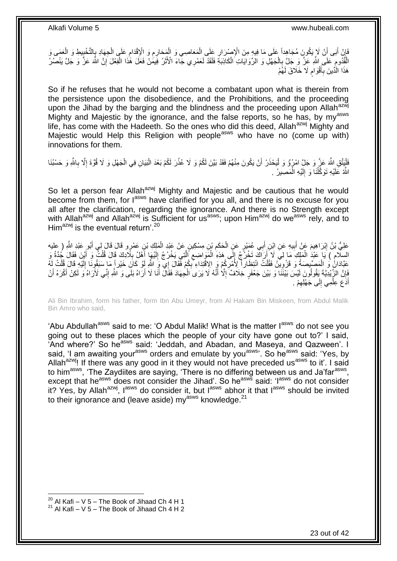فَإِنْ أَبَى أَنْ لَا يَكُونَ مُجَاهِداً عَلَى مَا فِيهِ مِنَ الْإِصْرَارِ عَلَى الْمَعَاصِي وَ الْمَحَارِمِ و<br>ثُمَّانِ الْبَعَادِ بِالتَّخْبِيطِ وَ الْعَمَى عَلَى الْمُعَامِنِ وَجَبَعَ وَ الْمُعَامِنِينَ وَ الْإِقْدَامِ َ ِ ْ ِ . a\, ْ ِ ِ **∶** ْ ْ ِ الْقُوْمِ عَلَى اللَّهِ عَنَّ وَ جَلَّ بِالْجَهْلِ وَ الْرِّوَايَاتِ الْكَانِّذِبَةِ فَلَقَدْ لَعَمْرِي جَاءَ الْأَثَنُ فِيَمَنْ فَعَلَ هَٰذَا الْفِعْلَ إِنَّ اللَّه عَزَّ وَ جَلَّ يَنْصُنُ َ ْ ْ ِ ֺ֧֪֚֚֚֚֚֚֚֚֚֚֚֚֚֚֚֚֡֓֓֓֡֓֓֡֓֡֓֡֓֡֡֡֝֬֜֝֓֡֝ ِ ْ هَذَا الَّدِّينَ بِأَقْوَامٍ لَا خَلَاقَ لَهُمْ م َ **∶** 

So if he refuses that he would not become a combatant upon what is therein from the persistence upon the disobedience, and the Prohibitions, and the proceeding upon the Jihad by the barging and the blindness and the proceeding upon Allah<sup>azwj</sup> Mighty and Majestic by the ignorance, and the false reports, so he has, by  $mv<sup>asws</sup>$ life, has come with the Hadeeth. So the ones who did this deed, Allah $a^{2}$ wj Mighty and Majestic would Help this Religion with people<sup>asws</sup> who have no (come up with) innovations for them.

ا.<br>إ فَلْيَتَّقِ اللَّهَ عَنَّ وَ جَلَّ امْرٍ وٌ وَ لْيَحْذَرْ أَنْ يَكُونَ مِنْهُمْ فَقَدْ بَيَّنَ لَكُمْ وَ لَا عُذْرَ لَكُمْ بَعْدَ الْبَيَانِ فِي الْجَهْلِ وَ لَا قُوَّةَ إِلَّا بِاللَّهِ وَ حَسْبُنَا **ٔ** ا<br>ا ِ ِ ْ ْ اللَّهُ عََلَيْهِ تَوَكَّلْنَا وَ إِلَيْهِ الْمَصِيرُ . ْ لَ ِ ْ

So let a person fear Allah<sup>azwj</sup> Mighty and Majestic and be cautious that he would become from them, for lasws have clarified for you all, and there is no excuse for you all after the clarification, regarding the ignorance. And there is no Strength except with Allah<sup>azwj</sup> and Allah<sup>azwj</sup> is Sufficient for us<sup>asws</sup>; upon Him<sup>azwj</sup> do we<sup>asws</sup> rely, and to Him<sup>azwj</sup> is the eventual return<sup>'.20</sup>

عَلِيُّ بْنُ إِبْرَاهِيمَ عَنْ أَبِيهِ عَنِ ابْنِ أَبِي عُمَيْرٍ عَنِ الْحَكَمِ بْنِ مِسْكِينٍ عَنْ عَبْدِ الْمَلِكِ بْنِ عَمْرٍو قَالَ قَالَ لِي أَبُو عَبْدِ اللَّهِ ( عليه ْ ِ ْ َ **!** َ ِ َ السلّام ) يَا عَبْدُ الْمَلِكِ مَا لِي لَا أَرَاكَ تَخْرُجُ إِلَى هَذِهِ الْمَوَاضِعِ ٱلَّتِي يَخْرُجُ إِلَيْهَا أَهْلُ بِلَادِكَ قَالَ قُلْتٌ وَ أَيْنَ فَقَالَ جُدَّةُ وَ  $\frac{1}{2}$ اُ َ ْ ِ َ لَ ِ َّ  $\zeta$ ْ عَبَّادَانُ وَ اِلْمَصِّيصَةُ وَ قَرْوِينٌ فَقُلْتُ انْتِظَار أَ لِأَمْرِكُمْ وَ الِاقْتِدَاءِ بِكُمْ فَقَالَ إِي وَ اللَّهِ إِنْ كَانَ خَيْر أَ مَا سَبَقُونَا إِلَيْهِ قَالَ قُلْتُ لَهُ ِ ِ ْ ِ ْ ْ لَ ِ فَإِنَّ الزَّيْدِيَّةَ يَقُولُونَ لَيْسَ بَيْنَنَا وَ بَيْنَ جَعْفَرٍ خِلَافٌ إِلَّا أَنَّهُ لَا يَرَى الْجِهَادَ فَقَالَ أَنَا لَا أَرَاهُ بَلَى وَ اللَّهِ إِنِّي لَأَرَاهُ وَ لَكِنْ أَكْرَهُ أَنْ َ ْ َ ِ ِ َ َ ِ َ أَدَعَ عِلْمِي إِلَى جَهْلِهِمْ .  $\frac{1}{2}$ ْ َ ِ

Ali Bin Ibrahim, form his father, form Ibn Abu Umeyr, from Al Hakam Bin Miskeen, from Abdul Malik Bin Amro who said,

'Abu Abdullah<sup>asws</sup> said to me: 'O Abdul Malik! What is the matter I<sup>asws</sup> do not see you going out to these places which the people of your city have gone out to?' I said, 'And where?' So he<sup>asws</sup> said: 'Jeddah, and Abadan, and Maseya, and Qazween'. I said, 'I am awaiting your<sup>asws</sup> orders and emulate by you<sup>asws</sup>'. So he<sup>asws</sup> said: 'Yes, by Allah<sup>azwj</sup>! If there was any good in it they would not have preceded us<sup>asws</sup> to it'. I said to him<sup>asws</sup>, 'The Zaydiites are saying, 'There is no differing between us and Ja'far<sup>asws</sup>, except that he<sup>asws</sup> does not consider the Jihad'. So he<sup>asws</sup> said: 'l<sup>asws</sup> do not consider it? Yes, by Allah<sup>azwj</sup>, l<sup>asws</sup> do consider it, but l<sup>asws</sup> abhor it that l<sup>asws</sup> should be invited to their ignorance and (leave aside) my<sup>asws</sup> knowledge.<sup>21</sup>

 $^{20}$  Al Kafi – V 5 – The Book of Jihaad Ch 4 H 1

<sup>&</sup>lt;sup>21</sup> Al Kafi – V 5 – The Book of Jihaad Ch 4 H 2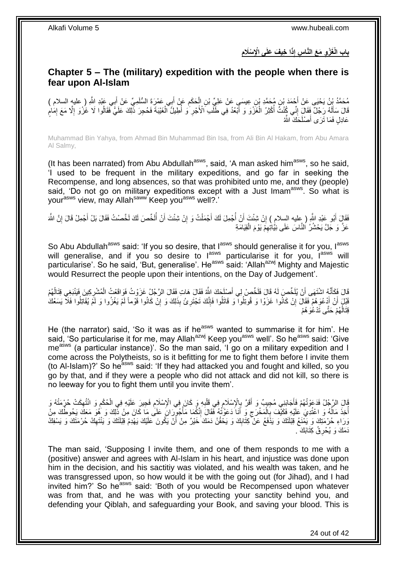باب الْغَزْوِ مَعَ النَّاسِ إِذَا خِيفَ عَلَى الْإِسْلَام

### <span id="page-23-0"></span>**Chapter 5 – The (military) expedition with the people when there is fear upon Al-Islam**

ِم ِّي ِي َع ْم َرَة ال ُّسلَ ب َع ْن أ َح َكم ِن ال ِن ِعي َسى َع ْن َعلِ ِّي ْب ِن ُم َح َّمِد ْب ْح َمَد ْب ِي َعْبِد ََّّللا ُم َح َّمُد ْب ُن َي ْحَيى َع ْن <sup>أ</sup> ِ ) عليه السالم ( ب َع ْن أ َ ِ ْ َ َ قَالَ سَأَلَهُ رَجُلٌ فَقَالَ إِنِّي كُنْتُ أُكْثِرُ الْغَزْوَ وَ أَبْعُدُ فِي طَلَّبِ الْأَجْرِ وَ أُطِيلَ الْغَيْبَةَ فَحُجِرَ ذَلِّكَ عَلَيَّ فَقَالُوا لَا غَزْوَ إِلَّا مَعَ إِمَامٍ لَ ا<br>ا ْ ُ ِ َ ْ ا<br>ا ِ ֧֩֘׆֧ ِ ِ عَادِلٍ فَمَا تَرَى أَصْلَحَكَ ۚ اللَّهُ َ

Muhammad Bin Yahya, from Ahmad Bin Muhammad Bin Isa, from Ali Bin Al Hakam, from Abu Amara Al Salmy,

(It has been narrated) from Abu Abdullah $a_{\text{sws}}$ , said, 'A man asked him $a_{\text{sws}}$ , so he said, 'I used to be frequent in the military expeditions, and go far in seeking the Recompense, and long absences, so that was prohibited unto me, and they (people) said, 'Do not go on military expeditions except with a Just Imam<sup>asws</sup>. So what is vourasws view, may Allah<sup>saww</sup> Keep you<sup>asws</sup> well?.'

فَقَالَ أَبُو عَبْدِ اللَّهِ ( عِليه السِلامِ ) إِنْ شِئْتَ أَنْ أُجْمِلَ لَكَ أَجْمَلْتُ وَ إِنْ شِئْتَ أَنْ أُلْخِّصَ لَكَ لَخَّصْتُ فَقَالَ بَلْ أُجْمِلْ قَالَ إِنَّ اللَّهَ َ ِ َ ا<br>ا َ ِ ْ َ ا<br>أ َ ِ عَزَّ وَ جَلَّ يَحْشُرُ النَّاسَ عَلَى نِيَّاتِهِمْ يَوْمَ الْقِيَامَةِ ْ ِ

So Abu Abdullah<sup>asws</sup> said: 'If you so desire, that l<sup>asws</sup> should generalise it for you, l<sup>asws</sup> will generalise, and if you so desire to l<sup>asws</sup> particularise it for you, l<sup>asws</sup> will particularise'. So he said, 'But, generalise'. He<sup>asws</sup> said: 'Allah<sup>azwj</sup> Mighty and Majestic would Resurrect the people upon their intentions, on the Day of Judgement'.

قَالَ فَكَأَنَّهُ اشْتَهَى أَنْ يُلَخِّصَ لَهُ قَالَ فَلَخِّصْ لِي أَصْلَحَكَ اللَّهُ فَقَالَ هَاتِ فَقَالَ الرَّجُلُ عَزَوْتُ فَوَاقَعْتُ الْمُشْرِكِينَ فَيَنْبَغِي قِتَالُهُمْ َ اً َ ُ ِ ْ فَيْلُ أَنْ أَدْعُوَ هُمْ فَقَالَ إِنْ كَانُوا غَرَوْا وَ قُوتِلُوا ۖ وَ قَاتَلُوا فَإِنَّكَ تَجْتَرِئُ بِذَلِكَ وَ إِنْ كَانُوا قَوْماً لَمْ يَغْزُوا وَ لَمَّ يُقَاتِلُوا فَلَا يَسَعُكُ ِ َ ُ لَ ِ ِ ِ قِتَالُّهُمْ حَتَّ*ى* تَدْعُوَ هُمْ ا<br>ا

He (the narrator) said, 'So it was as if he<sup>asws</sup> wanted to summarise it for him'. He said, 'So particularise it for me, may Allah<sup>azwj</sup> Keep you<sup>asws</sup> well'. So he<sup>asws</sup> said: 'Give me<sup>asws</sup> (a particular instance)'. So the man said, 'I go on a military expedition and I come across the Polytheists, so is it befitting for me to fight them before I invite them to Al-Islam)?' So he<sup>asws</sup> said: 'If they had attacked you and fought and killed, so you go by that, and if they were a people who did not attack and did not kill, so there is no leeway for you to fight them until you invite them'.

قَالَ الرَّجُلُ فَدَعَوْتُهُمْ فَأَجَابَنِي مُجِيبٌ وَ أَقَرَّ بِالْإِسْلَامِ فِي قَلْبِهِ وَ كَانَ فِي الْإِسْلَامِ فَجِيرَ عَلَيْهِ فِي الْحُكْمِ وَ انْتُهِكَتْ حُرْمَتُهُ وَ<br>أَيَنِ مِنْ وَيَمْ مَنْ الْجَابَةِ فَيَ أَجْ ِ ِ ْ ِ ្ត្រី<br>ខ َ َ ِ ِ ْ أُخِذَ مَالُهُ وَ اعْتُدِيَ ۚ عَلَيْهِ فَكَيْفَ بِالْمَخْرَجِ وَّ أَنَا دَعَوْتُهُ فَقَالَ إِنَّكُمَا مَأْجُورَانِ عَلَى مَا كَانَ مِنْ ذَٰلِكَ وَ هُوَ مَعَكَ يَحُوطُكَ مِنْ َ  $\zeta$ ْ **∶** ا<br>ا ْ ِ وَرَاءِ حُرْمَتِكَ وَ يَمْنَعُ قِبْلَتَكَ وَ يَذْفَعُ عَنْ كِتَابِكَ وَ يَحْقُنُ دَمَكَ خَيْرٌ مِنْ أَنْ يَكُونَ عَلَيْكَ يَهْدِمُ قِبْلَتَكَ وَ يَنْتَهِكُ حُرْمَتَكَ وَ يَسْفِكُ اُ  $\frac{1}{2}$ ِ دَمَكَ وَ يُحْرِقُ كِتَابَكَ . ِ

The man said, 'Supposing I invite them, and one of them responds to me with a (positive) answer and agrees with Al-Islam in his heart, and injustice was done upon him in the decision, and his sactitiy was violated, and his wealth was taken, and he was transgressed upon, so how would it be with the going out (for Jihad), and I had invited him?' So heasws said: 'Both of you would be Recompensed upon whatever was from that, and he was with you protecting your sanctity behind you, and defending your Qiblah, and safeguarding your Book, and saving your blood. This is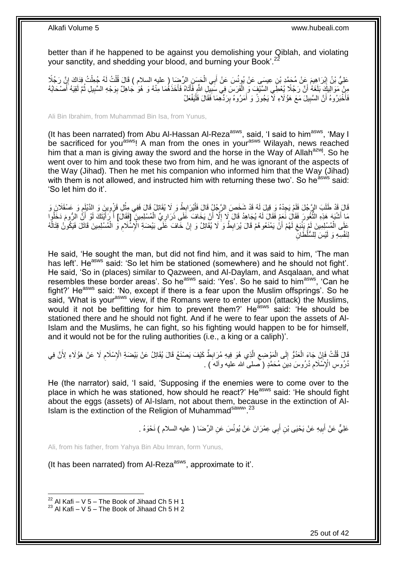better than if he happened to be against you demolishing your Qiblah, and violating your sanctity, and shedding your blood, and burning your Book'.<sup>22</sup>

عَلِيُّ بْنُ إِبْرَاهِيمَ عَنْ مُحَمَّدٍ بْنِ عِيسَى عَنْ يُونُسَ عَنْ أَبِي الْحَسَنِ الرِّضَا ( عليه السلام ) قَالَ قُلْتُ لَهُ جُعِلْتُ فِدَاكَ إِنَّ رَجُلًا ْ ْ َ ِ ِ ْ لَ مِنْ مَوَالِيكَ بَلَغَهُ أَنَّ رَجُلًا يُعْطِي السَّيْفَ وَ الْفَرَسَ فِي سَبِيلِ اللَّهِ فَأَتَاهُ فَأَخَذَهُمَا مِنْهُ وَ هُوَ جَاهِلٌ بِوَجْهِ السَّبِيلِ ثُمَّ لَقِيَهُ أَصْحَابُهُ ِ ِ َ َ ِ ْ َ ُ فَأَخْبَرُوهُ أَنَّ السَّبِيلَ مَعَ هَؤُلَاءِ لَاَّ يَجُوزُ وَ أَمَرُوهُ بِرَدِّهِمَا فَقَالَ فَلْيَفْعَلْ ْ ِ َ ِ اً

Ali Bin Ibrahim, from Muhammad Bin Isa, from Yunus,

(It has been narrated) from Abu Al-Hassan Al-Reza<sup>asws</sup>, said, 'I said to him<sup>asws</sup>, 'May I be sacrificed for you<sup>asws</sup>! A man from the ones in your<sup>asws</sup> Wilayah, news reached him that a man is giving away the sword and the horse in the Way of Allah<sup>azwj</sup>. So he went over to him and took these two from him, and he was ignorant of the aspects of the Way (Jihad). Then he met his companion who informed him that the Way (Jihad) with them is not allowed, and instructed him with returning these two'. So he<sup>asws</sup> said: 'So let him do it'.

قَالَ قَدْ طَلَبَ الرَّجُلَ فَلَمْ يَجِدْهُ وَ قِيلَ لَهُ قَدْ شَخَصَ الرَّجُلُ قَالَ فَلْيُرَابِطْ وَ ِلَا يُقَاتِلْ قَالَ فَفِي مِثْلِ قَرْبِينَ وَ الدَّيْلِمِ وَ عَسْقَلَانَ وَ ِ ْ ِ **∶** مَا أَشْبَهَ هَذِهِ النَّغُورَ فَقَالَ نَعِمْ فَقَالَ لَهُ يُجَاهِدُ قَالَ لَا إِلَّا أَنْ يَخَافَ عََلَى ذَرَارِيٍّ الْمُسْلِمِينَ [فَقَالَ] أَ رَأَيْتَكَ لَوْ أَنَّ الرُّومَ دَخَلُوا ْ ِ اُ ا<br>ا ُّ َ ُ َ َ َ مَا وَ الْمُسْلِمِينَ لَمْ يَنْبَغِ لَهُمْ أَنْ يَمْنَعُوهُمْ قَالَ يُرَابِطُ وَ لَا يُقَاتِلُ وَ إِنْ خَافَ عَلَى بَيْضَةِ الْإِسْلَامِ وَ الْمُسْلِمِينَ قَاتَلَ فَيَكُونُ قِتَالُهُ ْ ْ ِ ِ ِ اً لَ  $\zeta$  $\overline{a}$ لِنَفْسِهِ وَ لَيْسَ لِلسُّلُطَانِّ

He said, 'He sought the man, but did not find him, and it was said to him, 'The man has left'. He<sup>asws</sup> said: 'So let him be stationed (somewhere) and he should not fight'. He said, 'So in (places) similar to Qazween, and Al-Daylam, and Asqalaan, and what resembles these border areas'. So he<sup>asws</sup> said: 'Yes'. So he said to him<sup>asws</sup>, 'Can he fight?' He<sup>asws</sup> said: 'No, except if there is a fear upon the Muslim offsprings'. So he said, 'What is your<sup>asws</sup> view, if the Romans were to enter upon (attack) the Muslims, would it not be befitting for him to prevent them?' He<sup>asws</sup> said: 'He should be stationed there and he should not fight. And if he were to fear upon the assets of Al-Islam and the Muslims, he can fight, so his fighting would happen to be for himself, and it would not be for the ruling authorities (i.e., a king or a caliph)'.

قَالَ قُلْتُ فَإِنْ جَاءَ الْعَدُوُّ إِلَى الْمَوْضِعِ الَّذِي هُوَ فِيهِ مُرَابِطٌ كَيْفَ يَصْنَعُ قَالَ يُقَاتِلُ عَنْ بَيْضَةِ الْإِسْلَامِ لَا عَنْ هَؤُلَاءِ لِأَنَّ فِي ِ َّ ِ ْ ∣∣<br>∶ ْ ِ ْ ِ ُدُرُوسِ الْإِسْلَامِ دُرُوسَ دِيَنِ مُحَمَّدٍ (كَصلىٌ الله عليه وآلمهُ ) . ِ

He (the narrator) said, 'I said, 'Supposing if the enemies were to come over to the place in which he was stationed, how should he react?' He<sup>asws</sup> said: 'He should fight about the eggs (assets) of Al-Islam, not about them, because in the extinction of Al-Islam is the extinction of the Religion of Muhammad<sup>saww, 23</sup>

> عَلِيٌّ عَنْ أَبِيهِ عَنْ يَحْيَى بْنِ أَبِي عِمْرَانَ عَنْ يُونُسَ عَنِ الرِّضَا ( عليه السلام ) نَحْوَهُ . َ ِ َ

Ali, from his father, from Yahya Bin Abu Imran, form Yunus,

(It has been narrated) from Al-Reza<sup>asws</sup>, approximate to it'.

 $^{22}$  Al Kafi – V 5 – The Book of Jihaad Ch 5 H 1

 $23$  Al Kafi – V 5 – The Book of Jihaad Ch 5 H 2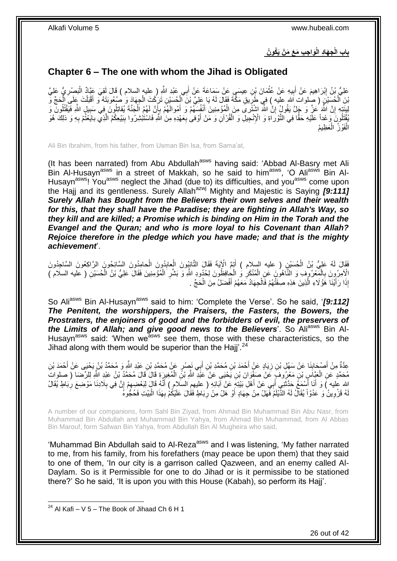**ِج ِب َم َع َم ْن َي ُكو ُن َوا ِج َهاِد الْ باب الْ**

### <span id="page-25-0"></span>**Chapter 6 – The one with whom the Jihad is Obligated**

عَلِيُّ بْنُ إِبْرَاهِيمَ عَنْ أَبِيهِ عَنْ عُثْمَانَ بْنِ عِيسَيٍ عَنْ سَمَاعَةَ عَنْ أَبِي عَبْدِ اللَّهِ ( عليه السلام ) قَالَ لَقِيَ عَقَادٌ الْبَصِبْرِيُّ عَلِيَّ َ ْ **!**  ِ ِ ْ ْ بْنَ الْحُسِّيْنَ ( صِلوات الله عليه ) فِي طَرِيقِ مَكَّةَ فَقَالَ لَهُ يَا عَلِيَّ بْنَ الْحُسَيْنِ تَرَكْتَ الْجِهَادَ وَ صُعُوبَتَهُ وَ أَقْبَلْتَ عَلَيَ الْحَجِّ وَ ِ ْ ْ َ ْ إِنَّةٍ إِنَّ اللَّهَ عَنَّ وَ جَلَّ يَقُولُ إِنَّ اللَّهَ إِشْتَرَى مِنَ الْمُؤْمِنِينَ أَنْفُسَهُمْ وَ أَمْوالَهُمْ بِإِنَّ لَهُمُ الْجَنَّةَ يُقاتِلُونَ فِي سَبِيلٍ اللَّهِ فَيَقْتُلُونَ وَ َ ِ َ َ ْ **׀ ׀** ِ ْ ا<br>ا ْقْتَلُونَ وَعْداً عَلَيْهِ حَقًّا فِي التَّوْرَاةِ وَ الْإِنْجِيلِ وَ الْقُرْآنِ وَ مَنْ أَوْفىٰ بِعَهْدِهِ مِنَ اللَّهِ فَاسْتَنْشِرُوا بِبَيْعِكُمُ الَّذِي بايَعْنُمْ بِهِ وَ ذلِكَ هُوَ<br>نُبْصُلُ فَي بِيَعْنُمْ بِهِ وَ ِ َ ْ ا ِ َّ ِ الْفَوْزُ الْعَظِيمُ ْ ْ

Ali Bin Ibrahim, from his father, from Usman Bin Isa, from Sama'at,

(It has been narrated) from Abu Abdullah<sup>asws</sup> having said: 'Abbad Al-Basry met Ali Bin Al-Husayn<sup>asws</sup> in a street of Makkah, so he said to him<sup>asws</sup>, 'O Ali<sup>asws</sup> Bin Al-Husayn<sup>asws</sup>! You<sup>asws</sup> neglect the Jihad (due to) its difficulties, and you<sup>asws</sup> come upon the Hajj and its gentleness. Surely Allah<sup>azwj</sup> Mighty and Majestic is Saying *[9:111] Surely Allah has Bought from the Believers their own selves and their wealth for this, that they shall have the Paradise; they are fighting in Allah's Way, so they kill and are killed; a Promise which is binding on Him in the Torah and the Evangel and the Quran; and who is more loyal to his Covenant than Allah? Rejoice therefore in the pledge which you have made; and that is the mighty achievement*'.

فَقَالَ لَهُ عَلِيُّ بْنُ الْحُسَيْنِ ( عليه السلام ) أَتِمَّ الْإِيَةَ فَقَالَ التَّائِيُونَ الْعابِدُونَ الْحامِدُونَ السَّائِحُونَ الرَّاكِعُونَ السَّاجِدُونَ<br>\*\*\* ِ ْ َ ْ الْإِهْرِرُونَ بِالْمُعْرُوِّفِ وَ الْنَّاهُورَ عَنِ الْمُنْكَلِ وَ الْجافِظُونَ لِحُدُودِ اللَّهِ وَ بَشْرِ الْمُؤْمِنِينَ فَقَالَ عَلِيُّ بْنُ الْمُسَيْنِ ( عليه السلام ) **∶** ْ ْ **∶** ْ ْ **ٍ** إِذَا رَأَيْنَا هَُؤُلَاءِ الَّذِينَ هَذِهِ صِفَتُهُمْ فَالْجِهَادُ مَعَهُمْ أَفْضَلُ مِنَ الْحَجِّ . ْ َ ْ َّ َ

So Ali<sup>asws</sup> Bin Al-Husayn<sup>asws</sup> said to him: 'Complete the Verse'. So he said, '*[9:112] The Penitent, the worshippers, the Praisers, the Fasters, the Bowers, the Prostraters, the enjoiners of good and the forbidders of evil, the preservers of*  the Limits of Allah; and give good news to the Believers<sup>'</sup>. So Aliasws Bin Al-Husayn<sup>asws</sup> said: 'When we<sup>asws</sup> see them, those with these characteristics, so the Jihad along with them would be superior than the Haij'. $^{24}$ 

عِدَّةٌ مِنْ أَصْبِحَابِذَا عَنْ سَهْلِ بْنِ زِيَادٍ عَنْ أَحْمَدَ بْنِ مُحَمَّدِ بْنِ أَبِي نَصِبْرٍ عَنْ مُحَمَّدٍ بْنِ عَبْدِ اللَّهِ وَ مُحَمَّدُ بْنُ يَحْيَى عَنْ أَحْمَدَ بْنِ َ َ ¦ **∣** َ َ مُحَمَّدٍ عَنِ الْعَيَّاسِ بْنِ مَعْرِبُوفٍ عَنْ صَفْوَانَ بْنِ يَحْيَى عَنْ عَبْدِ اللَّهِ بْنِّ الْمُغِيرِةِ قَالَ فَالَ مُحَمَّدُ بْنُ عَبْدِ اللَّهِ لِلرِّصَا ( صلواتَ ْ ْ الله عُليه ) وَ أَنَا أَسْمَعُ حَذَّقْنِي أَبِي عَنْ أَهْلِ بَيْتِهِ عَنْ آبَائِهِ ( عليهمِ السَّلامِ ) أَنَّهُ قَالَ لِبَعْضِهِمْ إِنَّ فِي بِلَادِنَا مَوْضِعَ رِبَاطٍ يُقَالُ<br>أَلْفُ الْسَلَمَ الْسَلَمَ عَذَفَتُنِي أَب ِ َ َ َ ٔ, َ ِ ِ ْ لَهُ قَرْوِينُ وَ عَدُوّاً يُقَالُ لَهُ الدِّيْلَمُ فَهَلْ مِنْ جِهَادٍ أَوْ هَلْ مِنْ رِبَاطٍ فَقُالَ عَلَيْكُمْ بِهَذَا الْبَيْتِ فَحُجُّوهُ ِ ِ اُ ِ

A number of our companions, form Sahl Bin Ziyad, from Ahmad Bin Muhammad Bin Abu Nasr, from Muhammad Bin Abdullah and Muhammad Bin Yahya, from Ahmad Bin Muhammad, from Al Abbas Bin Marouf, form Safwan Bin Yahya, from Abdullah Bin Al Mugheira who said,

'Muhammad Bin Abdullah said to Al-Reza<sup>asws</sup> and I was listening, 'My father narrated to me, from his family, from his forefathers (may peace be upon them) that they said to one of them, 'In our city is a garrison called Qazween, and an enemy called Al-Daylam. So is it Permissible for one to do Jihad or is it permissibe to be stationed there?' So he said, 'It is upon you with this House (Kabah), so perform its Hajj'.

<sup>1</sup>  $^{24}$  Al Kafi – V 5 – The Book of Jihaad Ch 6 H 1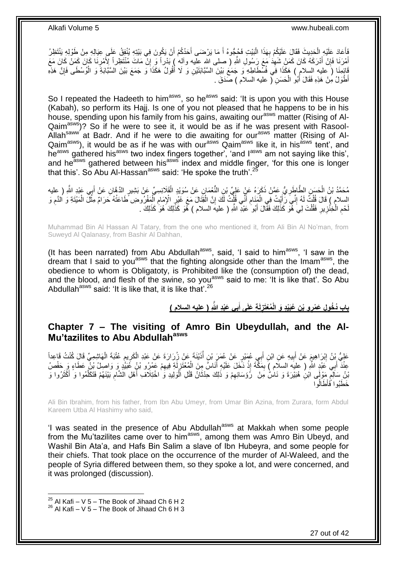فَأَعَادَ عَلَيْهِ الْحَدِيثَ فَقَالَ عَلَيْكُمْ بِهَذَا الْبَيْتِ فَجُجُوهُ أَ مَا يَرْضَى أَحَدُكُمْ أَنْ يَكُونَ فِي بَيْتِهِ يُنْفِقُ عَلَى عِيَالِهِ مِنْ طَوْلِهِ يَنْتَظِرُ َ َ َ :<br>ا ِ ْ :<br>ا أَهْرَنَا فَإِنْ أَدْرَكَهُ كَانَ كَمَنْ شَهِدَ مَعَ رَسُولِ اللَّهِ ( صلى الله عِلْيه وأله ) بَدْراً وَ إِنْ مَاتَ مُنْتَظِراً لِأَمْرِنَا كَانَ كَمَنْ كَانَ مَعَ ِ ِ َ ِ ِ ْ إِنَّهُمْ الْمَسْلامِ ) هَكَذَا فِي فُسْطَاطِهِ وَ جَمَعَ بَيْنَ السَّبَّابَتَيْنِ وَ لَا أَقُولُ هَكَذَا وَ<br>وَأَجْمَعُنَا ( عليه السلام ) هَكَذَا فِي فُسْطَاطِهِ وَ جَمَعَ بَيْنَ السَّبَّابَتَيْنِ وَ لَا أَقُولُ هَكَذَ ∣ٍ إ ْ أَطْوَلُ مِنْ هَذِهِ فَقَالَ أُبُو الْحَسَنِ ( عليه السلام ) صَدَقَ . ْ َ

So I repeated the Hadeeth to him<sup>asws</sup>, so he<sup>asws</sup> said: 'It is upon you with this House (Kabah), so perform its Hajj. Is one of you not pleased that he happens to be in his house, spending upon his family from his gains, awaiting our<sup>asws</sup> matter (Rising of Al-Qaim<sup>asws</sup>)? So if he were to see it, it would be as if he was present with Rasool-Allah<sup>saww</sup> at Badr. And if he were to die awaiting for our<sup>asws</sup> matter (Rising of Al-Qaim<sup>asws</sup>), it would be as if he was with our<sup>asws</sup> Qaim<sup>asws</sup> like it, in his<sup>asws</sup> tent', and heasws gathered his<sup>asws</sup> two index fingers together', 'and I<sup>asws</sup> am not saying like this', and he<sup>asws</sup> gathered between his<sup>asws</sup> index and middle finger, 'for this one is longer that this'. So Abu Al-Hassan<sup>asws</sup> said: 'He spoke the truth'.<sup>25</sup>

مُحَمَّدُ بْنُ الْحَسَنِ الظَّاطَرِيُّ عَمَّنْ ذَكَرَهُ عَنْ عَلِيِّ بْنِ النُّعْمَانِ عَنْ سُوَيْدٍ الْقَلَانِسِيِّ عَنْ بَشِيرٍ الدَّهَانِ عَنْ أَبِي عَبْدِ اللَّهِ ( عليه **∶** َ ْ السلام ) قَالَ قُلْتُ لَهُ إِنِّي رَأَيْتُ فِي الْمَنَامِ أَنِّي قُلْتُ لَكَ إِنَّ الْقِتَالَ مَعَ غَيْرِ الْإِمَامِ الْمَفْرُوضِ طَاعَتُهُ حَرَامٌ مِثْلَ الْمَنْتَةِ وَ الدَّمِ وَ<br>إِمْسالهم لَّا عَلَيْ أَنْ أَنْ أَيْنَ ا ْ ِ ِ ْ ِ ْ َ ِ ْ َ ِ ْ ِ ْ ْ لْحْمِ الْخِنْزِيرِ فَقُلْتَ لِيَ هُّوَ كَذَلِكَ فَقَالَ أَبُو عَبْدِ اللَّهِ ( عليهَ السلام ) هُوَ كَذَلِكَ هُوَ كَذَلِكَ . َ ْ ِ ِ ֡֬֟֟֟֟֓֡֬֟֟֩֕֓֕֓֡֬ ِ

Muhammad Bin Al Hassan Al Tatary, from the one who mentioned it, from Ali Bin Al No'man, from Suweyd Al Qalanasy, from Bashir Al Dahhan,

(It has been narrated) from Abu Abdullah $a$ sws, said, 'I said to him $a$ sws, 'I saw in the dream that I said to you<sup>asws</sup> that the fighting alongside other than the Imam<sup>asws</sup>, the obedience to whom is Obligatoty, is Prohibited like the (consumption of) the dead, and the blood, and flesh of the swine, so you<sup>asws</sup> said to me: 'It is like that'. So Abu Abdullah<sup>asws</sup> said: 'It is like that, it is like that'.<sup>26</sup>

> باب دُخُولٍ عَمْرِو بْنِ عُبَيْدٍ وَ الْمُعْتَزِلَةِ عَلَى أَبِى عَبْدِ اللّهِ ( عليه السلام ) **َ ِ**

### <span id="page-26-0"></span>**Chapter 7 – The visiting of Amro Bin Ubeydullah, and the Al-Mu'tazilites to Abu Abdullahasws**

عَلِيُّ بِنُ إِبْرَاهِيمَ عَنْ أَبِيهِ عَنِ ابْنِ أَبِي عُمَيْرٍ عَنْ عُمَرَ بْنِ أَذَيْنَةَ عَنْ زُرَارَةَ عَنْ عَبْدِ الْكَرِيمِ عُثْبَةَ الْهَاشِمِيِّ قَالٍ كُنْتُ قَاعِداً ْ ا<br>ا َ **!** ِ ْ **∶** ِ عِنْدَ أَبِي َعَبْدٍ اللَّهِ ( عِليَه السلام ) بِمَكَّةَ إِذْ دَخَلَ عَلَيْهِ أُنَاسٌ مِنَ الْمُعْتَزِلَةِ فِيهِمْ عَمْرُو بْنُ غَبَيْدٍ وَ وَاصِلُ بِنْ عَطَاءٍ وَ حَفْصُ ِ لَ ِ ْ ا<br>ا ْ ِ َ ْبِنُ سَالِمٍ مَوْلَى ابْنِ هُبَيْرَةَ وَ نَاسٌ مِنْ ۚ رُؤَسَائِهِمْ وَ ذَلِكَ حِدْثَانُ قَتْلِ الْوَلِيدِ وَ اخْتِلَافِ أَهْلِ الشَّامِ بَيْنَهُمْ فَتَكَلَّمُوا وَ أَكْثَرُوا وَ ِ ٍ َ َ َّ ِ ا<br>أ ْ َ خَطَبُوا قَاَطَالُوا

Ali Bin Ibrahim, from his father, from Ibn Abu Umeyr, from Umar Bin Azina, from Zurara, form Abdul Kareem Utba Al Hashimy who said,

'I was seated in the presence of Abu Abdullah<sup>asws</sup> at Makkah when some people from the Mu'tazilites came over to him<sup>asws</sup>, among them was Amro Bin Ubeyd, and Washil Bin Ata'a, and Hafs Bin Salim a slave of Ibn Hubeyra, and some people for their chiefs. That took place on the occurrence of the murder of Al-Waleed, and the people of Syria differed between them, so they spoke a lot, and were concerned, and it was prolonged (discussion).

 $^{25}$  Al Kafi – V 5 – The Book of Jihaad Ch 6 H 2

 $26$  Al Kafi – V 5 – The Book of Jihaad Ch 6 H 3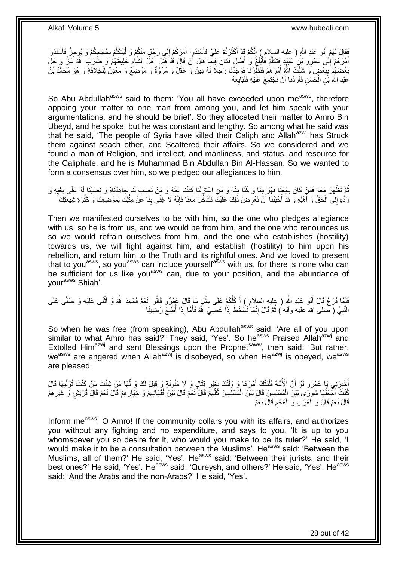فَقَالَ لَهُمْ أَبُو عَبْدِ اللَّهِ ( عليه السِلامِ ) إِنَّكُمْ قَذِ أَكْثَرْتُمْ عَلَيَّ فَأَسْنِدُوا أَمْرَكُمْ إِلَي رَجُلٍ مِنْكُمْ وَ لِيُوجَلُمْ وَ يُوجِزُ فَأَسْنَدُوا َ َ ِ َ َ ِ َّ ْ ِ َ َ أَهْرَ هُمْ إِلَى عَمْرِ و بْنِ غَبَيْدٍ فَتَكَلَّمَ فَأَبْلُغَ وَ أَطَالَ فَكَانَ فِيمًا قَالَ أَنْ قَالَ قَد<br>وَمِنْ الْمَوْمِ الْحَسَنَ فَتَحَلَّمَ فَأَبْلُغَ وَ أَعَيَانَ فِيمًا قَالَ أَنْ قَالَ قَدْ قَالَ أَهْلُ الشَّ َ َ َ َّ  $\frac{1}{2}$ ِ ُبعْضَهُمْ بِبَعْضٍ وَ شَتَّتَ اللَّهِ أَمْرَ هُمْ فَنَظِّرْنَا فَوَجَدْنَا رَجُلًا لَهُ دِينٌ وَ عَقْلٌ وَ مُرُوَّةٌ وَ مَوْضِعٌ وَ مَعْدِنٌ لِلْخِلَافَةِ وَ هُوَ مُحَمَّدُ بْنُ َ ِ ْ عَبْدِ الثَّهِ بْنِ الْحَسَنِ فَأَرَدْنَا أَنْ نَجْتَمِعَ عَلَيْهِ فَنُبَايِعَهُ َ َ ْ ِ

So Abu Abdullah<sup>asws</sup> said to them: 'You all have exceeded upon me<sup>asws</sup>, therefore appoing your matter to one man from among you, and let him speak with your argumentations, and he should be brief'. So they allocated their matter to Amro Bin Ubeyd, and he spoke, but he was constant and lengthy. So among what he said was that he said, 'The people of Syria have killed their Caliph and Allah<sup>azwj</sup> has Struck them against seach other, and Scattered their affairs. So we considered and we found a man of Religion, and intellect, and manliness, and status, and resource for the Caliphate, and he is Muhammad Bin Abdullah Bin Al-Hassan. So we wanted to form a consensus over him, so we pledged our allegiances to him.

ُمَّ نَظْهَرَ مَعَهُ فَمَنْ كَانَ بَايَعَنَا فَهُوَ مِنَّا وَ كُنَّا مِنْهُ وَ مَنِ اعْتَزَلَنَا كَفَفْنَا عَذْهُ وَ مَنْ نَصِبَ لَنَا جَاهَدْنَاهُ وَ نَصَبْنَا لَهُ عَلَى بَغْيِهِ وَ ُ ِ ِ رَدِّهِ إِلَى الْحَقِّ وَ أَهْلِهِ وَ قَدْ أَحْبَبْنَا أَنْ نَعْرِضَ ذَلِكَ عَلَيْكَ فَتَدْخُلَ مَعَنَا فَإِنَّهُ لَا غِنًى بِنَا عَنْ مِثْلِكَ لِمَوْضِعِكَ وَ كَثْرَةِ شِيعَتِكَ ِ **∶** َ َ ْ  $\frac{1}{2}$ ْ **ٔ** 

Then we manifested ourselves to be with him, so the one who pledges allegiance with us, so he is from us, and we would be from him, and the one who renounces us so we would refrain ourselves from him, and the one who establishes (hostility) towards us, we will fight against him, and establish (hostility) to him upon his rebellion, and return him to the Truth and its rightful ones. And we loved to present that to you<sup>asws</sup>, so you<sup>asws</sup> can include yourselfasws with us, for there is none who can be sufficient for us like you<sup>asws</sup> can, due to your position, and the abundance of your<sup>asws</sup> Shiah'.

فَلَقَا فَرَغَ قَالَ أَبُو عَبْدِ اللَّهِ ( عِليهِ السلام ) أَ كُلُّكُمْ عَلَى مِثْلٍ مَا قَالَ عَمْرٌو قَالُوا نَعَمْ فَحَمِدَ اللَّهَ وَ أَثْنَى عَلَيْهِ وَ صَلَّى عَلَى ْ َ َ ْ َ النَّبِيِّ ( صلى الله عليه وآله ) ثُمَّ قَالَ إِنَّمَا نَسْخَطُ إِذَا عُصِّيَ اللَّهُ فَأَمَّا إِذَا أُطِيعَ رَضِينَا ِ ُ **∶** ا<br>ا َ

So when he was free (from speaking), Abu Abdullah<sup>asws</sup> said: 'Are all of you upon similar to what Amro has said?' They said, 'Yes'. So he<sup>asws</sup> Praised Allah<sup>azwj</sup> and Extolled Him<sup>azwj</sup> and sent Blessings upon the Prophet<sup>saww</sup>, then said: 'But rather, we<sup>asws</sup> are angered when Allah<sup>azwj</sup> is disobeyed, so when He<sup>azwj</sup> is obeyed, we<sup>asws</sup> are pleased.

أُخْبِرْنِي بَا عَمْرُو لَوْ أَنَّ الْأُمَّةَ قَلَّدَتْكَ أَمْرَهَا وَ وَلَّتْكَ بِغَيْرِ قِتَالٍ وَ لَا مَثُونَةٍ وَ قِيلَ لَكَ وَ لَّهَا مَنْ شِئْتَ مَنْ كُنْتَ تُوَلِّيهَا قَالَ ِ ِّ ِ **∶** َّ َ َّ َ ِّ كُنْتُ أَجْعَلُهَا شُورَى بَيْنَ الْمُسْلِمِينَ قَالَ بَيْنَ الْمُسْلِمِينَ كُلِّهِمْ قَالَ نَعَمْ قَالَ بَيْنَ فُقَهَائِهِمْ وَ خِيَارِ هِمْ قَالَ نَعَمْ قَالَ فَرَيْشٍ وَ غَيْرِ هِمْ ِ ِ ِّ ْ ْ ا<br>ا ِ ِ قَالَ نَعَمْ قَالَ وَ الْعَرَبِ وَ الْعَجَمِ قَالَ نَعَمْ ْ ِ ْ

Inform me<sup>asws</sup>, O Amro! If the community collars you with its affairs, and authorizes you without any fighting and no expenditure, and says to you, 'It is up to you whomsoever you so desire for it, who would you make to be its ruler?' He said, 'I would make it to be a consultation between the Muslims'. He<sup>asws</sup> said: 'Between the Muslims, all of them?' He said, 'Yes'. He<sup>asws</sup> said: 'Between their jurists, and their best ones?' He said, 'Yes'. He<sup>asws</sup> said: 'Qureysh, and others?' He said, 'Yes'. He<sup>asws</sup> said: 'And the Arabs and the non-Arabs?' He said, 'Yes'.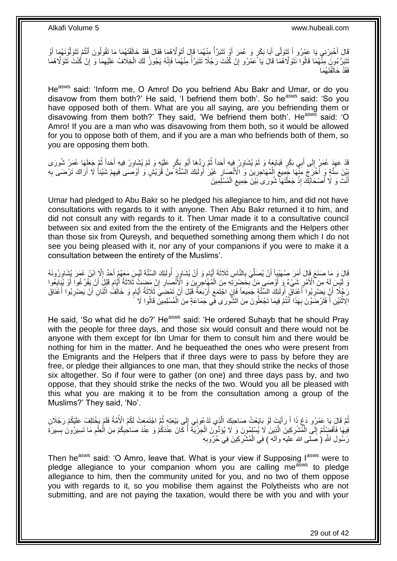َفَالَ أَخْبِرْنِي يَا عَمْرُو أَ يَتَوَلَّى أَبَا بَكْرٍ وَ عُمَرَ أَوْ تَتَبَرَّأُ مِنْهُمَا قَالَ أَتَوَلَّاهُمَا فَقَالَ فَقَدْ خَالَفْتَهُمَا مَا تَقُولُونَ أَنْتُمْ تَتَوَلَّوْنَهُمَا أَوْ َ ا<br>ا اُ َ َ ِ َ َّ َ نَّتَبَرَّءُونَ مِثَّهُمَا قَالُوا نَتَوَلَّاهُمَا قَالَ يَا َعَمْرُو إِنْ كُنْتَ رَجُلًا تَتَبَرَّأُ مِنْهُمَا فَإِنَّهُ يَجُوزُ لَكَ الْخِلَافُ عَلَيْهِمَا وَ إِنْ كُنْتَ تَتَوَلَّاهُمَا ِ ِ ْ ∣اٍ ا<br>ا ِ فَقَدْ خَالَفْتَهُمَا

He<sup>asws</sup> said: 'Inform me, O Amro! Do you befriend Abu Bakr and Umar, or do you disavow from them both?' He said, 'I befriend them both'. So he<sup>asws</sup> said: 'So you have opposed both of them. What are you all saying, are you befriending them or disavowing from them both?' They said, 'We befriend them both'. He<sup>asws</sup> said: 'O Amro! If you are a man who was disavowing from them both, so it would be allowed for you to oppose both of them, and if you are a man who befriends both of them, so you are opposing them both.

َّةٌ عَهِدَ عُمَرٍۢ إِلَى أَبِي بَكْرٍ فَبَايَعَهُ وَ لَمْ يُشَاوِرْ فِيهِ أَحَداً ثُمَّ رَدَّهَا أَبُو بَكْرٍ عَلَيْهِ وَ لَمْ يُشَاوِرْ فِيهِ أَحَداً ثُمَّ جَعَلَهَا عُمَرُ شُورَى َ ُ َ ِ َ  $\frac{1}{2}$ ِ ا پایا<br>ا َ **∶** َبْيْنَ سِتَّةٍ وَ أَخْرَجَ مَنْهَا جَمِيعَ الْمُهَاجِرِينَ وَ الْأَنْصَارِ غَيْرَ أُولَئِكَ الْسِّتَّةِ مِنْ قُرَيْشٍ وَ أَوْصَى فِيهِمْ شَيْئا لَا أَرَاكَ تَرْضَى بِهِ َ ر<br>ا ِ **∶** ْ َ **∶** َ ِ أَنْتَ وَ لَا أَصْحَابُكَ إِذْ جَعَلْتَهَا شُورَىَ بَيْنَ جَمِيعِ الْمُسْلَمِينَ ْ ِ ْ **ٔ** َ

Umar had pledged to Abu Bakr so he pledged his allegiance to him, and did not have consultations with regards to it with anyone. Then Abu Bakr returned it to him, and did not consult any with regards to it. Then Umar made it to a consultative council between six and exited from the the entirety of the Emigrants and the Helpers other than those six from Qureysh, and bequethed something among them which I do not see you being pleased with it, nor any of your companions if you were to make it a consultation between the entirety of the Muslims'.

قَالَ وَ مَا صَنَعَ قَالَ أَمَرَ صُهَنْبِاً أَنْ يُصَلِّيَ بِالنَّاسِ ثَلاَثَةَ أَيَّامٍ وَ أَنْ يُشَاوِرٍ أَولَئِكَ السِّنَّةَ لَيْسَ مَعَهُمْ أَحَدٌّ إِلَّا ابْنُ عُمَرَ يُشَاوِرُونَهُ اُ ِ َ ٍ َ **∶** ِّ َ َ ِ ا<br>ا وَ لَيْسَ لَهُ مِنَ الْأَمْرِ شَيْءٌ وَ أَوْصَى مَنْ بِخَضْرِرَتِهِ مِنَ الْمُهَاجِّرِينَ وَ الْأَنْصِارِ إِنْ مَضنتُ ثَلاثَةُ أَيَّامٍ قَبْلَ أَنْ يَفْرُ غُوا أَوْ يُبَايِعُوا ِ َ َ أ َ َ ِ ِ ِ ْ **∶** َ ِ رَجُلًا أَنْ يَضْرِبُوا أَعْنَاقَ أُولَئِكَ السَّنَّةِ جَمِيعاً فَإِنِ اجْتَمَعَ أَرْبَعَةٌ قَبْلَ أَنْ تَمْضِيَ ثَلاَثَةُ أَيَّامٍ وَ خَالَفُ اثْنَانِ أَنْ يَضْرِبُوا أَعْذَاقَ ان<br>ا َ ِ َ َ ِ اً ْ ٍ َ َ َ اُ الِاثْنَيْنِ أَ فَتَرْضَوْنَ بِهَذَا أَنْتُمْ فِيمَا تَجْعَلُونَ مِنَ الشَّوَرَى فِي جَمَاعَةٍ مِنَ الْمُسْلِمِينَ قَالُوا لَا ْ َ ِ ا<br>ا ֦֧֦֧֦֦֧֦֧֦֧֦֧֦֧֦֧֦֧֦֟֟֓֕֝֝֝**֦** 

He said, 'So what did he do?' He<sup>asws</sup> said: 'He ordered Suhayb that he should Pray with the people for three days, and those six would consult and there would not be anyone with them except for Ibn Umar for them to consult him and there would be nothing for him in the matter. And he bequeathed the ones who were present from the Emigrants and the Helpers that if three days were to pass by before they are free, or pledge their allgiances to one man, that they should strike the necks of those six altogether. So if four were to gather (on one) and three days pass by, and two oppose, that they should strike the necks of the two. Would you all be pleased with this what you are making it to be from the consultation among a group of the Muslims?' They said, 'No'.

ُمَّةُ فَالٍَ يَا عَمْرُو دَعْ ذَا أَ رَأَيْتَ لَوْ بَايَعْتُ صَاحِنِكَ الَّذِي تَدْعُونِي إِلَى بَيْعَتِهِ ثُمَّ اجْتَمَعَتْ لَكُمُ الْأُمَّةُ فَلَمْ يَخْتَلِفْ عَلَيْكُمْ رَجُلَانِ ان<br>المقامات  $\frac{1}{2}$ اُ َ َ ُ فِيهَا فَأَفَضْتُمْ إِلَى الْمُشْرِكِينَ الَّذِينَ لَا يُسْلِمُونَ وَ لَا يُؤَدُّونَ الْجِزْيَّةُ أَكَانَ عِنْدَكُمْ وَ عِنْدَ صَاحِبِكُمْ مِنَ الْعِلْمِ مَا تَسِيرُونَ بِسِيرَةِ َّ ِ ْ יִי (ו َ ِ ِ ْ ْ ِ ْ رَسُولِ اللَّهِ ( صَلى الله َعليه وآلمه ) فِي الْمُشْرِكِينَ فِي حُرُوبِهِ ِ ِ ْ

Then he<sup>asws</sup> said: 'O Amro, leave that. What is your view if Supposing l<sup>asws</sup> were to pledge allegiance to your companion whom you are calling me<sup>asws</sup> to pledge allegiance to him, then the community united for you, and no two of them oppose you with regards to it, so you mobilise them against the Polytheists who are not submitting, and are not paying the taxation, would there be with you and with your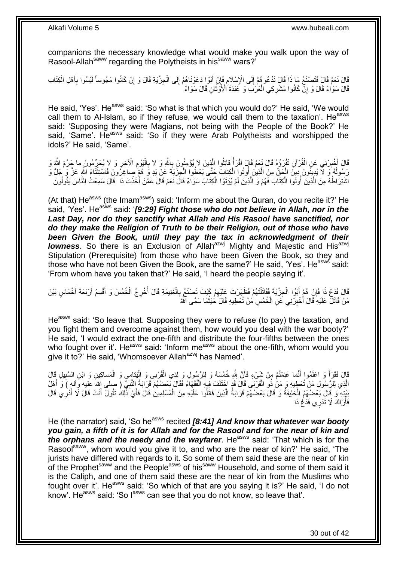companions the necessary knowledge what would make you walk upon the way of Rasool-Allah<sup>saww</sup> regarding the Polytheists in his<sup>saww</sup> wars?'

قَالَ نَعَمْ قَالَ فَتَصْنُعُ مَا ذَا قَالَ نَدْعُوهُمْ إِلَى الْإِسْلَامِ فَإِنْ أَبَوْا دَعَوْنَاهُمْ إِلَى ا<br>يَدْن نَبْسُهُ وَ الْمَسْنَعُ مَنْ أَوْ فَالْمَ نَقْلُهُمْ إِلَى الْإِسْلَامِ فَإِنْ أَبَوْا دَعَوْنَاهُمْ إِ ْ َ **∶** لَ ِ ْ ِ َ  $\frac{1}{2}$ ِ  $\frac{1}{2}$ قَالَ سَوَاءٌ قَالَ وَ إِنَّ كَانُوا مُشْرِكِي الْعَرَٰبَ وَ كَبَدَةَ الْأَوْثَانِ قَالَ سَوَاءٌ ة<br>أ ْ **∶ ֓**֧֢֢֢֦֓

He said, 'Yes'. He<sup>asws</sup> said: 'So what is that which you would do?' He said, 'We would call them to Al-Islam, so if they refuse, we would call them to the taxation'. He<sup>asws</sup> said: 'Supposing they were Magians, not being with the People of the Book?' He said, 'Same'. He<sup>asws</sup> said: 'So if they were Arab Polytheists and worshipped the idols?' He said, 'Same'.

قَالَ أُخْبِرْنِي عَنِ الْقُرْآنِ تَقْرَؤُهُ قَالَ نَعَمْ قَالٍَ اقْرَأْ قاتِلُوا الَّذِينَ لا يُؤْمِنُونَ بِاللَّهِ وَ لا بِالْيَوْمِ الْأَخِرِ وَ لا يُحَرِّمُونَ ما جَرَّمَ اللَّهُ وَ **∶** ِ َّ  $\frac{1}{2}$ ْ ِ َ ¦ ِ رَسُولُهُ وَ لاَّ يَدِينُونَ دِبِنَ الْحَقِّ مِنَ الَّذِينَ أُوتُوا الْكِتابَ جَتَّى يُعْطُوا الْجِزْيَةَ عَنْ يَو وَ هُوِّ صاغِرُونَ فَاسْتِثْنَاءُ اللَّهِ عَزَّ وَ جَلَّ وَ ْ ْ ُ َّ ْ **ٔ** اَشْتِرَ اطُهُ مِنَ الَّذِينَ ۖ أُوتُوا الْكِتَابَ فَهُمْ وَ الَّذِينَ لَمْ يُؤْتَوُا الْكِتَابَ سَوَاءٌ قَالَ نَعَمْ قَالَ عَمَّنْ أَخَذْتَ ذَا ۖ قَالَ سَمِعْتُ النَّاسَ يَقُولُونَ َّ ْ ُ َّ ُ **ٔ** َ ْ

(At that) He<sup>asws</sup> (the Imam<sup>asws</sup>) said: 'Inform me about the Quran, do you recite it?' He said, 'Yes'. He<sup>asws</sup> said: '**[9:29] Fight those who do not believe in Allah, nor in the** *Last Day, nor do they sanctify what Allah and His Rasool have sanctified, nor do they make the Religion of Truth to be their Religion, out of those who have been Given the Book, until they pay the tax in acknowledgment of their lowness*. So there is an Exclusion of Allah<sup>azwj</sup> Mighty and Majestic and His<sup>azwj</sup> Stipulation (Prerequisite) from those who have been Given the Book, so they and those who have not been Given the Book, are the same?' He said, 'Yes'. He<sup>asws</sup> said: 'From whom have you taken that?' He said, 'I heard the people saying it'.

:<br>ا قَالَ فَدَعْ ذَا فَإِنْ هُمْ أَبَوُا الْجِزْيَةَ فَقَاتَلْتَهُمْ فَظَهَرْتَ عَلَيْهِمْ كَيْفَ تَصِنْغُ بِالْغَنِيمَةِ قَالَ أُخْرِجُ الْخُمُسَ وَ أَقْسِمُ أَرْبَعَةَ أَخْمَاسٍ بَيْنَ ْ ِ ِ ْ ْ َ ِ َ َ ِ َ مَنْ قَاتَلَ عَلَيْهِ قَالَ أُخْبِرْنِي عَنِ الْخُمُسِ مَنْ تُعْطِيهِ قَالَ حَيْثُمَا سَمَّى الَّنَّهُ ان<br>المقام المقام المقام المقام المقام المقام المقام المقام المقام المقام المقام المقام المقام المقام المقام المقا ِ

He<sup>asws</sup> said: 'So leave that. Supposing they were to refuse (to pay) the taxation, and you fight them and overcome against them, how would you deal with the war booty?' He said, 'I would extract the one-fifth and distribute the four-fifths between the ones who fought over it'. He<sup>asws</sup> said: 'Inform me<sup>asws</sup> about the one-fifth, whom would you give it to?' He said, 'Whomsoever Allah<sup>azwj</sup> has Named'.

قَالَ فَقَرَأَ وَ اعْلَمُوا أَنَّما غَنِمْتُمْ مِنْ شَيْءٍ فَأَنَّ بِلَّهِ خُمُسِهُ وَ لِلرَّسُولِ وَ لِذِي الْقُرْبِي وَ الْبَتِامِي وَ الْمَساكِينِ وَ ابْنِ السَّبِيلِ قَالَ<br>وَيَقْلُلُ فَقَرَأَ وَ اعْلَمُوا أَنَّما غَنِ َ َ ْ ِ أ ِ ْ ْ الَّذِي لِلْرَّسُولِ مَنْ تُعْطِيِهِ وَ مَنْ ذُو الْقُرْبَى قَالَ قَدٍ اخْتَلَفَ فِيهِ الْفُقَهَاءُ فَقَالَ بَعْضُهُمْ قَرَابَةُ إِللَّئِي ( صلى اِلله عليه وَلَامٍ ) وَ أَهْلُ ْ ْ َ **∶** ْ بَيْتِهِ وَ قَالَ بَعْضُهُمُ الْخَلِيفَةُ وَ قَالَ بَعْضُهُمْ قَرَابَةُ الَّذِينَ قَاتَلُوا عَلَيْهِ مِنَ الْمُسْلِمِينَ قَالَ فَأَيَّ ذَٰلِكَ تَقُولُ أَنْتَ قَالَ لَا أُذْرِي قَالَ<br>وَإِنَّ مِن الْمَسَلِمِينَ الْمَسْلَمِي َ َ ْ َّ َ فَأَرَاكَ لَا تَدْرِي فَدَعْ ذَا اُ

He (the narrator) said. 'So he<sup>asws</sup> recited *[8:41] And know that whatever war booty you gain, a fifth of it is for Allah and for the Rasool and for the near of kin and the orphans and the needy and the wayfarer*. He<sup>asws</sup> said: 'That which is for the Rasool<sup>saww</sup>, whom would you give it to, and who are the near of kin?' He said, 'The jurists have differed with regards to it. So some of them said these are the near of kin of the Prophet<sup>saww</sup> and the People<sup>asws</sup> of his<sup>saww</sup> Household, and some of them said it is the Caliph, and one of them said these are the near of kin from the Muslims who fought over it'. He<sup>asws</sup> said: 'So which of that are you saying it is?' He said, 'I do not know'. He<sup>asws</sup> said: 'So l<sup>asws</sup> can see that you do not know, so leave that'.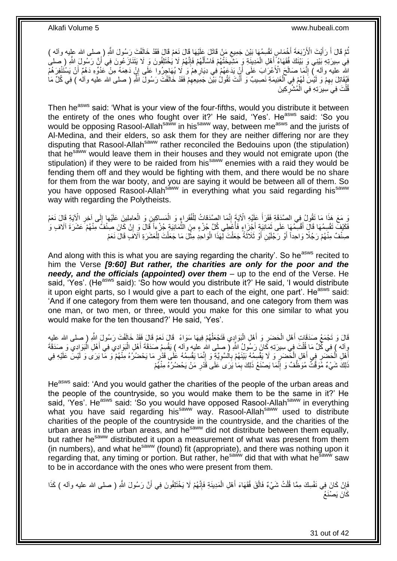نُّمَّ قَالَ أَ رَأَيْتَ الْأَرْبَعَةَ أَخْمَاسٍ تَقْسِمُهَا بَيْنَ جَمِيعِ مَنْ قَاتَلَ عَلَيْهَا قَالَ نَعَمْ قَالَ فَقَدْ خَالَفْتَ رَسُولَ اللَّهِ (صلى الله عليه وآله ) ِ َ َ َ ُ فِي سِيرَتِهِ بَيْنِي وَ بَيْنَكَ فُقَهَاءُ أَهْلِ الْمَدِينَةِ وَ مَشْلِيخَتُهُمْ فَاسْأَلْهُمْ فَإِنَّهُمْ لَا يُخْتَلِفُونَ وَ لَا يَتَنَازَ عُونَ فِي أَنَّ رَسُولَ اللَّهِ ( صلى ∣اٍ<br>∶ ْ َ ْ َ َ الله عليه وأله ٍ إِنَّمَا صَالَحَ الْأَعْرَابَ عَلَى أَنْ يَدَعَهُمْ فِي دِيَارِهِمْ وَ لَا يُهَاجِرُوا عَلَى إِنْ دَهِمَهُ مِنْ كَمُوّهِ دَهْمٌ أَنْ يَسْتَنْفِرَهُمْ ِ ِ اُ ِ َ فَيُقَاتِلَ بِهِمْ وَ لَيْسَ لَهُمْ فِي الْغَنِيمَةِ نَصِيبٌ وَ أَنْتَ تَقُولُ بَيْنَ جَمَيعِهِمْ فَقَدْ خَالَفُتَ رَسُولَ اللَّهِ ( صلى الله عليه وآله ) فِي كُلِّ مَا ْ ِ ِ قُلْتَ فِيَ سِيرَتِهِ فِي الْمُشْرِكِينَ **∶** ْ ْ

Then he<sup>asws</sup> said: 'What is your view of the four-fifths, would you distribute it between the entirety of the ones who fought over it?' He said, 'Yes'. He<sup>asws</sup> said: 'So you would be opposing Rasool-Allah<sup>saww</sup> in his<sup>saww</sup> way, between me<sup>asws</sup> and the jurists of Al-Medina, and their elders, so ask them for they are neither differing nor are they disputing that Rasool-Allah<sup>saww</sup> rather reconciled the Bedouins upon (the stipulation) that he<sup>saww</sup> would leave them in their houses and they would not emigrate upon (the stipulation) if they were to be raided from his<sup>saww</sup> enemies with a raid they would be fending them off and they would be fighting with them, and there would be no share for them from the war booty, and you are saying it would be between all of them. So you have opposed Rasool-Allah<sup>saww</sup> in everything what you said regarding his<sup>saww</sup> way with regarding the Polytheists.

رَعَ هَذَا مَا تَقُولُ فِي الصَّدَقَةِ فَقَرَأَ عَلَيْهِ الْآيَةَ إِنَّمَا الصَّدَقاتُ لِلْفُقَراءِ وَ الْمَساكِينِ وَ الْعامِلِينَ عَلَيْها إِلَى آخِرِ الْآيَةِ قَالَ نَعَمْ<br>يَهْدَمَ مَعْنَا مَا تَقُولُ فِي الصَّدَقَةِ فَ :<br>نا ْ ْ ْ ِ َ ِ  $\frac{1}{2}$ فَكَيْفَ تَقْسِمُهَا قَالَ أَقْسِمُهَا عَلَى ثَمَانِيَةِ أَجْزَاءٍ فَأُعْطِي كُلَّ جُزْءٍ مِنَ الثَّمَانِيَةِ جُزْءاً قَالَ وَ إِنْ كَانَ صِنْفٌ مِنْهُمْ عَشَرَةَ آلَافٍ وَ :<br>:<br>: َ َ ِ َّ صِنْفٌ مِنْهُمْ رَجُلًا وَاحِداً أَوْ رَجُلَيْنِ أَوْ ثَلَاثَةً جَعَلْتَ لِهَذَا الْوَاحِدِ مِثْلَ مَا جَعَلْتَ لِلْعَشَرَةِ آلَافَ ٍ قَالَ نَعَمْ ْ ْ ا<br>ا ْ ْ َ َ َ

And along with this is what you are saying regarding the charity'. So he<sup>asws</sup> recited to him the Verse *[9:60] But rather, the charities are only for the poor and the needy, and the officials (appointed) over them* – up to the end of the Verse. He said, 'Yes'. (He<sup>asws</sup> said): 'So how would you distribute it?' He said, 'I would distribute it upon eight parts, so I would give a part to each of the eight, one part'. He<sup>asws</sup> said: 'And if one category from them were ten thousand, and one category from them was one man, or two men, or three, would you make for this one similar to what you would make for the ten thousand?' He said, 'Yes'.

ْ قَالَ وَ تَجْمَعُ صَدَقَاتٍ أَهْلِ الْحَضَرِ وَ أَهْلِ الْبَوَادِي فَتَجْعَلُهُمْ فِيهَا سَوَاءً ۚ قَالٍ نَعَمْ قَالَ فَقَدْ خَالَفْتَ رَسُولَ اللَّهِ ( صلى الله عليهِ َ ُ ْ َ ِ وِاله ) فِي كُلِّ مَا قُلْتَ فِي سِيرَتِهِ كَانَ رَسُولُ اللَّهِ ( صلى الله عليه وآله ) يَقْسِمُ صَدَقَةَ أَهْلِ الْبَوَادِي فِي أَهْلِ الْبَوَادِي وَ صَدَقَةَ ْ َ ْ ْ َ أَهْلِ الْحَضَّىَرِ فِي أَهْلِ الْحَضَىَرِ ۚ وَ لَا يَقْسِمُهُ بَيْنَهُمْ بِالْسَوِيَّةِ ۖ وَ إِنَّمَا يَقْسِمُهُ عَلَى قَدْرِ مَا يَحْضُرُهُ مِنْهُمْ وَ مَا يَرَى وَ لَيْسَ عَلَيْهِ فِي ِ  $\frac{1}{2}$ ِ ِ ِ ْ َ ِ ْ َذَلِكَ شَيْءٌ مُّوَقَّتٌ مُوَظَّفٌ وَ إِنَّمَا يَصْنَعُ ذَلِكَ بِمَا يَرَى ۖ عَلَى قَذْرِ مَنْ يَحْضُرُهُ مِنْهُمْ :<br>نا ِ ِ

He<sup>asws</sup> said: 'And you would gather the charities of the people of the urban areas and the people of the countryside, so you would make them to be the same in it?' He said, 'Yes'. He<sup>asws</sup> said: 'So you would have opposed Rasool-Allah<sup>saww</sup> in everything what you have said regarding his<sup>saww</sup> way. Rasool-Allah<sup>saww</sup> used to distribute charities of the people of the countryside in the countryside, and the charities of the urban areas in the urban areas, and he<sup>saww</sup> did not distribute between them equally, but rather he<sup>saww</sup> distributed it upon a measurement of what was present from them (in numbers), and what he<sup>saww</sup> (found) fit (appropriate), and there was nothing upon it regarding that, any timing or portion. But rather, he<sup>saww</sup> did that with what he<sup>saww</sup> saw to be in accordance with the ones who were present from them.

فَإِنْ كَانَ فِي نَفْسِكَ مِمَّا قُلْتُ شَيْءٌ فَالْقَ فُقَهَاءَ أَهْلِ الْمَدِينَةِ فَإِنَّهُمْ لَا يَخْتَلِفُونَ فِي أَنَّ رَسُولَ اللَّهِ ( صلى الله عليه وآله ) كَذَا ْ ِ َ ْ َ ∣اٍ ْ كَانَ بَصْنَعُ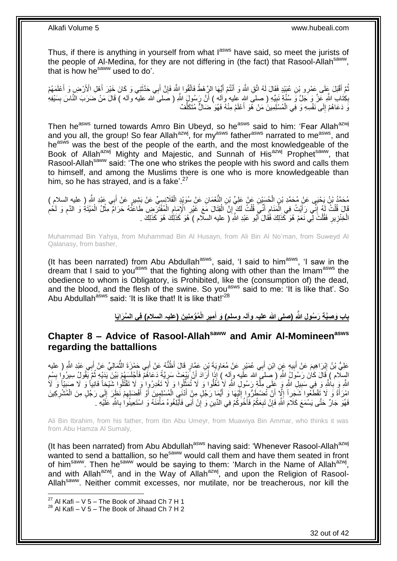Thus, if there is anything in yourself from what lasws have said, so meet the jurists of the people of Al-Medina, for they are not differing in (the fact) that Rasool-Allah<sup>saww</sup>, that is how he<sup>saww</sup> used to do'.

∣lٍ ثُّمَّ أَقْبَلَ عَلَى عَمْرِهِ بْنِ عُيَنْدٍ فَقَالَ لَهُ اتَّقِ اللَّهَ وَ أَنْتُمْ أَيُّهَا الرِّهْطُ فَاتَّقُوا إِللَّهَ فَإِنَّ أَبِي حَذَّتَنِي وَ كَانَ خَيْرَ أَهْلِ الْأَرْضِ وَ أَعْلَمَهُمْ<br>نُمَّ أَقْبَلَ عَلَى عِ َ َ َ َ َ َ َ بِكْتَابِ اللَّهِ عَزَّ وَ جَلَّ وَ سُنَّةِ نَبِيِّهِ ( صلىَ اللهِ عليه وآله ) أَنَّ رَسُولَ اللَّهِ ( صَلىَ الله عليه وآله ) قَالَ مَنْ ضَرَبَ النَّاسَ بِسَيْفِهِ **∣** ِ ِ َ َنَ دَعَاهُمْ إِلَى نَفْسِهِ وَ فِي الْمُسْلَمِينَ مَنْ هُوَ أَعْلَمُ مِنْهُ فَهُوَ ضَالٌّ مُتَكَلِّفٌ ِّ َ ْ ِ

Then he<sup>asws</sup> turned towards Amro Bin Ubeyd, so he<sup>asws</sup> said to him: 'Fear Allah<sup>azwj</sup> and you all, the group! So fear Allah<sup>azwj</sup>, for my<sup>asws</sup> father<sup>asws</sup> narrated to me<sup>asws</sup>, and he<sup>asws</sup> was the best of the people of the earth, and the most knowledgeable of the Book of Allah<sup>azwj</sup> Mighty and Majestic, and Sunnah of His<sup>azwj</sup> Prophet<sup>saww</sup>, that Rasool-Allah<sup>saww</sup> said: 'The one who strikes the people with his sword and calls them to himself, and among the Muslims there is one who is more knowledgeable than him, so he has strayed, and is a fake'. $27$ 

مُحَمَّدُ بْنُ يَحْيَى عَنْ مُحَمَّدِ بْنِ الْحُسَيْنِ عَنْ عَلِيِّ بْنِ النُّعْمَانِ عَنْ سُوَيْدٍ الْقَلَانِسِيِّ عَنْ بَشِيرٍ عَنْ أَبِي عَبْدِ الْقَرِ ( عليه السلام )<br>مَدِينٌ وَجَبَاسِ مَعْ مُحَمَّدِ بْنِ الْحُسَيِّنِ َ ْ ْ قَالَ قُلْتُ لَهُ إِنِّي رَأَيْتُ فِي الْمَنَامِ أَنِّيَ قُلْتُ لَكَ إِنَّ الْقِتَالَ مَعَ غَيْرِ الْإِمَامِ الْمُفْتَرَضِ طَاعَتُهُ حَرَامٌ مِثْلُ الْمَيْتَةِ وَ الدَّمِ وَ لَحْمِ ْ  $\ddot{\phantom{a}}$ ِ ْ ِ ْ َ ِ ْ َ ِ ْ ِ ِ ْ ْ الْخِنْزِيرِ فَقُلْتَ لِّي نَعَمْ هُوَ كَذَلِكَ فَقَالَ أَبُو عَبْدِ اللَّهِ ( عليه السلّام ) َهُوَ كَذَلِكَ هُوَ كَذَلِكَ . ْ **∶** ِ ْ

Muhammad Bin Yahya, from Muhammad Bin Al Husayn, from Ali Bin Al No'man, from Suweyd Al Qalanasy, from basher,

(It has been narrated) from Abu Abdullah<sup>asws</sup>, said, 'I said to him<sup>asws</sup>, 'I saw in the  $\alpha$  dream that I said to you<sup>asws</sup> that the fighting along with other than the Imam<sup>asws</sup> the obedience to whom is Obligatory, is Prohibited, like the (consumption of) the dead, and the blood, and the flesh of the swine. So you<sup>asws</sup> said to me: 'It is like that'. So Abu Abdullah<sup>asws</sup> said: 'It is like that! It is like that!'<sup>28</sup>

> باب وَصِيَّةِ رَسُول اللَّهِ (صلى الله عليه وآله وسلم) وَ أَمِيرِ الْمُؤْمِنِينَ (عليه السلام) فِي السَّرَايَا **َ**

### <span id="page-31-0"></span>**Chapter 8 – Advice of Rasool-Allahsaww and Amir Al-Momineenasws regarding the battallions**

عَلِيُّ بْنُ إِبْرَاهِيمَ عَنْ أَبِيهِ عَنِ ابْنِ أَبِي عُمَيْرٍ عَنْ مُعَاوِيَةَ بْنِ عَمَّارٍ قَالَ أَظُنُّهُ عَنْ أَبِي حَمْزَةَ الثَّمَالِيِّ عَنْ أَبِي عَبْدِ الثَّهِ ( عليه َ **!** َ ِ َ ُّ َ ِ السِلّام ) قَالَ كَانَ رَسُولُ اللَّهِ ( صَلَيَّ الله علَيه وآله ) إِذَا أَرَادَ أَنْ يَنْبِعَثَ سَرِيَّةً دَعَاهُمْ فَأَجْلَسَهُمْ بَيْنَ يَدَيْهِ ثُمَّ يَقُولُ سِيرُوا بِسْعِ َ ِ اً ا پایا<br>ا ِ ِ اللَّهِ وَ بِاللَّهِ وَ فِي سَبِيلِ اللَّهِ وَ عَلَى مِلَّةِ رَسُولِ اللَّهِ لَإِ تَغُلُّوا وَ لَا تُعَبُّلُوا وَ لَا تَغْدِرُوا وَ لَا تَقْتُلُوا شَيْخاً فَانِياً وَ لَا صَبِيّاً وَ لَأ ِّ َّ **∣ ∶** ِ امْرَأَةً وَ لَا تَقْطَعُوا َشَجَراً إِلَّا أَنْ تُضْطَرُوا إِلَيْهَا وَ أَيُّمَا رَجُلٍ مِنْ أَذْنَى الْمُسْلِهِينَ أَوْ أَفْضَلِهِمْ نَظَرَ إِلَى رَجُلٍ مِنَ الْمُشْرِكِينَ َ ِ ِ ْ ِ ِ َ َ ْ َ َ لَ ِ فَهُوَ جَارٌ حَتَّى يَسْمَعَ كَلَامَ الَّلهِ فَإِنْ تَبِعَكُمْ فَأَخُوَكُمْ فِي الدِّينِ وَ إِنْ أَبَى فَأَبْلِغُوهُ مَأْمَنَهُ وَ اسْتَعِيذُوا بِاللَّهِ عَلَيْهِ . :<br>أ َ َ ِ ا<br>است **∶** ِ **∶** 

Ali Bin Ibrahim, from his father, from Ibn Abu Umeyr, from Muawiya Bin Ammar, who thinks it was from Abu Hamza Al Sumaly,

(It has been narrated) from Abu Abdullah<sup>asws</sup> having said: 'Whenever Rasool-Allah<sup>azwj</sup> wanted to send a battallion, so he<sup>saww</sup> would call them and have them seated in front of him<sup>saww</sup>. Then he<sup>saww</sup> would be saying to them: 'March in the Name of Allah<sup>azwj</sup>, and with Allah<sup>azwj</sup>, and in the Way of Allah<sup>azwj</sup>, and upon the Religion of Rasool-Allah<sup>saww</sup>. Neither commit excesses, nor mutilate, nor be treacherous, nor kill the

 $^{27}$  Al Kafi – V 5 – The Book of Jihaad Ch 7 H 1

 $28$  Al Kafi – V 5 – The Book of Jihaad Ch 7 H 2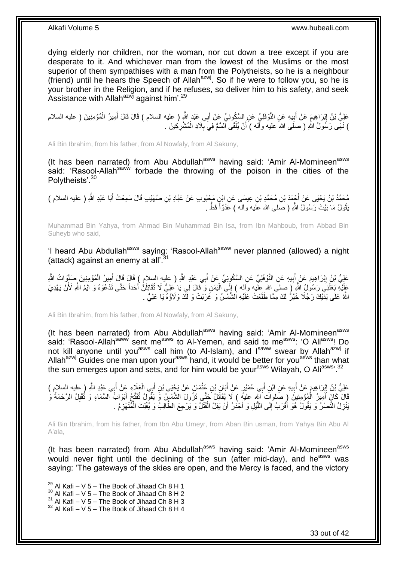dying elderly nor children, nor the woman, nor cut down a tree except if you are desperate to it. And whichever man from the lowest of the Muslims or the most superior of them sympathises with a man from the Polytheists, so he is a neighbour (friend) until he hears the Speech of Allah $a^{2xy}$ . So if he were to follow you, so he is your brother in the Religion, and if he refuses, so deliver him to his safety, and seek Assistance with Allah $a^{2x}$  against him<sup>'29</sup>

عَلِيُّ بْنُ إِبْرَاهِيمٍَ عَنْ أَبِيهِ عَنِ النَّوْفَلِيِّ عَنِ السَّكُونِيِّ عَنْ أَبِي عَبْدٍ الثَّهِ ( عليه السلام ) قَالَ قَالَ أَمِيرُ الْمُؤْمِنِينَ ( عليه السلام َ ِ َ ֦֦֦֦֦֦֦֦֧֦֦֧֦֦֦֦֧֦֧֦֧֦֧֦֦֧֦֧֦֧֦֧֦֧֦֧֦֧֦֧֦֧֚֚֚֚֚֚֚֚֚֚֝֝֝֝֓֡֝֝֓֡֝֝֝֝֓֟֓֡֟֓֡֟֓֡֟֓֡֟ ْ َ ِ ) نَـهَّى رَسُولُ اللَّهِ ( صلَـى اللهَ عليه وأَله ) أَنْ يُلْقَى السَّمُّ فِيَ بِلَادِ الْمُشْرِكِينَ . ْ **ٍ** ْ

Ali Bin Ibrahim, from his father, from Al Nowfaly, from Al Sakuny,

(It has been narrated) from Abu Abdullah<sup>asws</sup> having said: 'Amir Al-Momineen<sup>asws</sup> said: 'Rasool-Allah<sup>saww</sup> forbade the throwing of the poison in the cities of the Polytheists'.<sup>30</sup>

مُحَمَّدُ بْنُ يَحْيَى عَنْ أَجْمَدَ بْنِ مُحَمَّدِ بْنِ عِيسَى عَنِ ابْنِ مَجْبُوبِ عَنْ عَبَّادِ بْنِ صُهَيْبِ قَالَ سَمِعْتُ أَبَا عَبْدِ اللَّهِ ( عليه السلام )<br>مُ َ يَقُولُ مَا بَيَّتَ رَسُولُ اللَّهِ ( صَلى الله عَلَيه وآلم ) عََدُوّاً قَطُّ .

Muhammad Bin Yahya, from Ahmad Bin Muhammad Bin Isa, from Ibn Mahboub, from Abbad Bin Suheyb who said,

'I heard Abu Abdullah<sup>asws</sup> saying: 'Rasool-Allah<sup>saww</sup> never planned (allowed) a night (attack) against an enemy at all'. $\frac{3}{1}$ 

عَلِيُّ بْنُ إِبْرَاهِيمَ عَنْ أَبِيهِ عَنِ النَّوْفَلِيِّ عَنِ السَّكُونِيِّ عَنْ أَبِي عَبْدِ اللَّهِ ( عليه السلامِ ) قَالَ قَالَ أَمِيرُ الْمُؤْمِنِينَ صَلَوَاتُ اللَّهِ َ **!** ِ ْ َ عَلِّيْهِ بَعَثَنِي رَسُولُ اللَّهِ ( صِلَى اللهِ عِلْيه وَإِله ) إِلَى الْيَمَنِ وَ فَالَ لِي يَا عَلِيُّ لَا تُقَاتِلَنُّ أَحَداً حَتَّى تَدْعُوهُ وَ اَيْمُ اللَّهِ لَأَنْ يَهْدِيَ **ٔ** َ ْ  $\frac{1}{2}$ اللَّهُ عَلَى يَدَّيْكَ رَجُلًا خَيْرُ ۖ لَكَ مِمَّا طَلَعَتْ عَلَيْهِ الشَّمْسُ وَ غَرَبَتْ وَ لَكَ وَلَاؤُهْ يَا عَلِيُّ .

Ali Bin Ibrahim, from his father, from Al Nowfaly, from Al Sakuny,

(It has been narrated) from Abu Abdullah<sup>asws</sup> having said: 'Amir Al-Momineen<sup>asws</sup> said: 'Rasool-Allah<sup>saww</sup> sent me<sup>asws</sup> to Al-Yemen, and said to me<sup>asws</sup>: 'O Ali<sup>asws</sup>! Do not kill anyone until you<sup>asws</sup> call him (to Al-Islam), and I<sup>saww</sup> swear by Allah<sup>azwj</sup> if Allah<sup>azwj</sup> Guides one man upon you<sup>rasws</sup> hand, it would be better for you<sup>asws</sup> than what the sun emerges upon and sets, and for him would be your<sup>asws</sup> Wilayah, O Ali<sup>asws, 32</sup>

عَلِيُّ بْنُ إِبْرَاهِيمَ عَنْ أَبِيهِ عَنِ ابْنِ أَبِي عُمَيْرٍ عَنْ أَبَانِ بْنِ عُثْمَانَ عَنْ يَحْيِي بْنِ أَبِي الْعَلَاءِ عَنْ أَبِي عَبْدِ اللَّهِ ( عليه السلام )<br>-**∶** َ ْ َ ْ َ َ **!** َ ِ قَالَ كَانَ أَمِيرُ الْمُؤْمِنِينَ ( صَلواتَ الله عليهِ ) لَا يُقَاتِلُ حَتَّى تَزُولَ الشَّمْسِ وَ يَقُولُ تُقَتَّحُ أَبْوَابُ السَّمَاءِ وَ تُقْبِلُ الرَّحْمَةُ وَ ْ َ ِ َ َبَنْزِلُ النَّصْرُ وَ يَقُولُ هُوَ أَقْرَبُ إِلَى اللَّيْلِ وَ أَجْدَرُ أَنْ يَقِلَّ الْقَتْلُ وَ يَرْجِعَ الطَّالِبُ وَ يُفْلِتَ الْمُنْهَزِمُ . ْ َ َ مَّةٍ<br>إ  $\frac{1}{2}$ َ **∶** ِ ْ

Ali Bin Ibrahim, from his father, from Ibn Abu Umeyr, from Aban Bin usman, from Yahya Bin Abu Al A'ala,

(It has been narrated) from Abu Abdullah<sup>asws</sup> having said: 'Amir Al-Momineen<sup>asws</sup> would never fight until the declining of the sun (after mid-day), and he<sup>asws</sup> was saying: 'The gateways of the skies are open, and the Mercy is faced, and the victory

1

 $31$  Al Kafi – V  $5$  – The Book of Jihaad Ch 8 H 3

 $^{29}$  Al Kafi – V 5 – The Book of Jihaad Ch 8 H 1

 $30$  Al Kafi – V 5 – The Book of Jihaad Ch 8 H 2

 $32$  Al Kafi – V 5 – The Book of Jihaad Ch 8 H 4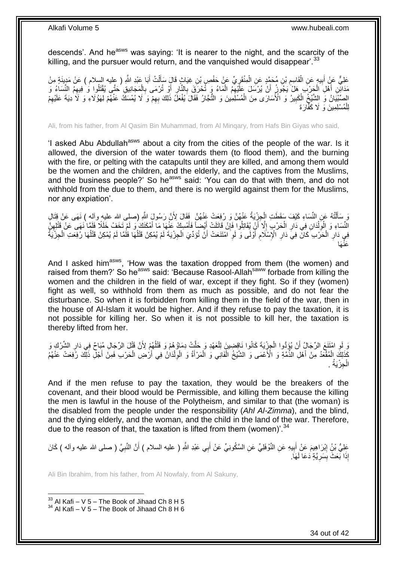descends'. And he<sup>asws</sup> was saying: 'It is nearer to the night, and the scarcity of the killing, and the pursuer would return, and the vanquished would disappear'.<sup>33</sup>

عَلِيٌّ عَنْ أَبِيهٍ عَنِ الْقَاسِمِ بْنِ مُحَمَّدٍ عَنِ الْمِنْقَرِيِّ عَنْ حَفْصِ بْنِ غِيَاثٍ قَالٍَ سَأَلْتُ أَبَا عَبْدِ اللَّهِ ( عِليه السلام ) عَنْ مَدِينَةٍ مِنْ َ ْ َ ِ ْ ِ ْ **!** ِ مَدَائِنِ أَهْلِ الْجَرْبِ هَلْ يَجُوزُ أَنْ يُرْسَلَ عَلَيْهِمُ الْمَاءُ وَ تُحْرَقَ بِالنَّارِ أَوْ تُرْمَى بِالْمَجَانِيقِ خَتَّى يُقْتَلُوا وَ فِيهِمُ النِّسَاءُ وَ ْ اُ ْ اً<br>ا ْ ِ َ ِ الصِّلِّيِّانُ وَ الشَّيْخُ الْكَبِيرُ وَ الْأَسَارَى مِنَ الْمُسْلِّمِينَ وَ الثُّجَّارُ فَقَالَ يُفْعَلِّ نَلِّكَ بِهِمْ وَ َلاَ يُمْسَكِّ عَنْهُمْ لِهَوُلَاءِ وَ لَاَ لِيَةَ عَلَيْهِمْ ْ ِ ْ ِ ِ لِلْمُسْلِمِينَ وَ لَا كَفَّارَةَ ْ

Ali, from his father, from Al Qasim Bin Muhammad, from Al Minqary, from Hafs Bin Giyas who said,

'I asked Abu Abdullah<sup>asws</sup> about a city from the cities of the people of the war. Is it allowed, the diversion of the water towards them (to flood them), and the burning with the fire, or pelting with the catapults until they are killed, and among them would be the women and the children, and the elderly, and the captives from the Muslims, and the business people?' So he<sup>asws</sup> said: 'You can do that with them, and do not withhold from the due to them, and there is no wergild against them for the Muslims, nor any expiation'.

وَ سَأَلْتُهُ عَنِ النِّسَاءِ كَيْفَ سَقَطَتِ الْجِزْيَةُ عَنْهُنَّ وَ رُفِعَتْ عَنْهُنَّ فَقَالَ لِأَنَّ رَسُولَ اللَّهِ (صلى الله عليه وآله ) نَهَى عَنْ قِتَالِ ْ ֺ֦֧֦֦֧֦֧֦֦֧֦֧֦֪֦֧֦֪֦֪֦֪֦֪֦֪֦֧֦֪֦֪֪֦֪֪֦֝֟֟֟֟֟֟֟֟֟֟֟֟֟֟֟֟֟֟֟֟֟֓֟֟֟֓֟֓֟֓֕֟֓֟֓֟֓֟֓֟֓֟֟֓֟֟֓֟֟֟֟֟֟֟֟ َ النِّسَاءِ وَ الْوَلْدَانِ فِي دَارِ الْحَرْبِ إِلَّا أَنْ يُقَاتِلُوا فَإِنْ قَاتَلَتْ أَيْضاً فَأَمْسِكْ عَنْهِا مَا أَمْكَنَكَ وَ لَمْ تَخَفْ خَلَلًا فَفَقَا نَهَى عَنْ قَتْلِهِنَّ َ ِ َ ِ ْ ِ ْ ِ ِ َ َ فِي دَارِ الْحَرْبِ كَانَ فِي دَارِ الْإِسْلَامِ أَوْلَى وَ لَوِ امْتَنَعَتْ أَنْ تُؤَدِّيَ الْجِزْيَةُ لَمْ يُمْكِنْ قَتْلُهَا لَمْ يُمْكِنْ قَتْلُهَا رُفِعَتِ الْجِزْيَةُ ُ ْ َ ِ َ ِ ِ ْ ِ ُ ْ َها َعنْ

And I asked him<sup>asws</sup>, 'How was the taxation dropped from them (the women) and raised from them?' So he<sup>asws</sup> said: 'Because Rasool-Allah<sup>saww</sup> forbade from killing the women and the children in the field of war, except if they fight. So if they (women) fight as well, so withhold from them as much as possible, and do not fear the disturbance. So when it is forbidden from killing them in the field of the war, then in the house of Al-Islam it would be higher. And if they refuse to pay the taxation, it is not possible for killing her. So when it is not possible to kill her, the taxation is thereby lifted from her.

وَ لِو اهْتَنَعَ الرِّجَالُ أَنْ يُؤَدُّوا الْجِزْيَةَ كَانُوا نَاقِضِينَ لِلْعَهْدِ وَ حَلَّتْ دِمَاؤُهُمْ وَ قَتْلُهُمْ لِأَنَّ قَتْلَ الرِّجَالِ مُبَاحٌ فِي دَارِ الشَّرْكِ وَ ُ ْ ْ َ ِ ِ ْ كَّذَلِكَ الْمُقْعَدُ مِنْ أَهْلِ الذِّمَّةِ وَ الْأَعْمَى وَ الشَّيْخُ الْفَانِي وَ الْمَرْأَةُ وَ الْوِلْدَانُ فِي أَرْضِ الْحَرْبِ فَمِنْ أَجْلِ ذَلِكَ رُفِعَتْ عَنْهُمْ َ ْ ِ َ ْ ْ َ ْ َ . جِزْيَةُ ْ ال

And if the men refuse to pay the taxation, they would be the breakers of the covenant, and their blood would be Permissible, and killing them because the killing the men is lawful in the house of the Polytheism, and similar to that (the woman) is the disabled from the people under the responsibility (*Ahl Al-Zimma*), and the blind, and the dying elderly, and the woman, and the child in the land of the war. Therefore, due to the reason of that, the taxation is lifted from them (women)<sup>'. 34</sup>

عَلِيُّ بْنُِ اِبْرَاهِيمَ عَنْ أَبِيهِ عَنِ النَّوْفَلِيِّ عَنِ السَّكُونِيِّ عَنْ أَبِي عَبْدِ اللَّهِ ( عليه السلام ) أَنَّ النَّبِيَّ ( صلى الله عليه وأله ) كَانَ <u>֖֚֚֚֓</u> ِ َ َ **!** إِذَا بَعَثَ بِسَرِيَّةٍ دَعَا لَهَا. **∶ ِ** 

Ali Bin Ibrahim, from his father, from Al Nowfaly, from Al Sakuny,

1

 $33$  Al Kafi – V 5 – The Book of Jihaad Ch 8 H 5  $34$  Al Kafi – V 5 – The Book of Jihaad Ch 8 H 6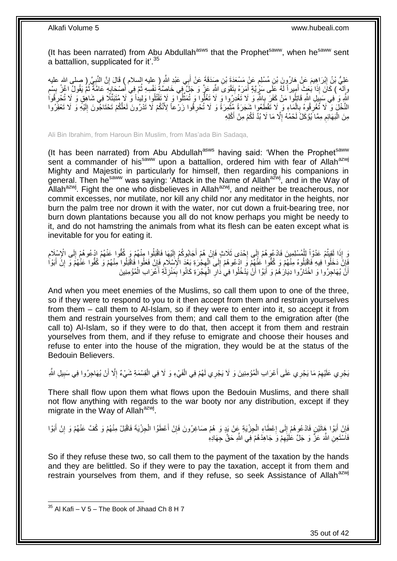(It has been narrated) from Abu Abdullah<sup>asws</sup> that the Prophet<sup>saww</sup>, when he<sup>saww</sup> sent a battallion, supplicated for it'.<sup>35</sup>

عَلِيُّ بْنُ إِبْرَاهِيمَ عَنْ هَارُونَ بْنِ مُسْلِمٍ عَنْ مَسْعَدَةَ بْنِ صَدَقَةَ عَنْ أَبِي عَبْدِ اللَّهِ ( عليه السلام ) قَالَ إِنَّ النَّبِيَّ ( صلى الله عليه َ م ِ ِ **∶** ِ إِلَٰهٌ ) كَانَ إِذَا بَعَثَ أَمِيراً لَهُ عَلَى سَرُّ يَّةٍ أَمَرَهُ بِتَقْوَىَ اللَّهِ عَنَّ وَ جَلَّ فِي خَاصَةً نُفْسِهِ ثُمَّ فِي أَصْحَابِهِ عَامَّةً ثُمُّ يَقُولُ اغْرُ بِسْمِ<br>حَجَّ ذَا يَجْمَعُ بِهِ مَّا يَجْمَع ُ **!** َ **∶** لَ َ ِ ُ ِ َ اللَّهِ وَ ٰفِي سَبِيلِ اللَّهِ قَاتِلُوا مَنْ كَفَرَ بِاللَّهِ وَ لَا تَغْذِرُوا وَ لَا تَغُلُّوا وَ تُمَثُّلُوا وَ لاَ تَقْتُلُوا وَ لِيداً وَّ لَا مُتَبَدِّلًا فِي شَاهِقٍ وَ لَا تُحْرِفُوا **∣** ِّ ِ ِ النَّخْلَ وَ ۖ لَا تُُغْرِفُوهُ بِالْمَاءِ وَ لا تَقْطَعُوا شَجَرَةً مُثْمِرَةً وَ لَا تُحْرِفُوا زَرْعاً لِأَنَّكُمْ لَا تَدْرُونَ لَعَلَّكُمْ تَحْتَاجُونَ إِلَيْهِ وَ لَا تَعْقِرُوا **∶** ْ ْ **∶** ِ لَ ِ مِنَ الْبَهَائِمِ مِمَّا يُؤْكَلُ لَحْمُهُ إِلَّا مَا لَا بُدَّ لَكُمْ مِنْ أَكْلِهِ َ ِ ِ :<br>ا

Ali Bin Ibrahim, from Haroun Bin Muslim, from Mas'ada Bin Sadaqa,

(It has been narrated) from Abu Abdullah<sup>asws</sup> having said: 'When the Prophet<sup>saww</sup> sent a commander of his<sup>saww</sup> upon a battallion, ordered him with fear of Allah<sup>azwj</sup> Mighty and Majestic in particularly for himself, then regarding his companions in general. Then he<sup>saww</sup> was saying: 'Attack in the Name of Allah<sup>azwj</sup>, and in the Way of Allah<sup>azwj</sup>. Fight the one who disbelieves in Allah<sup>azwj</sup>, and neither be treacherous, nor commit excesses, nor mutilate, nor kill any child nor any meditator in the heights, nor burn the palm tree nor drown it with the water, nor cut down a fruit-bearing tree, nor burn down plantations because you all do not know perhaps you might be needy to it, and do not hamstring the animals from what its flesh can be eaten except what is inevitable for you for eating it.

وَ إِذَا لَقِيتُمْ عَدُوّاً لِلْمُسْلِمِينَ فَادْعُوهُمْ إِلَى إِحْدَى ثَلَاثٍ فَإِنْ هُمْ أَجَابُوكُمْ إِلَيْه<br>وَجَدَّتُ الْمَعْرَفُ الْمُسْلِمِينَ فَادْعُوهُمْ إِلَى إِحْدَى ثَلَاثٍ فَإِنْ هُمْ أَجَابُوكُمْ إِلَيْهِ وَا لَ ِ َ ِ ·<br>∶ ِ ْ لَ  $\ddot{\phantom{a}}$ ِ  $\frac{1}{2}$ فَإِنَّ دَخَلُوا فِيهِ فَاقْتِلُوهُ مِنْهُمْ وَ كُفُوا عَنَّهُمْ وَ ادْعُوهُمْ إِلَى الْمِجْرَةِ بَعْدَ الْإِسْلَامِ فَإِنْ فَعَلُوا فَاقْتُلُوا مِنْهُمْ وَ كُفُوا عَنْهُمْ وَ إِنْ أَبَوْاَ<br>وَيُرْمِدُوا فِيهِ فَاقْتِلُوهُ ֝׀֧֧֪<br>֧֪֪֪ َ ِ ∣lٍ  $\ddot{\phantom{a}}$ ِ ْ ْ أَنَّ يُهَاجِرُوا وَ اخْتَارُوا دِيَارُهُمْ وَ أَبَوْا أَنْ يَدْخُلُوا فِي ذَارِ الْهِجْرَةِ كَانُوا بِمَنْزِلَةِ أَعْرَابِ الْمُؤْمِنِينَ َ لَ ِ ِ ِ ْ ِ َ

And when you meet enemies of the Muslims, so call them upon to one of the three, so if they were to respond to you to it then accept from them and restrain yourselves from them – call them to Al-Islam, so if they were to enter into it, so accept it from them and restrain yourselves from them; and call them to the emigration after (the call to) Al-Islam, so if they were to do that, then accept it from them and restrain yourselves from them, and if they refuse to emigrate and choose their houses and refuse to enter into the house of the migration, they would be at the status of the Bedouin Believers.

يَجْرِي عَلَيْهِمْ مَا يَجْرِي عَلَى أَعْرَابِ الْمُؤْمِنِينَ وَ لَا يَجْرِي لَهُمْ فِي الْفَيْءِ وَ لَا فِي الْقِسْمَةِ شَيْءٌ إِلَّا أَنْ يُهَاجِرُوا فِي سَبِيلِ اللَّهِ ْ ْ َ ِ ْ َ ِ ِ

There shall flow upon them what flows upon the Bedouin Muslims, and there shall not flow anything with regards to the war booty nor any distribution, except if they migrate in the Way of Allah<sup>azwj</sup>.

لَ ِ َبْوْا هَاتَيْنِ فَادْعُوِهُمْ إِلَى إعْطَاءِ الْجِزْيَةِ عَنْ يَدٍ وَ هُمْ صَاغِرُونَ فَإِنْ أَعْطَوُا الْجِزْيَةَ فَاقْبَلْ مِنْهُمْ وَ كُفَّ عَنْهُمْ وَ إِنْ أَبَوْا َ ِ ِ ْ َ ِ ْ ِ َ فَاَسْتَعِنِ اللَّهَ عَنَّ وَ جَلَّ عَٰلَيْهِمْ وَ جَاهِدْهُمْ فِي اللَّهِ حَقَّ حِهَادِهِ ِ

So if they refuse these two, so call them to the payment of the taxation by the hands and they are belittled. So if they were to pay the taxation, accept it from them and restrain yourselves from them, and if they refuse, so seek Assistance of Allah<sup>azwj</sup>

<sup>1</sup>  $35$  Al Kafi – V 5 – The Book of Jihaad Ch 8 H 7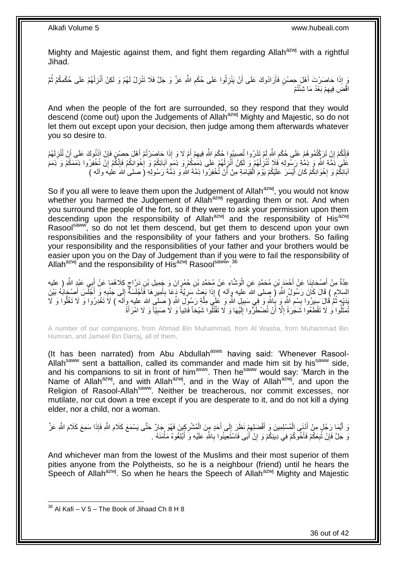Mighty and Majestic against them, and fight them regarding Allah<sup>azwj</sup> with a rightful Jihad.

وَ إِذَا حَاصَرْتَ أَهْلَ حِصْنٍ فَأَرَادُوكَ عَلَى أَنْ يَنْزِلُوا عَلَى حُكْمِ اللَّهِ عَزَّ وَ جَلَّ فَلَا تَنْزِلْ لَهُمْ وَ لَكِنْ أَنْزِلْهُمْ عَلَى حُكْمِكُمْ ثُمَّ **∶** ِ **∶** َ َ َ الا<br>أ ْ ِ َ اقْضَِ فِيهِمْ بَعْدُ مَا شِئْتُمْ ِ

And when the people of the fort are surrounded, so they respond that they would descend (come out) upon the Judgements of Allah<sup>azwj</sup> Mighty and Majestic, so do not let them out except upon your decision, then judge among them afterwards whatever you so desire to.

فَإِنَّكُمْ إِنْ تَرَكْتُمُو هُمْ عَلَى حُكْمِ اللَّهِ لَمْ تَدْرُوا تُصِيبُوا حُكْمَ اللَّهِ فِيهِمْ أَمْ لَا وَ إِذَا حَاصَرْتُمْ أَهْلَ حِصِينٍ فَإِنْ آذَنُوكَ عَلَى أَنْ تُتْزِلَهُمْ َ ِ ِ ِ ِ َ ∣lٍ َ لَ ِ عَلَى ٰذِمَّةِ اِللَّهِ وَ ذِمَّةِ رَسُولِهِ ۖ فَلَا تُنْزِلْهُمْ وَ لَكِنْ أَنْزِلْهُمْ عَلَى ذِمَمِكْم وَ ذِمَم ِ ْ ।<br>इ َ ْ  $\frac{1}{2}$ ِ ا∣<br>ِ∘ِ יִי.<br>י اْبَائِكُمْ وَ إِخْوَانِكُمْ كَانَ أَيْسَرَ عَلَيْكُمْ يَوْمَ الْقِيَامَةِ مِنْ أَنْ تُخْفِرُوا ذِمَّةَ اللَّهِ وَ ذِمَّةَ رَسُولِهِ (َ صلى اللهَ عليهَ وآله ) َ ┆ اُ ْ

So if you all were to leave them upon the Judgement of Allah<sup>azwj</sup>, you would not know whether you harmed the Judgement of Allah<sup>azwj</sup> regarding them or not. And when you surround the people of the fort, so if they were to ask your permission upon them descending upon the responsibility of Allah $a^{2xy}$  and the responsibility of His<sup>azwj</sup> Rasoolsaww, so do not let them descend, but get them to descend upon your own responsibilities and the responsibility of your fathers and your brothers. So failing your responsibility and the responsibilities of your father and your brothers would be easier upon you on the Day of Judgement than if you were to fail the responsibility of Allah<sup>azwj</sup> and the responsibility of His<sup>azwj</sup> Rasoolsaww<sup>, 36</sup>

ٍ عِدَّةٌ مِنْ أَصْحَابِنَا عَنْ أَحْمَدَ بْنِ مُحَمَّدٍ عَنِ الْوَشَاءِ عَنْ مُحَمَّدِ بْنِ حُمْرٍانَ وَ جَعِيلِ بْنِ دَرِّاجٍ كِلَاهُمَا عَنْ أَبِي عَبْدٍ اللَّهِ ( عليه ْ **∣** َ **∶** َ السلامِ ) قَالَ كَانَ رَسُولُ اللّهِ (َ صِلى اللهَ عليه وآله ) إِذَا بَعَثَ سَرِيَّةً دَعَا بِأَمِيرِهَا فَأَجْلَسَةً إِلَى جَنْبِهِ وَ أَجَلُّسَ أَصْحَابَهُ بَيْنَ ِ َ ِ َ ِ ِ َ َ ِ يَدَيْهِ ثُمَّ قَالَ سِيرُوا بِسْمِ اللَّهِ وَ بِاللَّهِ وَ فِي سَبِيلِ اللَّهِ وَ عَلَى مِلَّةِ رَسُولِ اللَّهِ ( صَلَّى الله عليه وِأله ) لَا تَغْدِرُوا وَ لَا تَغُلُّوا وَ لَا **!** ِ ِ ¦ ُ َّ ُمَثُّلُوا وَ لَا تَقْطَعُوا شَجَّرَةً إِلَّا أَنْ تُضْطَرُّوا َإِلَيْهَا وَ لَا تَقْتُلُوا شَيْخاً فَانِياً وَ لَا صَبِيّاً وَ لَا امْرَأَةً ِ لَ ِ اً ِ ِّ َ

A number of our companions, from Ahmad Bin Muhammad, from Al Washa, from Muhammad Bin Humran, and Jameel Bin Darraj, all of them,

(It has been narrated) from Abu Abdullah<sup>asws</sup> having said: 'Whenever Rasool-Allah<sup>saww</sup> sent a battallion, called its commander and made him sit by his<sup>saww</sup> side, and his companions to sit in front of him<sup>asws</sup>. Then he<sup>saww</sup> would say: 'March in the Name of Allah<sup>azwj</sup>, and with Allah<sup>azwj</sup>, and in the Way of Allah<sup>azwj</sup>, and upon the Religion of Rasool-Allah<sup>saww</sup>. Neither be treacherous, nor commit excesses, nor mutilate, nor cut down a tree except if you are desperate to it, and do not kill a dying elder, nor a child, nor a woman.

وَ أَيُّمَا رَجُلٍ مِنْ أَذَنَى الْمُسْلِمِينَ وَ أَفْضَلِهِمْ نَظَرَ إِلَى أَحَدٍ مِنَ الْمُشْرِكِينَ فَهُوَ جَارٌ حَتَّى يَسْمَعَ كَلَامَ اللَّهِ فَإِذَا سَمِعَ كَلَامَ اللَّهِ عَزَّ ِ ْ َ ِ ِ َ ْ َ َ وَ جَلَّ فَإِنْ تُبِعَكُمْ فَأَخُوكُمْ فِي دِينِكُمْ وَ إِنْ َأَبَى فَاسْتَعِينُوا بِاللَّهِ عَلَيْهِ وَ أَبْلِغُوهُ مَأْمَذَهُ . **المناخ العامل** َ **∶** َ ِ َ **∶** ِ

And whichever man from the lowest of the Muslims and their most superior of them pities anyone from the Polytheists, so he is a neighbour (friend) until he hears the Speech of Allah<sup>azwj</sup>. So when he hears the Speech of Allah<sup>azwj</sup> Mighty and Majestic

<sup>1</sup>  $36$  Al Kafi – V 5 – The Book of Jihaad Ch 8 H 8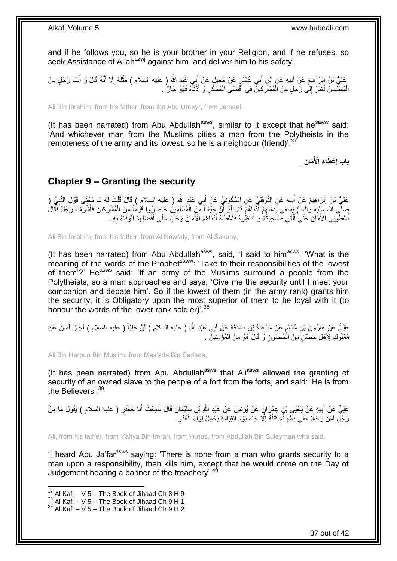and if he follows you, so he is your brother in your Religion, and if he refuses, so seek Assistance of Allah<sup>azwj</sup> against him, and deliver him to his safety'.

لَ ْ عَلِيُّ بْنُ إِبْرَاهِيمَ عَنْ أَبِيهِ عَنِ ابْنِ أَبِي عُمَيْرٍ عَنْ جَمِيلٍ عَنْ أَبِي عَبْدِ اللَّهِ ( عليه السلام ) مِثْلَهُ إلَّا أَنَّهُ قَالَ وَ أَيُّمَا رَجُلٍ مِنَ َ َ **!** َ َ َ ِ الْمُسْلِمِينَ نَظَرَ إِلَىٰ رَجُلٍَ مِنَ الْمُشْرِكِينَ فِي أَقْصَى الْعَسْكُرِ وَ أَذْنَاهُ فَهُوَ جَارٌ . َ **∶** ْ َ ِ ْ  $\frac{1}{2}$ ْ

Ali Bin Ibrahim, from his father, from Ibn Abu Umeyr, from Jameel,

(It has been narrated) from Abu Abdullah $a_{\text{sws}}$ , similar to it except that he $a_{\text{sws}}$  said: 'And whichever man from the Muslims pities a man from the Polytheists in the remoteness of the army and its lowest, so he is a neighbour (friend)<sup>'.37</sup>

> **باب إعْطَاءِ الْأَمَانِ ِ**

### <span id="page-36-0"></span>**Chapter 9 – Granting the security**

عَلِيُّ بْنُ إِبْرَاهِيمَ عَنْ أَبِيهِ عَنِ الْنَّوْفَلِيِّ عَنِ السَّكُونِيِّ عَنْ أَبِي عَبْدٍ اللَّهِ ( عليه السلامِ ) قَالَ قُلْتُ لَهُ مَا مَعْنَى قَوْلِ النَّبِيِّ ( ِ ْ َ **!** َ **∶** صلَّى الله عليه وآله ) يَبَسْعَى بَذِمَّتِهِمْ أَنْزَاهُمْ قَالَ لَوْ أَنَّ جَيْشاً مِنَ الْمُسْلِمِينَ حَاصَرٍ وا قَوْماً مِنَ الْمُشْرِكِينَ فَأَشْرَفَ رَجُلٌ فَقَالَ<br>يَسْمَعُ الله عليه وآله ) يَبَسْعَى بَذِمَّتِهِمْ أَ ْ َ َ ِ **∣** َ ْ أَعْطُونِي الْأَمَانَ حَتَّى أَلْقَى صَاحِبَكُمْ وَ أُنَاظِرَهُ فَأَعْطَاهُ أَذْنَاهُمُ الْأَمَانَ وَجَبَ عَلَى أَفْضَلِهِمُ الْوَفَاءُ بِهِ . َ َ َ ُ ْ َ َ ِ ْ

Ali Bin Ibrahim, from his father, from Al Nowfaly, from Al Sakuny,

(It has been narrated) from Abu Abdullah $a$ sws, said, 'I said to him $a$ sws, 'What is the meaning of the words of the Prophet<sup>saww</sup>: 'Take to their responsibilities of the lowest of them'?' He<sup>asws</sup> said: 'If an army of the Muslims surround a people from the Polytheists, so a man approaches and says, 'Give me the security until I meet your companion and debate him'. So if the lowest of them (in the army rank) grants him the security, it is Obligatory upon the most superior of them to be loyal with it (to honour the words of the lower rank soldier)'. 38

عَلِيٌّ عَنْ هَارُونَ بْنِ مُسْلِمٍ عَنْ مَسْعَدَةَ بْنِ صَدَقَةَ عَنْ أَبِي عَبْدِ اللَّهِ ( عليه السلام ) أَنَّ عَلِيّاً ( عليه السلام ) أَجَازَ أَمَانَ عَبْدٍ َ َ ֧֧֝֝֟֓֝֟֓֟׆֧ َ مَمْلُوَّكٍ لِأَهْلِ حِصَّىٰنٍ مِنَ الْمُصمِّونِ وَ قَالَ َهُوَ مِنَ الْمُؤْمِنِيَنَّ . ْ ْ

Ali Bin Haroun Bin Muslim, from Mas'ada Bin Sadaqa,

(It has been narrated) from Abu Abdullah<sup>asws</sup> that Ali<sup>asws</sup> allowed the granting of security of an owned slave to the people of a fort from the forts, and said: 'He is from the Believers'.<sup>39</sup>

عَلِيٌّ عَنْ أَبِيهِ عَنْ يَحْيَى بْنِ عِمْرَانٍ عَنْ يُونُسَ عَنْ عَيْدِ اللَّهِ بْنِ سُلَيْمَانَ قَالَ سَمِعْتُ أَبَا جَعْفَرٍ ( عليه السلام ) يَقُولُ مَا مِنْ َ **!** رَجُلٍّ آمَنَ رَجُلًا عَلَى ذِمَّةٍ ثُمَّ قَتَلَهُ إِلَّا جَاءَ يَوْمَ الْقِيَامَةِ يَحْمِلُ لِوَاءَ الْغَدْرِ ِ ْ ْ ِ ا<br>"

Ali, from his father, from Yahya Bin Imran, from Yunus, from Abdullah Bin Suleyman who said,

'I heard Abu Ja'farasws saying: 'There is none from a man who grants security to a man upon a responsibility, then kills him, except that he would come on the Day of Judgement bearing a banner of the treachery'.<sup>40</sup>

 $37$  Al Kafi – V 5 – The Book of Jihaad Ch 8 H 9

 $38$  Al Kafi – V 5 – The Book of Jihaad Ch 9 H 1

 $39$  Al Kafi – V 5 – The Book of Jihaad Ch 9 H 2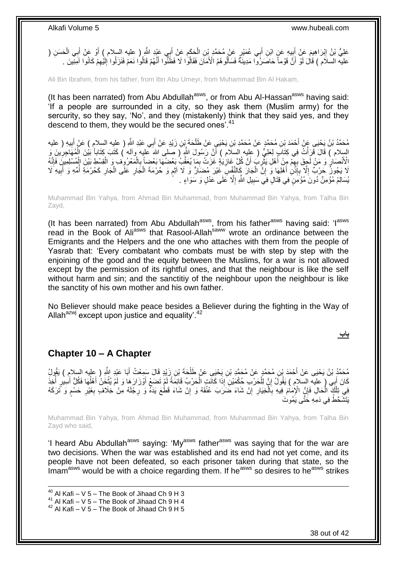عَلِيُّ بْنُ إِبْرَاهِيمَ عَنْ أَبِيهِ عَنِ ابْنِ أَبِي عُمَيْرٍ عَنْ مُحَمَّدٍ بْنِ الْحَكَمِ عَنْ أَبِي عَيْدِ الثَّهِ ( عِليه السلام ) أَوْ عَنْ أَبِي الْحَسَنِ ( **∣** َ ِ ْ َ َ َ ِ ْ َ عليه السلام ) قَالَ لَوْ أَنَّ قَوْماً حَاصَرُوا مَدِينَةً فَسَأَلُوهُمُ الْأَمَانَ فَقَالُوا لَا فَظُنُّوا أَنَّهُمْ قَالُوا نَعَمْ فَنَزَلُوا الِلَّيْهِمْ كَانُوا آمِنِينَ . َ ֖֖֖֡֞֟֓֕֓֞֓֞֓֞֓֓֬֓֓֓֓֟׆֬֓ َ لَ ِ

Ali Bin Ibrahim, from his father, from Ibn Abu Umeyr, from Muhammad Bin Al Hakam,

(It has been narrated) from Abu Abdullah<sup>asws</sup>, or from Abu Al-Hassan<sup>asws</sup> having said: 'If a people are surrounded in a city, so they ask them (Muslim army) for the sercurity, so they say, 'No', and they (mistakenly) think that they said yes, and they descend to them, they would be the secured ones'.<sup>41</sup>

مُحَمَّدُ بْنُ يَحْيَى عَنْ أَحْمَدَ بْنِ مُحَمَّدٍ عَنْ مُحَمَّدِ بْنِ يَحْيَىٍ عَنْ طَلْحَةَ بِْنِ زَيْدٍ عَنْ أَبِي عَبْدِ اللَّهِ ( عليه السلامِ ) عَنْ أَبِيهِ ( عليه َ ْ ِ َ السلام ) قَالَ قَرَأْتُ فِي كِتَابَ لِعَلِيٍّ ( عِلِيه السلام ) أَنَّ رَسُولَ اللَّهِ ( صلى الله عليه وآله ) كَتَبَ كِتَاباً بَيْنَ الْمُهَاجِرِينَ وَ اُ **ٔ** ِ ْ الْأَنْصَارِ وَ مَنْ لَجِقَ بِهِمْ مِنْ أَهْلِ يَثْرِبُ أَنَّ كُلَّ غَازِيَةٍ غَرَتْ بِمَا يُعَقِّبُ يَعْضُهَا بَعْضٍا بَالْمَعْرُوف وَ الْقِسْطِ بَيْنَ الْمُسْلِمِيَنِّ فَإِنَّهُ ْ **∶** ِ ِ اُ ِ **ٔ** <u>أ</u> ِ ِ اا<br>ئ ْ ْ لَا يَجُوزُ حَرْبٌ إِلَّا بِإِنّْلِ أَهْلِهَا وَ إِنَّ الْجَارَ كَالنَّفْسِ غَيْرَ مُضَارٌ وَ لَا أَثِمٍ وَ حُرْمَةَ الْجَارِ عَلَى الْجَارِ كَحُرْمَةِ أُمِّهِ وَ أَبِيهِ لَا َ **ٔ**<br>: ِ ِ ِ َ اُ **ٍ** ْ ِ ْ ٍ ْ ِ يُسَالِمُ مُؤْمِنٌ دُونَ مُؤْمَنٍ فِي قِتَالٍ فِي سَبِيلِ اللَّهِ إِلَّا عَلَى عَدْلٍ وَ سَوَاءٍ . ِ **!** 

Muhammad Bin Yahya, from Ahmad Bin Muhammad, from Muhammad Bin Yahya, from Talha Bin Zayd,

(It has been narrated) from Abu Abdullah<sup>asws</sup>, from his father<sup>asws</sup> having said: ' $I^{assws}$ read in the Book of Aliasws that Rasool-Allah<sup>saww</sup> wrote an ordinance between the Emigrants and the Helpers and the one who attaches with them from the people of Yasrab that: 'Every combatant who combats must be with step by step with the enjoining of the good and the equity between the Muslims, for a war is not allowed except by the permission of its rightful ones, and that the neighbour is like the self without harm and sin; and the sanctitiy of the neighbour upon the neighbour is like the sanctity of his own mother and his own father.

No Believer should make peace besides a Believer during the fighting in the Way of Allah $a^{2x}$  except upon justice and equality<sup>'.42</sup>

**باب**

### <span id="page-37-0"></span>**Chapter 10 – A Chapter**

َب ِن َزْيٍد َقا َل َس ِمْع ُت أ َح َة ْب ِن َي ْحَيى َع ْن َطل ِن ُم َح َّمٍد َع ْن ُم َح َّمِد ْب ْح َمَد ْب ُم َح َّمُد ْب ُن َي ْحَيى َع ْن أ و ُل َ ا َعْبِد ََّّللاِ ) عليه السالم ( َيقُ َ ْ كَانَ أَبِي ( عليه السِلام ) يَقُولُ إِنَّ لِلْحَرْبِ حُكْمَيْنِ إِذَا كَانَتِ الْحَرْبُ قَائِمَةً لَمْ تَضَعْ أَوْزَارَهَا وَ لَمْ يُثْخَنُ أَهْلُهَا فَكُلُّ أَسِيرٍ أُخِذَ ْ ْ יֲ<br>י َ ُ َ ُ َ **ٔ** َ لَ فِي تِلْكَ الْحَالِ فَإِنَّ الْإِمَامَ فِيهِ بِالْخِيَارِ إِنْ شَاءَ ضَرَبَ عُنُقَهُ وَ إِنْ شَاءَ قَطْعَ يَدَهُ وَ رِجْلَهُ مِنْ خِلَافٍ بِغَيْرِ حَسْمٍ وَ تَرَكَهُ **∶** ِ ِ **∶** ْ **∶** ِ :<br>-م<br>وا ِ ِ ِ<br>نَتَشَخَّطُ ف*ِي ذَم*ه خَتَّے

Muhammad Bin Yahya, from Ahmad Bin Muhammad, from Muhammad Bin Yahya, from Talha Bin Zayd who said,

'I heard Abu Abdullah<sup>asws</sup> saying: 'My<sup>asws</sup> father<sup>asws</sup> was saying that for the war are two decisions. When the war was established and its end had not yet come, and its people have not been defeated, so each prisoner taken during that state, so the Imam<sup>asws</sup> would be with a choice regarding them. If he<sup>asws</sup> so desires to he<sup>asws</sup> strikes

1  $40$  Al Kafi – V 5 – The Book of Jihaad Ch 9 H 3

41 Al Kafi –  $V$  5 – The Book of Jihaad Ch 9 H 4

 $42$  Al Kafi – V 5 – The Book of Jihaad Ch 9 H 5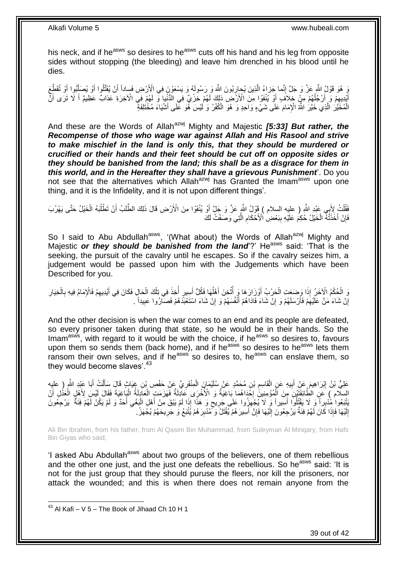his neck, and if he<sup>asws</sup> so desires to he<sup>asws</sup> cuts off his hand and his leg from opposite sides without stopping (the bleeding) and leave him drenched in his blood until he dies.

وَ هُوَ قَوْلُ اللَّهِ عَزَّ وَ جَلَّ إِنَّما جَزاءُ الَّذِينَ يُجارِبُونَ اللَّهَ وَ رَسُولَهُ وَ يَسْعَوْنَ فِي الْأَرْضِ فَساداً أَنْ يُقَتَّلُوا أَوْ يُصَلِّبُوا أَوْ تُقَطِّعَ ِ َّ יִי י َ َّ َ َ أَيْدِيهِمْ وَ ٍ أَرْجُلُهُمْ مِنْ خِلاَفٍ أَوْ يُنْفَوْا مِنَ الْأَرْضِ ذلِكَ لَهُمْ خِزْيٌ فِي الْذُنْبِا وَّ لَهُمْ فِي الْآخِرَةِ عَذابٌ عَظِيمٌ أَ لَا تَرَى أَنَّ اُ ٔ<br>ا َ ِ َ َ الْمُخَيَّرُ الَّذِي خَيَّرُ اللَّهُ الْإِمَامَ عَلَى شَيْءٍ وَاحِدٍ وَ هُوَ الْكُفْرُ وَ ٰلَيْسَ هُوَ عَلَى أَشْيَاءَ مُخْتَلِفَةٍ َ

And these are the Words of Allah<sup>azwj</sup> Mighty and Majestic **[5:33] But rather, the** *Recompense of those who wage war against Allah and His Rasool and strive to make mischief in the land is only this, that they should be murdered or crucified or their hands and their feet should be cut off on opposite sides or they should be banished from the land; this shall be as a disgrace for them in this world, and in the Hereafter they shall have a grievous Punishment*'. Do you not see that the alternatives which Allah<sup>azwj</sup> has Granted the Imam<sup>asws</sup> upon one thing, and it is the Infidelity, and it is not upon different things'.

فَقُلْتُ لِأَبِي عَيْدِ اللَّهِ ( عليه السلام ) قَوْلُ اللَّهِ عَزَّ وَ جَلَّ أَوْ يُنْفَوْا مِنَ الْأَرْضِ قَالَ ذَلِكَ الطَّلَبُ أَنْ تَطْلُبُهُ الْخَيْلُ حَتَّى يَهْرُبَ َ .<br>ا ْ ُ اُ لَ فَإِنْ أَخَذَتْهُ الْخَيْلُ حُكِمَ عَلَيْهِ بِبَعْضِ الْأَحْكَامِ الَّتِي وَصَفْتُ لَكَ ْ َ ِ َّ ِ **∣** 

So I said to Abu Abdullah<sup>asws</sup>, '(What about) the Words of Allah<sup>azwj</sup> Mighty and Majestic *or they should be banished from the land*<sup>?</sup>' He<sup>asws</sup> said: 'That is the seeking, the pursuit of the cavalry until he escapes. So if the cavalry seizes him, a judgement would be passed upon him with the Judgements which have been Described for you.

ِّن الْحُكْمُ الْآخَرُ. إِذَا وَضَعَتِ الْحَرْبُ أَوْزَارَهَا وَ أَثْخِنَ أَهْلُهَا فَكُلُّ أَسِيرٍ أُخِذَ فِي تِلْكَ الْحَالِ فَكَانَ فِي أَيْدِيهِمْ فَالْإِمَامُ فِيهِ بِالْخِيَارِ<br>وَ دَيْنَ أَيْدِيهِمْ فَالْإِمَامُ فِي َ **ٔ** ُ ْ ْ ِ ْ ِ ِ َ ْ ْ :<br>ا ا<br>ا ِ إِنْ شَاءَ مَنَّ عَلَيْهِمْ فَأَرْسَلَهُمْ وَ إِنْ شَاءَ فَادَاهُمْ أَنْفُسَهُمْ وَ إِنْ شَاءَ اسْتَعْبَدََهُمْ فَصَارُوا عَبِيداً . ِ َ <u>֚֚֚֚֚֚֚֚</u> اُ ِ <u>֖֚֚֚֚֚֚֚֓</u>

And the other decision is when the war comes to an end and its people are defeated, so every prisoner taken during that state, so he would be in their hands. So the Imam<sup>asws</sup>, with regard to it would be with the choice, if he<sup>asws</sup> so desires to, favours upon them so sends them (back home), and if he<sup>asws</sup> so desires to he<sup>asws</sup> lets them ransom their own selves, and if he<sup>asws</sup> so desires to, he<sup>asws</sup> can enslave them, so they would become slaves'. $43$ 

عَلِيُّ بْنُ إِبْرَاهِيمَ عَنْ أَبِيهِ عَنِ الْقَاسِمِ بْنِ مُحَمَّدٍ عَنْ سُلَيْمَانَ الْمِنْقَرِيِّ عَنْ حَفْصِ بْنِ غِفَاثٍ قَالَ سَأَلْتُ أَبَا عَبْدِ اللَّهِ ( عليه ِ ْ ِ ْ **!** َ **ֽוּ** َ ْ ĺ السَّلام ) عَنِ الطَّائِفَتَّيْنِ مِنَ الْمُؤْمِنِينَ إِخْدَاهُمَا بَاغِيَةٌ وَ الْأُخْرَى عَالِّلَةٌ فَهَزَمَتٍ الْعَادِلَةُ الْإِعْيَةَ فَقَالَ لَيْسِ لِأَهْلٍ الْعَذُلِ أَنْ **∶** ْ َ ْ ْ ْ يَتْبَعُوا مُِدْبِراً وَ لَا يَقْتُلُوا أَسِيراً وَ لَا يُخْهِزُوا عَلَى جَرِيحٍ وَ هَذَا إِذَا لَمْ يَيْقَ مِنْ أَهْلِ الْبَعْيِ أَحَدٌ وَ لَمْ يَكُنْ لَهُمْ فِئَةٌ يَرْجِعُونَ ْ َ ٍ **∶** ِ َ َ ِ إِلَيْهَا فَإِذَا كَانَ لَهُمْ فِئَةٌ يَرْجِعُونَ إِلَيْهَا فَإِنَّ أَسِيرَ هُمْ يُقْتَلُ وَكُمُدْبِرَ هُمْ يُثْبَعُ وَ جَرِيحَهُمْ يُجْهَزُ. **∶** ِ َ ِ لَ  $\frac{1}{2}$ لَ ِ

Ali Bin Ibrahim, from his father, from Al Qasim Bin Muhammad, from Suleyman Al Minqary, from Hafs Bin Giyas who said,

'I asked Abu Abdullah<sup>asws</sup> about two groups of the believers, one of them rebellious and the other one just, and the just one defeats the rebellious. So he<sup>asws</sup> said: 'It is not for the just group that they should puruse the fleers, nor kill the prisoners, nor attack the wounded; and this is when there does not remain anyone from the

 $43$  Al Kafi – V 5 – The Book of Jihaad Ch 10 H 1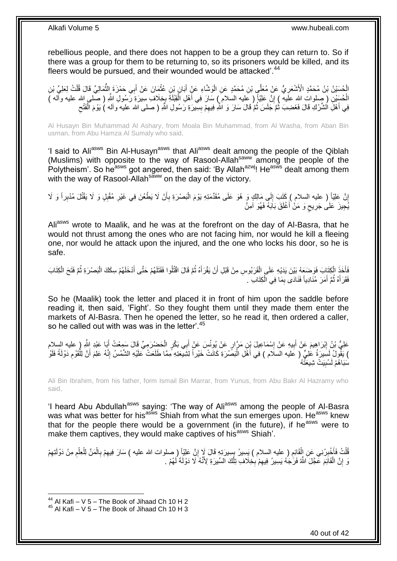rebellious people, and there does not happen to be a group they can return to. So if there was a group for them to be returning to, so its prisoners would be killed, and its fleers would be pursued, and their wounded would be attacked'.<sup>44</sup>

ِ الْحُسَيْنُ بْنُ مُحَمَّدٍ الْأَشْعَرِيُّ عَنْ مُعَلَّيٍ بْنِ مُحَمَّدٍ عَنِ الْوَشَّاءِ عَنٍْ أَبَانٍ بْنِ عُثْمَانَ عَنْ أَبِي حَمْزَةَ إِللْثَمَالِيِّ قَالَ قُلْتُ لِعَلِيِّ بْنِ َ **ٔ** َ ْ ِ ْ ْ ُ الْحُسَنْيِنِ ( صلوات الله عَلَيهُ ) إِنَّ عَلِيّهِ] ( عَليه السلامَ) سَارَ فِي أَهْلِ الْقِيْلَةَ بِخِلَافِ سِيرَةِ رَسُولِ اللَّهِ ( صلى الله عليه وأله )<br>. َ יֲ<br>י ِ ْ فِي أَهْلِ الشَّرْكِ قَالَ فَغَضِبَ ثُمَّ جَلَسَ ثُمَّ قَالَ سَارَ وَ اللَّهِ فِيهِمْ بِسِيرَةِ رَسُولِ اللَّهِ ( صلى الله عليه وآله ) يَوْمَ الْفَتْحِ ِ ِ .<br>• • • • ُ َ  $\zeta$ ْ

Al Husayn Bin Muhammad Al Ashary, from Moala Bin Muhammad, from Al Washa, from Aban Bin usman, from Abu Hamza Al Sumaly who said,

'I said to Ali<sup>asws</sup> Bin Al-Husayn<sup>asws</sup> that Ali<sup>asws</sup> dealt among the people of the Qiblah (Muslims) with opposite to the way of Rasool-Allah<sup>saww</sup> among the people of the Polytheism'. So he<sup>asws</sup> got angered, then said: 'By Allah<sup>azwj</sup>! He<sup>asws</sup> dealt among them with the way of Rasool-Allah<sup>saww</sup> on the day of the victory.

**∶** إِنَّ عِلِيَّاً ٍ( عليه السلام ) كَتَبَ إِلَى مَالِكٍ وَ هُوَ عَلَى مُقَدِّمَتِهِ يَوْمَ الْبَصْرَةِ بِأَنْ لَا يَطْعُنَ فِي غَيْرِ مُقْبِلٍ وَ لَا يَقْتُلَ مُدْبِراً وَ لَا ْ  $\frac{1}{2}$ ِ ِ ِ َ يُجِيزَ عَلَىٰ جَرِيحٍ وَ مَنْ أَغْلَقَ بَابَهُ فَهُوَ آمِنٌ َ ٍ ِ

Ali<sup>asws</sup> wrote to Maalik, and he was at the forefront on the day of Al-Basra, that he would not thrust among the ones who are not facing him, nor would he kill a fleeing one, nor would he attack upon the injured, and the one who locks his door, so he is safe.

َفَأَخَذَ الْكِتَابَ فَوَصْعَهُ بَيْنَ يَدَيْهِ عَلَى الْقَرَبُوسِ مِنْ قَبْلِ أَنْ يَقْرَأَهُ ثُمَّ قَالَ اقْتُلُوا فَقَتَلَهُمْ حَتَّى أَدْخَلَهُمْ سِكَكَ الْبَصْرَةِ ثُمَّ فَتَحَ الْكِتَابَ ُ َ َ ْ ْ َ ْ ُ ْ َ فَقَرَ أَهُ ثُمَّ أَمَرَ مُذَادِياً فَذَادَى بِمَا فِي الْكِتَابِ . ْ ِ َ ا ماہ<br>سال َ

So he (Maalik) took the letter and placed it in front of him upon the saddle before reading it, then said, 'Fight'. So they fought them until they made them enter the markets of Al-Basra. Then he opened the letter, so he read it, then ordered a caller, so he called out with was was in the letter'.<sup>45</sup>

عَلِيُّ بْنُ إِبْرَاهِيمَ عَنْ أَبِيهِ عَنْ إِسْمَاعِيلَ بْنِ مَرَّارٍ عَنْ يُونُسَ عَنْ أَبِي بَكْرٍ الْحَضْرَمِيِّ قَالَ سَمِعْتُ أَبَا عَبْدِ اللَّهِ ( عليه السلام ∣l<br>∶ **!** َ ِ َ ْ َ ) يَقُولُ لِسَيرَةُ عَلِيٍّ ( عَليه السلام ) فِي أَهْلِ الْبَصَْرَةِ كَانَتْ خَيْراً لِشَيْعَتِهِ مِمَّا طَلَعَتْ عَلَيْهِ الشَّمْسُ إِنَّهُ عَلِمَ أَنَّ لِلْقَوْمِ دَوْلَةً فَلَوْ :<br>ا َ ْ َ ِ ِ ْسَبَاهُمْ لَسُبِيَتْ شِيعَتُّهُ ِ

Ali Bin Ibrahim, from his father, form Ismail Bin Marrar, from Yunus, from Abu Bakr Al Hazramy who said,

'I heard Abu Abdullah<sup>asws</sup> saying: 'The way of Ali<sup>asws</sup> among the people of Al-Basra was what was better for his<sup>asws</sup> Shiah from what the sun emerges upon. He<sup>asws</sup> knew that for the people there would be a government (in the future), if he<sup>asws</sup> were to make them captives, they would make captives of his<sup>asws</sup> Shiah'.

ُفَلْتُ فَأُخْبِرْنِي عَنِ الْقَائِمِ ( عليه السلام ) يَسِيرُ نِسِيرَتِهِ قَالَ لَإِ إِنَّ عَلِيَّإً ( صلوات الله عليه ) سَارَ فِيهِمْ بِالْمَنِّ لِلْعِلْمِ مِنْ دَوْلَتِهِمْ ِ ْ **ِ** َ ْ ِ ْ ْ ْ ِ ِ ِ ِ نَّ الْقَائِمَ عَّجَّلَ اللَّهُ فَرَّجُهُ يَسِيرُ فِيهِمْ بِخِلَافٍ تِلْكَ السِّيرَةِ لِأَنَّهُ لَّا دَوْلَةَ لَهُمْ ْ **∶** ِ ْ ِ

 $44$  Al Kafi – V 5 – The Book of Jihaad Ch 10 H 2

 $45$  Al Kafi – V 5 – The Book of Jihaad Ch 10 H 3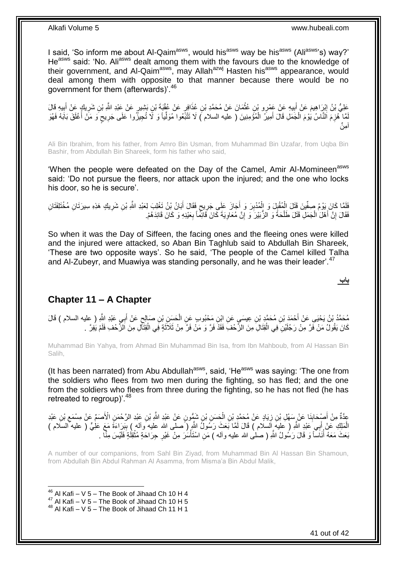I said, 'So inform me about Al-Qaim<sup>asws</sup>, would his<sup>asws</sup> way be his<sup>asws</sup> (Ali<sup>asws</sup>'s) way?' Heasws said: 'No. Aliasws dealt among them with the favours due to the knowledge of their government, and Al-Qaim<sup>asws</sup>, may Allah<sup>azwj</sup> Hasten his<sup>asws</sup> appearance, would deal among them with opposite to that manner because there would be no government for them (afterwards)'.<sup>46</sup>

عَلِيُّ بْنُ إِبْرَاهِيمَ عَنْ أَبِيهِ عَنْ عَمْرِو بْنِ عُثْمَانَ عَنْ مُحَمَّدِ بْنِ عُذَاقِرٍ عَنْ عُقْبَةَ بْنِ بَشِيرٍ عَنْ عَبْدِ اللَّهِ بْنِ شَرِيكٍ عَنْ أَبِيهِ قَالَ<br>يَجْمَعُ اللَّهِ بَن إِبْرَاهِيمَ عَنْ أَبِيه ْ **!** َ ِ ِ َ ِ لَمَّا ۖ هُزِمَ الْذَّاسُ يَوْمَ الْجَمَلِ قَالَ أَمِيرُ الْمُؤْمِنِينَ ( عليه السلام ) لَا تَتْبَعُوا مُوَلِّياً وَ لَا تُجِيزُوا عَلَى جَرِيحٍ وَ مَنْ أَغْلَقَ بَابَهُ فَهُوَ ِّ ْ َ ْ َ ٍ ِ آمِنٌ

Ali Bin Ibrahim, from his father, from Amro Bin Usman, from Muhammad Bin Uzafar, from Uqba Bin Bashir, from Abdullah Bin Shareek, form his father who said,

'When the people were defeated on the Day of the Camel, Amir Al-Momineen<sup>asws</sup> said: 'Do not pursue the fleers, nor attack upon the injured; and the one who locks his door, so he is secure'.

فَلَمَّا كَانَ يَوْمُ صِفِّينَ قَتَلَ الْمُقْبِلَ وَ الْمُدْبِرَ وَ أَجَازَ عَلَى جَرِيحٍ فَقَالَ أَبَانُ بْنُ تَغْلِبَ لِعَبْدِ اللَّهِ بْنِ شَرِيكٍ هَذِهِ سِيرَتَانِ مُخْتَلِفَتَانِ َ ٍ ِ َ ِ ْ ِ ْ ِ فَقَالَ إِنَّ أَهْلَ الْجَمَلِ قَتَلَ طَلْحَةً وَ الزُّبَيْرَ وَ إِنَّ مُعَاوِيَةَ كَانَ قَائِمًا بِعَيْنِهِ وَ كَانَ قَائِدَهُمْ. **∶** ِ ِ ْ ْ َ ِ

So when it was the Day of Siffeen, the facing ones and the fleeing ones were killed and the injured were attacked, so Aban Bin Taghlub said to Abdullah Bin Shareek, 'These are two opposite ways'. So he said, 'The people of the Camel killed Talha and Al-Zubeyr, and Muawiya was standing personally, and he was their leader<sup>'.47</sup>

**باب**

### <span id="page-40-0"></span>**Chapter 11 – A Chapter**

مُحَمَّدُ بْنُ يَحْيَى عَنْ أَحْمَدَ بْنِ مُحَمَّدٍ بْنِ عِيسَيٍ عَنِ ابْنِ مَحْبُوبٍ عَنِ الْحَسِنِ بْنِ صَالِحٍ عَنْ أَبِي عَبْدِ اللَّهِ ( عِليه السلام ) قَالَ<br>مَحْمَدُ بْنُ يَحْيَى عَنْ أَحْمَدَ بْنِ مُحَمَّدٍ بْنِ عِي َ ٍ ْ كَانَ يَقُولُ مَنْ فَرَّ مِنْ رَجُلَيْنِ فِي الْقِتَالِ مِنَ الزَّحْفِ فَقَدْ فَنَّ وَ مَنْ فَرَّ مِنْ ثَلَاثَةٍ فِي الْقِتَالِ مِنَ الزَّحْفِ فَلَمْ يَفِرَّ ْ ْ َ

Muhammad Bin Yahya, from Ahmad Bin Muhammad Bin Isa, from Ibn Mahboub, from Al Hassan Bin Salih,

(It has been narrated) from Abu Abdullah<sup>asws</sup>, said, 'He<sup>asws</sup> was saying: 'The one from the soldiers who flees from two men during the fighting, so has fled; and the one from the soldiers who flees from three during the fighting, so he has not fled (he has retreated to regroup)<sup>'.48</sup>

عَدَّةٌ مِنْ أَصْبِحَابِذَا عَنْ سَهْلِ بْنِ زِيَادٍ عَنْ مُحَمَّدٍ بْنِ الْحَسَنِ بْنِ شَمُّونٍ عَنْ عَبْدِ اللَّهِ بْنِ عَبْدِ الرَّحْمَنِ الْأَصَمِّ عَنْ مِسْمَعِ بْنِ عَبْدِ ِ **∣** َ ِ ْ الْمَلِكِ عَنْ أَبِي َعْنْدِ اللَّهِ ( عليهَ إِلَسلام ) قَالَ لَمَّا بَعَثَ رَسُولُ اللَّهِ ( َصلى الله عليه وأله ) بِبَرِياءَةَ مَعَ عَلٰيٍّ ( عليه السلام ) ِ ُبَعَثَ مَعَهُ أُنَـاسَاً وَ قَالَ رَسُولُ اللّهِ ( صلـٰى الله عليه وآلـه ) مَنِ اسْتَأْسَٰرَ مِنْ غَيْرِ حِرَاحَةٍ مُثْقِلَةٍ فَلَيْسَ مِنَّا . **ٔ ٔ** ُ

A number of our companions, from Sahl Bin Ziyad, from Muhammad Bin Al Hassan Bin Shamoun, from Abdullah Bin Abdul Rahman Al Asamma, from Misma'a Bin Abdul Malik,

 $46$  Al Kafi – V 5 – The Book of Jihaad Ch 10 H 4

 $47$  Al Kafi – V  $5$  – The Book of Jihaad Ch 10 H 5

<sup>48</sup> Al Kafi – V 5 – The Book of Jihaad Ch 11 H 1